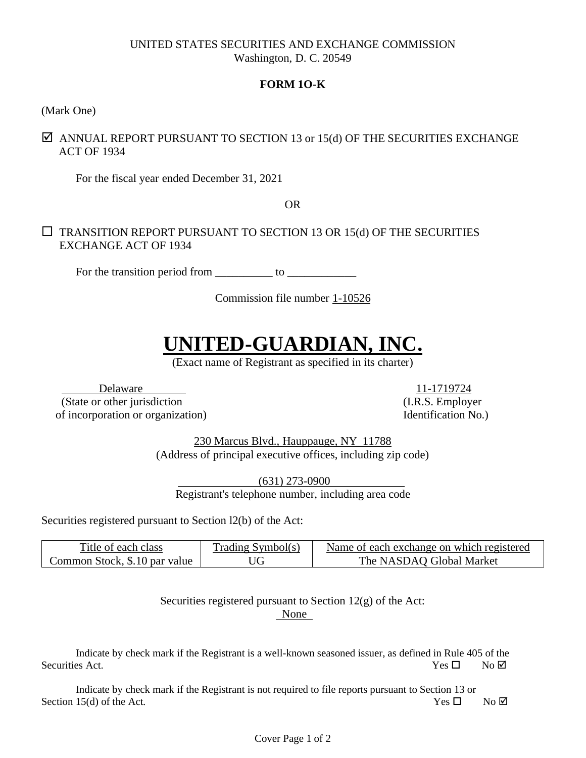#### UNITED STATES SECURITIES AND EXCHANGE COMMISSION Washington, D. C. 20549

#### **FORM 1O-K**

(Mark One)

 $\boxtimes$  ANNUAL REPORT PURSUANT TO SECTION 13 or 15(d) OF THE SECURITIES EXCHANGE ACT OF 1934

For the fiscal year ended December 31, 2021

OR

| $\Box$ TRANSITION REPORT PURSUANT TO SECTION 13 OR 15(d) OF THE SECURITIES |  |  |  |  |
|----------------------------------------------------------------------------|--|--|--|--|
| <b>EXCHANGE ACT OF 1934</b>                                                |  |  |  |  |

For the transition period from  $\frac{1}{\sqrt{1-\frac{1}{n}}}\cos\left(\frac{1}{n}\right)$ 

Commission file number 1-10526

# UNITED-GUARDIAN.

(Exact name of Registrant as specified in its charter)

 (State or other jurisdiction (I.R.S. Employer of incorporation or organization) Identification No.)

Delaware 11-1719724

230 Marcus Blvd., Hauppauge, NY 11788 (Address of principal executive offices, including zip code)

 $(631)$  273-0900 Registrant's telephone number, including area code

Securities registered pursuant to Section l2(b) of the Act:

| Title of each class           | Trading Symbol(s) | Name of each exchange on which registered |
|-------------------------------|-------------------|-------------------------------------------|
| Common Stock, \$.10 par value |                   | The NASDAO Global Market                  |

Securities registered pursuant to Section 12(g) of the Act: None

Indicate by check mark if the Registrant is a well-known seasoned issuer, as defined in Rule 405 of the Securities Act.  $\Box$  No  $\Box$ 

Indicate by check mark if the Registrant is not required to file reports pursuant to Section 13 or Section 15(d) of the Act.  $\Box$  No  $\Box$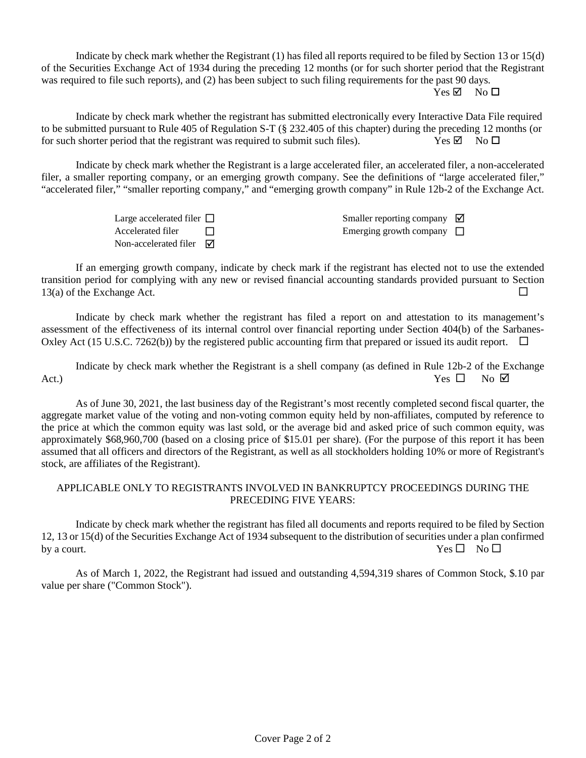Indicate by check mark whether the Registrant (1) has filed all reports required to be filed by Section 13 or 15(d) of the Securities Exchange Act of 1934 during the preceding 12 months (or for such shorter period that the Registrant was required to file such reports), and (2) has been subject to such filing requirements for the past 90 days.

 $Yes \n\mathbb{Z}$  No  $\square$ 

Indicate by check mark whether the registrant has submitted electronically every Interactive Data File required to be submitted pursuant to Rule 405 of Regulation S-T (§ 232.405 of this chapter) during the preceding 12 months (or for such shorter period that the registrant was required to submit such files). Yes  $\boxtimes$  No  $\square$ 

Indicate by check mark whether the Registrant is a large accelerated filer, an accelerated filer, a non-accelerated filer, a smaller reporting company, or an emerging growth company. See the definitions of "large accelerated filer," "accelerated filer," "smaller reporting company," and "emerging growth company" in Rule 12b-2 of the Exchange Act.

| Large accelerated filer $\Box$  | Smaller reporting company $\triangledown$ |  |
|---------------------------------|-------------------------------------------|--|
| Accelerated filer $\qquad \Box$ | Emerging growth company $\Box$            |  |
| Non-accelerated filer $\Box$    |                                           |  |

If an emerging growth company, indicate by check mark if the registrant has elected not to use the extended transition period for complying with any new or revised financial accounting standards provided pursuant to Section 13(a) of the Exchange Act.

Indicate by check mark whether the registrant has filed a report on and attestation to its management's assessment of the effectiveness of its internal control over financial reporting under Section 404(b) of the Sarbanes-Oxley Act (15 U.S.C. 7262(b)) by the registered public accounting firm that prepared or issued its audit report.  $\Box$ 

Indicate by check mark whether the Registrant is a shell company (as defined in Rule 12b-2 of the Exchange Act.) Solution  $Y$ es  $\square$  No  $\boxtimes$ 

As of June 30, 2021, the last business day of the Registrant's most recently completed second fiscal quarter, the aggregate market value of the voting and non-voting common equity held by non-affiliates, computed by reference to the price at which the common equity was last sold, or the average bid and asked price of such common equity, was approximately \$68,960,700 (based on a closing price of \$15.01 per share). (For the purpose of this report it has been assumed that all officers and directors of the Registrant, as well as all stockholders holding 10% or more of Registrant's stock, are affiliates of the Registrant).

#### APPLICABLE ONLY TO REGISTRANTS INVOLVED IN BANKRUPTCY PROCEEDINGS DURING THE PRECEDING FIVE YEARS:

Indicate by check mark whether the registrant has filed all documents and reports required to be filed by Section 12, 13 or 15(d) of the Securities Exchange Act of 1934 subsequent to the distribution of securities under a plan confirmed by a court.  $\qquad \qquad \text{Yes } \Box \quad \text{No } \Box$ 

As of March 1, 2022, the Registrant had issued and outstanding 4,594,319 shares of Common Stock, \$.10 par value per share ("Common Stock").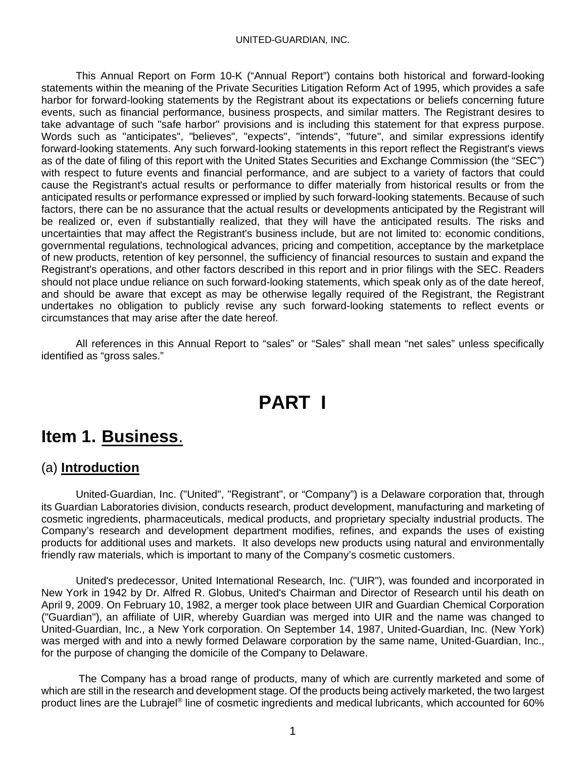This Annual Report on Form 10-K ("Annual Report") contains both historical and forward-looking statements within the meaning of the Private Securities Litigation Reform Act of 1995, which provides a safe harbor for forward-looking statements by the Registrant about its expectations or beliefs concerning future events, such as financial performance, business prospects, and similar matters. The Registrant desires to take advantage of such "safe harbor" provisions and is including this statement for that express purpose. Words such as "anticipates", "believes", "expects", "intends", "future", and similar expressions identify forward-looking statements. Any such forward-looking statements in this report reflect the Registrant's views as of the date of filing of this report with the United States Securities and Exchange Commission (the "SEC") with respect to future events and financial performance, and are subject to a variety of factors that could cause the Registrant's actual results or performance to differ materially from historical results or from the anticipated results or performance expressed or implied by such forward-looking statements. Because of such factors, there can be no assurance that the actual results or developments anticipated by the Registrant will be realized or, even if substantially realized, that they will have the anticipated results. The risks and uncertainties that may affect the Registrant's business include, but are not limited to: economic conditions, governmental regulations, technological advances, pricing and competition, acceptance by the marketplace of new products, retention of key personnel, the sufficiency of financial resources to sustain and expand the Registrant's operations, and other factors described in this report and in prior filings with the SEC. Readers should not place undue reliance on such forward-looking statements, which speak only as of the date hereof, and should be aware that except as may be otherwise legally required of the Registrant, the Registrant undertakes no obligation to publicly revise any such forward-looking statements to reflect events or circumstances that may arise after the date hereof.

All references in this Annual Report to "sales" or "Sales" shall mean "net sales" unless specifically identified as "gross sales."

# **PART I**

# **Item 1. Business**.

### (a) **Introduction**

United-Guardian, Inc. ("United", "Registrant", or "Company") is a Delaware corporation that, through its Guardian Laboratories division, conducts research, product development, manufacturing and marketing of cosmetic ingredients, pharmaceuticals, medical products, and proprietary specialty industrial products. The Company's research and development department modifies, refines, and expands the uses of existing products for additional uses and markets. It also develops new products using natural and environmentally friendly raw materials, which is important to many of the Company's cosmetic customers.

United's predecessor, United International Research, Inc. ("UIR"), was founded and incorporated in New York in 1942 by Dr. Alfred R. Globus, United's Chairman and Director of Research until his death on April 9, 2009. On February 10, 1982, a merger took place between UIR and Guardian Chemical Corporation ("Guardian"), an affiliate of UIR, whereby Guardian was merged into UIR and the name was changed to United-Guardian, Inc., a New York corporation. On September 14, 1987, United-Guardian, Inc. (New York) was merged with and into a newly formed Delaware corporation by the same name, United-Guardian, Inc., for the purpose of changing the domicile of the Company to Delaware.

 The Company has a broad range of products, many of which are currently marketed and some of which are still in the research and development stage. Of the products being actively marketed, the two largest product lines are the Lubrajel® line of cosmetic ingredients and medical lubricants, which accounted for 60%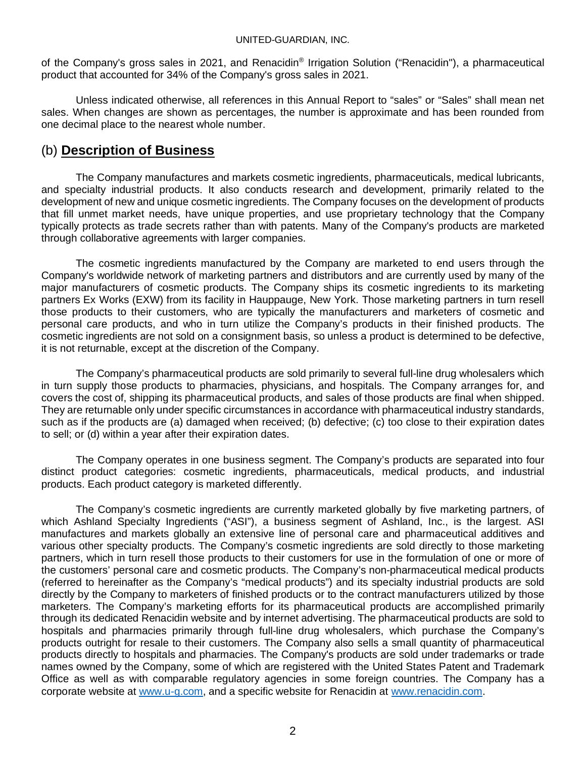of the Company's gross sales in 2021, and Renacidin® Irrigation Solution ("Renacidin"), a pharmaceutical product that accounted for 34% of the Company's gross sales in 2021.

Unless indicated otherwise, all references in this Annual Report to "sales" or "Sales" shall mean net sales. When changes are shown as percentages, the number is approximate and has been rounded from one decimal place to the nearest whole number.

### (b) **Description of Business**

The Company manufactures and markets cosmetic ingredients, pharmaceuticals, medical lubricants, and specialty industrial products. It also conducts research and development, primarily related to the development of new and unique cosmetic ingredients. The Company focuses on the development of products that fill unmet market needs, have unique properties, and use proprietary technology that the Company typically protects as trade secrets rather than with patents. Many of the Company's products are marketed through collaborative agreements with larger companies.

The cosmetic ingredients manufactured by the Company are marketed to end users through the Company's worldwide network of marketing partners and distributors and are currently used by many of the major manufacturers of cosmetic products. The Company ships its cosmetic ingredients to its marketing partners Ex Works (EXW) from its facility in Hauppauge, New York. Those marketing partners in turn resell those products to their customers, who are typically the manufacturers and marketers of cosmetic and personal care products, and who in turn utilize the Company's products in their finished products. The cosmetic ingredients are not sold on a consignment basis, so unless a product is determined to be defective, it is not returnable, except at the discretion of the Company.

The Company's pharmaceutical products are sold primarily to several full-line drug wholesalers which in turn supply those products to pharmacies, physicians, and hospitals. The Company arranges for, and covers the cost of, shipping its pharmaceutical products, and sales of those products are final when shipped. They are returnable only under specific circumstances in accordance with pharmaceutical industry standards, such as if the products are (a) damaged when received; (b) defective; (c) too close to their expiration dates to sell; or (d) within a year after their expiration dates.

The Company operates in one business segment. The Company's products are separated into four distinct product categories: cosmetic ingredients, pharmaceuticals, medical products, and industrial products. Each product category is marketed differently.

The Company's cosmetic ingredients are currently marketed globally by five marketing partners, of which Ashland Specialty Ingredients ("ASI"), a business segment of Ashland, Inc., is the largest. ASI manufactures and markets globally an extensive line of personal care and pharmaceutical additives and various other specialty products. The Company's cosmetic ingredients are sold directly to those marketing partners, which in turn resell those products to their customers for use in the formulation of one or more of the customers' personal care and cosmetic products. The Company's non-pharmaceutical medical products (referred to hereinafter as the Company's "medical products") and its specialty industrial products are sold directly by the Company to marketers of finished products or to the contract manufacturers utilized by those marketers. The Company's marketing efforts for its pharmaceutical products are accomplished primarily through its dedicated Renacidin website and by internet advertising. The pharmaceutical products are sold to hospitals and pharmacies primarily through full-line drug wholesalers, which purchase the Company's products outright for resale to their customers. The Company also sells a small quantity of pharmaceutical products directly to hospitals and pharmacies. The Company's products are sold under trademarks or trade names owned by the Company, some of which are registered with the United States Patent and Trademark Office as well as with comparable regulatory agencies in some foreign countries. The Company has a corporate website at www.u-g.com, and a specific website for Renacidin at www.renacidin.com.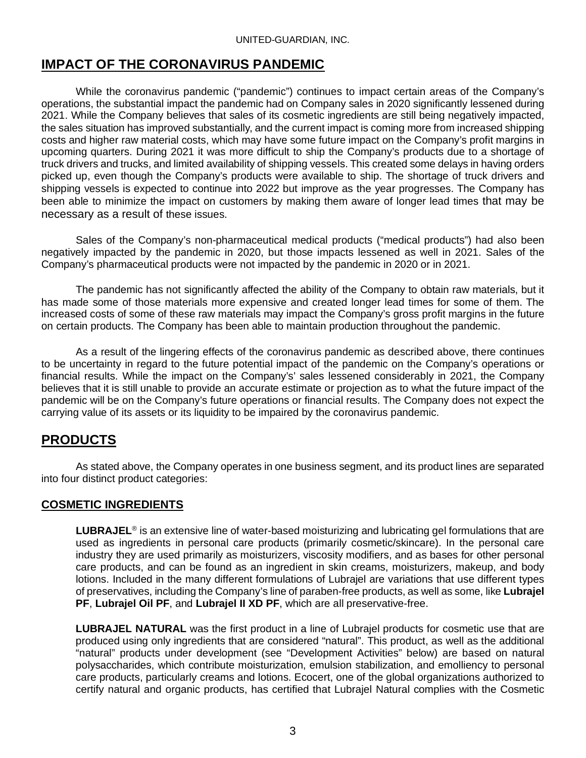# **IMPACT OF THE CORONAVIRUS PANDEMIC**

While the coronavirus pandemic ("pandemic") continues to impact certain areas of the Company's operations, the substantial impact the pandemic had on Company sales in 2020 significantly lessened during 2021. While the Company believes that sales of its cosmetic ingredients are still being negatively impacted, the sales situation has improved substantially, and the current impact is coming more from increased shipping costs and higher raw material costs, which may have some future impact on the Company's profit margins in upcoming quarters. During 2021 it was more difficult to ship the Company's products due to a shortage of truck drivers and trucks, and limited availability of shipping vessels. This created some delays in having orders picked up, even though the Company's products were available to ship. The shortage of truck drivers and shipping vessels is expected to continue into 2022 but improve as the year progresses. The Company has been able to minimize the impact on customers by making them aware of longer lead times that may be necessary as a result of these issues.

Sales of the Company's non-pharmaceutical medical products ("medical products") had also been negatively impacted by the pandemic in 2020, but those impacts lessened as well in 2021. Sales of the Company's pharmaceutical products were not impacted by the pandemic in 2020 or in 2021.

The pandemic has not significantly affected the ability of the Company to obtain raw materials, but it has made some of those materials more expensive and created longer lead times for some of them. The increased costs of some of these raw materials may impact the Company's gross profit margins in the future on certain products. The Company has been able to maintain production throughout the pandemic.

As a result of the lingering effects of the coronavirus pandemic as described above, there continues to be uncertainty in regard to the future potential impact of the pandemic on the Company's operations or financial results. While the impact on the Company's' sales lessened considerably in 2021, the Company believes that it is still unable to provide an accurate estimate or projection as to what the future impact of the pandemic will be on the Company's future operations or financial results. The Company does not expect the carrying value of its assets or its liquidity to be impaired by the coronavirus pandemic.

# **PRODUCTS**

As stated above, the Company operates in one business segment, and its product lines are separated into four distinct product categories:

### **COSMETIC INGREDIENTS**

**LUBRAJEL**® is an extensive line of water-based moisturizing and lubricating gel formulations that are used as ingredients in personal care products (primarily cosmetic/skincare). In the personal care industry they are used primarily as moisturizers, viscosity modifiers, and as bases for other personal care products, and can be found as an ingredient in skin creams, moisturizers, makeup, and body lotions. Included in the many different formulations of Lubrajel are variations that use different types of preservatives, including the Company's line of paraben-free products, as well as some, like **Lubrajel PF**, **Lubrajel Oil PF**, and **Lubrajel II XD PF**, which are all preservative-free.

**LUBRAJEL NATURAL** was the first product in a line of Lubrajel products for cosmetic use that are produced using only ingredients that are considered "natural". This product, as well as the additional "natural" products under development (see "Development Activities" below) are based on natural polysaccharides, which contribute moisturization, emulsion stabilization, and emolliency to personal care products, particularly creams and lotions. Ecocert, one of the global organizations authorized to certify natural and organic products, has certified that Lubrajel Natural complies with the Cosmetic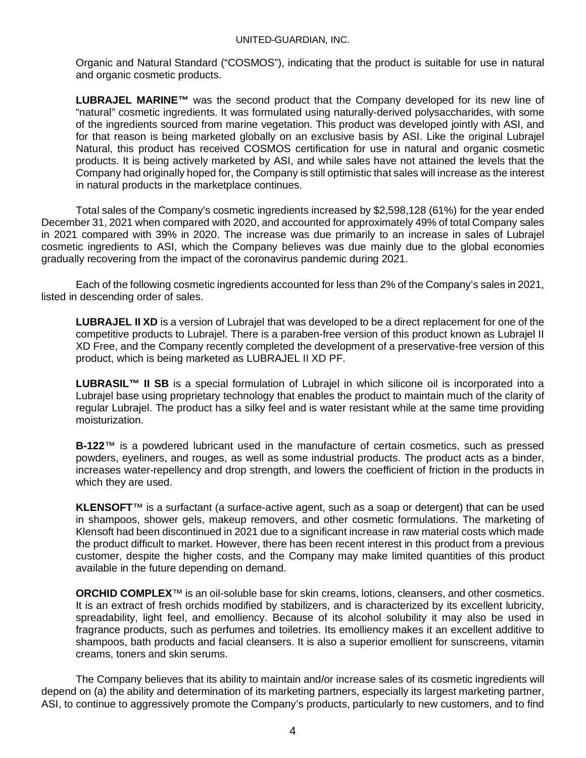Organic and Natural Standard ("COSMOS"), indicating that the product is suitable for use in natural and organic cosmetic products.

**LUBRAJEL MARINE™** was the second product that the Company developed for its new line of "natural" cosmetic ingredients. It was formulated using naturally-derived polysaccharides, with some of the ingredients sourced from marine vegetation. This product was developed jointly with ASI, and for that reason is being marketed globally on an exclusive basis by ASI. Like the original Lubrajel Natural, this product has received COSMOS certification for use in natural and organic cosmetic products. It is being actively marketed by ASI, and while sales have not attained the levels that the Company had originally hoped for, the Company is still optimistic that sales will increase as the interest in natural products in the marketplace continues.

Total sales of the Company's cosmetic ingredients increased by \$2,598,128 (61%) for the year ended December 31, 2021 when compared with 2020, and accounted for approximately 49% of total Company sales in 2021 compared with 39% in 2020. The increase was due primarily to an increase in sales of Lubrajel cosmetic ingredients to ASI, which the Company believes was due mainly due to the global economies gradually recovering from the impact of the coronavirus pandemic during 2021.

Each of the following cosmetic ingredients accounted for less than 2% of the Company's sales in 2021, listed in descending order of sales.

**LUBRAJEL II XD** is a version of Lubrajel that was developed to be a direct replacement for one of the competitive products to Lubrajel. There is a paraben-free version of this product known as Lubrajel II XD Free, and the Company recently completed the development of a preservative-free version of this product, which is being marketed as LUBRAJEL II XD PF.

**LUBRASIL™ II SB** is a special formulation of Lubrajel in which silicone oil is incorporated into a Lubrajel base using proprietary technology that enables the product to maintain much of the clarity of regular Lubrajel. The product has a silky feel and is water resistant while at the same time providing moisturization.

**B-122**™ is a powdered lubricant used in the manufacture of certain cosmetics, such as pressed powders, eyeliners, and rouges, as well as some industrial products. The product acts as a binder, increases water-repellency and drop strength, and lowers the coefficient of friction in the products in which they are used.

**KLENSOFT**™ is a surfactant (a surface-active agent, such as a soap or detergent) that can be used in shampoos, shower gels, makeup removers, and other cosmetic formulations. The marketing of Klensoft had been discontinued in 2021 due to a significant increase in raw material costs which made the product difficult to market. However, there has been recent interest in this product from a previous customer, despite the higher costs, and the Company may make limited quantities of this product available in the future depending on demand.

**ORCHID COMPLEX**™ is an oil-soluble base for skin creams, lotions, cleansers, and other cosmetics. It is an extract of fresh orchids modified by stabilizers, and is characterized by its excellent lubricity, spreadability, light feel, and emolliency. Because of its alcohol solubility it may also be used in fragrance products, such as perfumes and toiletries. Its emolliency makes it an excellent additive to shampoos, bath products and facial cleansers. It is also a superior emollient for sunscreens, vitamin creams, toners and skin serums.

The Company believes that its ability to maintain and/or increase sales of its cosmetic ingredients will depend on (a) the ability and determination of its marketing partners, especially its largest marketing partner, ASI, to continue to aggressively promote the Company's products, particularly to new customers, and to find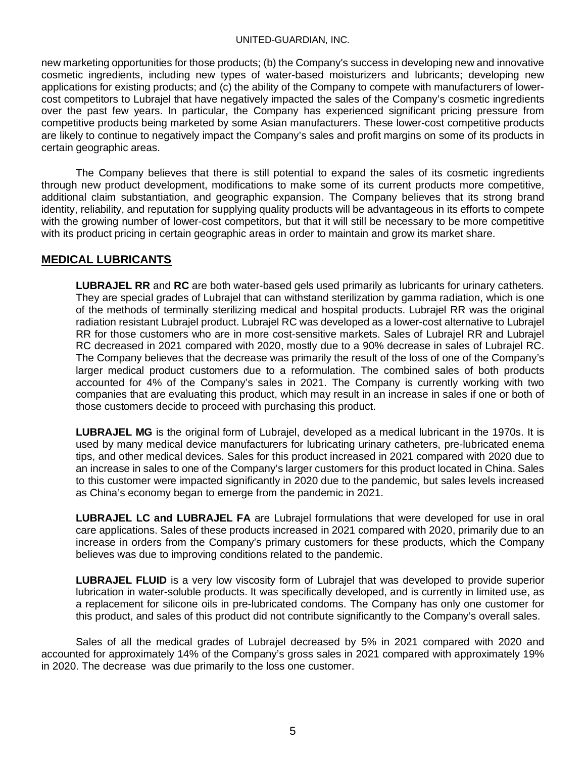new marketing opportunities for those products; (b) the Company's success in developing new and innovative cosmetic ingredients, including new types of water-based moisturizers and lubricants; developing new applications for existing products; and (c) the ability of the Company to compete with manufacturers of lowercost competitors to Lubrajel that have negatively impacted the sales of the Company's cosmetic ingredients over the past few years. In particular, the Company has experienced significant pricing pressure from competitive products being marketed by some Asian manufacturers. These lower-cost competitive products are likely to continue to negatively impact the Company's sales and profit margins on some of its products in certain geographic areas.

The Company believes that there is still potential to expand the sales of its cosmetic ingredients through new product development, modifications to make some of its current products more competitive, additional claim substantiation, and geographic expansion. The Company believes that its strong brand identity, reliability, and reputation for supplying quality products will be advantageous in its efforts to compete with the growing number of lower-cost competitors, but that it will still be necessary to be more competitive with its product pricing in certain geographic areas in order to maintain and grow its market share.

#### **MEDICAL LUBRICANTS**

**LUBRAJEL RR** and **RC** are both water-based gels used primarily as lubricants for urinary catheters. They are special grades of Lubrajel that can withstand sterilization by gamma radiation, which is one of the methods of terminally sterilizing medical and hospital products. Lubrajel RR was the original radiation resistant Lubrajel product. Lubrajel RC was developed as a lower-cost alternative to Lubrajel RR for those customers who are in more cost-sensitive markets. Sales of Lubrajel RR and Lubrajel RC decreased in 2021 compared with 2020, mostly due to a 90% decrease in sales of Lubrajel RC. The Company believes that the decrease was primarily the result of the loss of one of the Company's larger medical product customers due to a reformulation. The combined sales of both products accounted for 4% of the Company's sales in 2021. The Company is currently working with two companies that are evaluating this product, which may result in an increase in sales if one or both of those customers decide to proceed with purchasing this product.

**LUBRAJEL MG** is the original form of Lubrajel, developed as a medical lubricant in the 1970s. It is used by many medical device manufacturers for lubricating urinary catheters, pre-lubricated enema tips, and other medical devices. Sales for this product increased in 2021 compared with 2020 due to an increase in sales to one of the Company's larger customers for this product located in China. Sales to this customer were impacted significantly in 2020 due to the pandemic, but sales levels increased as China's economy began to emerge from the pandemic in 2021.

**LUBRAJEL LC and LUBRAJEL FA** are Lubrajel formulations that were developed for use in oral care applications. Sales of these products increased in 2021 compared with 2020, primarily due to an increase in orders from the Company's primary customers for these products, which the Company believes was due to improving conditions related to the pandemic.

**LUBRAJEL FLUID** is a very low viscosity form of Lubrajel that was developed to provide superior lubrication in water-soluble products. It was specifically developed, and is currently in limited use, as a replacement for silicone oils in pre-lubricated condoms. The Company has only one customer for this product, and sales of this product did not contribute significantly to the Company's overall sales.

Sales of all the medical grades of Lubrajel decreased by 5% in 2021 compared with 2020 and accounted for approximately 14% of the Company's gross sales in 2021 compared with approximately 19% in 2020. The decrease was due primarily to the loss one customer.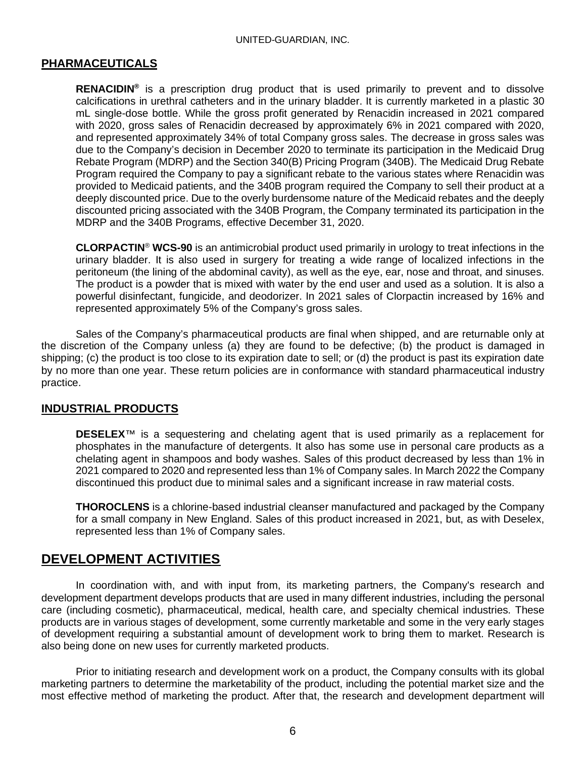#### **PHARMACEUTICALS**

**RENACIDIN®** is a prescription drug product that is used primarily to prevent and to dissolve calcifications in urethral catheters and in the urinary bladder. It is currently marketed in a plastic 30 mL single-dose bottle. While the gross profit generated by Renacidin increased in 2021 compared with 2020, gross sales of Renacidin decreased by approximately 6% in 2021 compared with 2020, and represented approximately 34% of total Company gross sales. The decrease in gross sales was due to the Company's decision in December 2020 to terminate its participation in the Medicaid Drug Rebate Program (MDRP) and the Section 340(B) Pricing Program (340B). The Medicaid Drug Rebate Program required the Company to pay a significant rebate to the various states where Renacidin was provided to Medicaid patients, and the 340B program required the Company to sell their product at a deeply discounted price. Due to the overly burdensome nature of the Medicaid rebates and the deeply discounted pricing associated with the 340B Program, the Company terminated its participation in the MDRP and the 340B Programs, effective December 31, 2020.

**CLORPACTIN**® **WCS-90** is an antimicrobial product used primarily in urology to treat infections in the urinary bladder. It is also used in surgery for treating a wide range of localized infections in the peritoneum (the lining of the abdominal cavity), as well as the eye, ear, nose and throat, and sinuses. The product is a powder that is mixed with water by the end user and used as a solution. It is also a powerful disinfectant, fungicide, and deodorizer. In 2021 sales of Clorpactin increased by 16% and represented approximately 5% of the Company's gross sales.

Sales of the Company's pharmaceutical products are final when shipped, and are returnable only at the discretion of the Company unless (a) they are found to be defective; (b) the product is damaged in shipping; (c) the product is too close to its expiration date to sell; or (d) the product is past its expiration date by no more than one year. These return policies are in conformance with standard pharmaceutical industry practice.

#### **INDUSTRIAL PRODUCTS**

**DESELEX**™ is a sequestering and chelating agent that is used primarily as a replacement for phosphates in the manufacture of detergents. It also has some use in personal care products as a chelating agent in shampoos and body washes. Sales of this product decreased by less than 1% in 2021 compared to 2020 and represented less than 1% of Company sales. In March 2022 the Company discontinued this product due to minimal sales and a significant increase in raw material costs.

**THOROCLENS** is a chlorine-based industrial cleanser manufactured and packaged by the Company for a small company in New England. Sales of this product increased in 2021, but, as with Deselex, represented less than 1% of Company sales.

### **DEVELOPMENT ACTIVITIES**

In coordination with, and with input from, its marketing partners, the Company's research and development department develops products that are used in many different industries, including the personal care (including cosmetic), pharmaceutical, medical, health care, and specialty chemical industries. These products are in various stages of development, some currently marketable and some in the very early stages of development requiring a substantial amount of development work to bring them to market. Research is also being done on new uses for currently marketed products.

Prior to initiating research and development work on a product, the Company consults with its global marketing partners to determine the marketability of the product, including the potential market size and the most effective method of marketing the product. After that, the research and development department will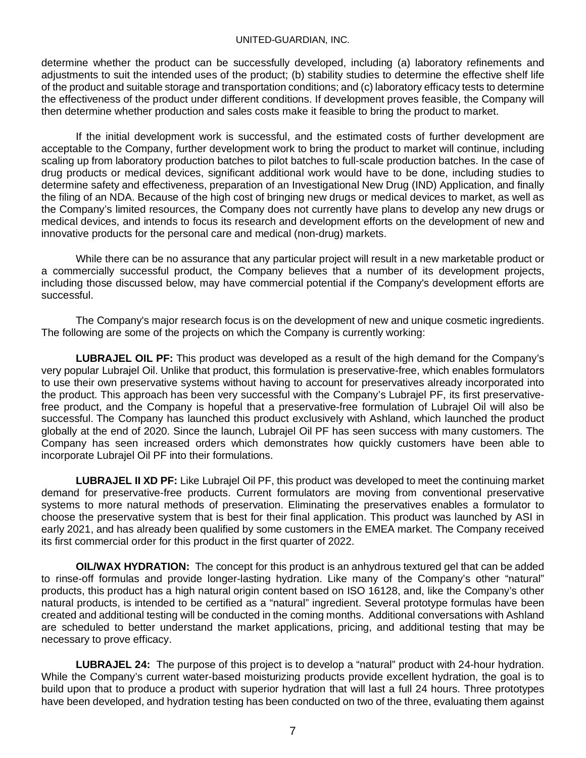determine whether the product can be successfully developed, including (a) laboratory refinements and adjustments to suit the intended uses of the product; (b) stability studies to determine the effective shelf life of the product and suitable storage and transportation conditions; and (c) laboratory efficacy tests to determine the effectiveness of the product under different conditions. If development proves feasible, the Company will then determine whether production and sales costs make it feasible to bring the product to market.

If the initial development work is successful, and the estimated costs of further development are acceptable to the Company, further development work to bring the product to market will continue, including scaling up from laboratory production batches to pilot batches to full-scale production batches. In the case of drug products or medical devices, significant additional work would have to be done, including studies to determine safety and effectiveness, preparation of an Investigational New Drug (IND) Application, and finally the filing of an NDA. Because of the high cost of bringing new drugs or medical devices to market, as well as the Company's limited resources, the Company does not currently have plans to develop any new drugs or medical devices, and intends to focus its research and development efforts on the development of new and innovative products for the personal care and medical (non-drug) markets.

While there can be no assurance that any particular project will result in a new marketable product or a commercially successful product, the Company believes that a number of its development projects, including those discussed below, may have commercial potential if the Company's development efforts are successful.

The Company's major research focus is on the development of new and unique cosmetic ingredients. The following are some of the projects on which the Company is currently working:

**LUBRAJEL OIL PF:** This product was developed as a result of the high demand for the Company's very popular Lubrajel Oil. Unlike that product, this formulation is preservative-free, which enables formulators to use their own preservative systems without having to account for preservatives already incorporated into the product. This approach has been very successful with the Company's Lubrajel PF, its first preservativefree product, and the Company is hopeful that a preservative-free formulation of Lubrajel Oil will also be successful. The Company has launched this product exclusively with Ashland, which launched the product globally at the end of 2020. Since the launch, Lubrajel Oil PF has seen success with many customers. The Company has seen increased orders which demonstrates how quickly customers have been able to incorporate Lubrajel Oil PF into their formulations.

**LUBRAJEL II XD PF:** Like Lubrajel Oil PF, this product was developed to meet the continuing market demand for preservative-free products. Current formulators are moving from conventional preservative systems to more natural methods of preservation. Eliminating the preservatives enables a formulator to choose the preservative system that is best for their final application. This product was launched by ASI in early 2021, and has already been qualified by some customers in the EMEA market. The Company received its first commercial order for this product in the first quarter of 2022.

**OIL/WAX HYDRATION:** The concept for this product is an anhydrous textured gel that can be added to rinse-off formulas and provide longer-lasting hydration. Like many of the Company's other "natural" products, this product has a high natural origin content based on ISO 16128, and, like the Company's other natural products, is intended to be certified as a "natural" ingredient. Several prototype formulas have been created and additional testing will be conducted in the coming months. Additional conversations with Ashland are scheduled to better understand the market applications, pricing, and additional testing that may be necessary to prove efficacy.

**LUBRAJEL 24:** The purpose of this project is to develop a "natural" product with 24-hour hydration. While the Company's current water-based moisturizing products provide excellent hydration, the goal is to build upon that to produce a product with superior hydration that will last a full 24 hours. Three prototypes have been developed, and hydration testing has been conducted on two of the three, evaluating them against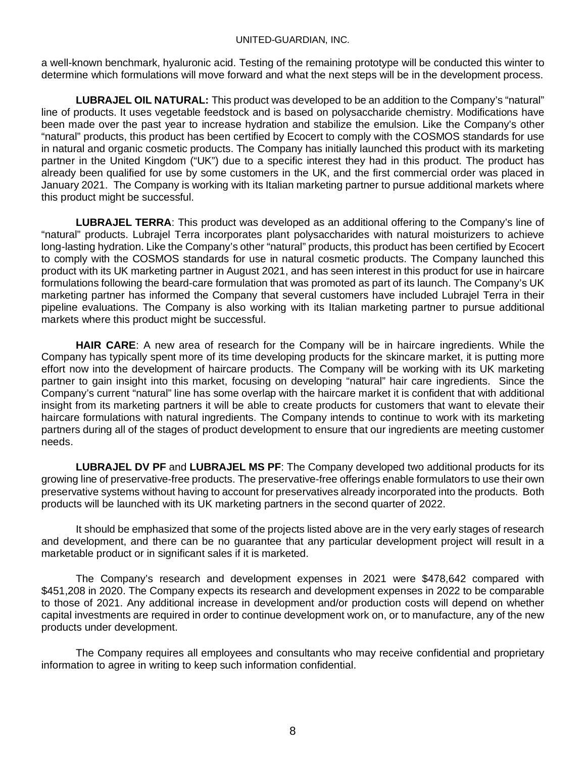a well-known benchmark, hyaluronic acid. Testing of the remaining prototype will be conducted this winter to determine which formulations will move forward and what the next steps will be in the development process.

**LUBRAJEL OIL NATURAL:** This product was developed to be an addition to the Company's "natural" line of products. It uses vegetable feedstock and is based on polysaccharide chemistry. Modifications have been made over the past year to increase hydration and stabilize the emulsion. Like the Company's other "natural" products, this product has been certified by Ecocert to comply with the COSMOS standards for use in natural and organic cosmetic products. The Company has initially launched this product with its marketing partner in the United Kingdom ("UK") due to a specific interest they had in this product. The product has already been qualified for use by some customers in the UK, and the first commercial order was placed in January 2021. The Company is working with its Italian marketing partner to pursue additional markets where this product might be successful.

**LUBRAJEL TERRA**: This product was developed as an additional offering to the Company's line of "natural" products. Lubrajel Terra incorporates plant polysaccharides with natural moisturizers to achieve long-lasting hydration. Like the Company's other "natural" products, this product has been certified by Ecocert to comply with the COSMOS standards for use in natural cosmetic products. The Company launched this product with its UK marketing partner in August 2021, and has seen interest in this product for use in haircare formulations following the beard-care formulation that was promoted as part of its launch. The Company's UK marketing partner has informed the Company that several customers have included Lubrajel Terra in their pipeline evaluations. The Company is also working with its Italian marketing partner to pursue additional markets where this product might be successful.

**HAIR CARE**: A new area of research for the Company will be in haircare ingredients. While the Company has typically spent more of its time developing products for the skincare market, it is putting more effort now into the development of haircare products. The Company will be working with its UK marketing partner to gain insight into this market, focusing on developing "natural" hair care ingredients. Since the Company's current "natural" line has some overlap with the haircare market it is confident that with additional insight from its marketing partners it will be able to create products for customers that want to elevate their haircare formulations with natural ingredients. The Company intends to continue to work with its marketing partners during all of the stages of product development to ensure that our ingredients are meeting customer needs.

**LUBRAJEL DV PF** and **LUBRAJEL MS PF**: The Company developed two additional products for its growing line of preservative-free products. The preservative-free offerings enable formulators to use their own preservative systems without having to account for preservatives already incorporated into the products. Both products will be launched with its UK marketing partners in the second quarter of 2022.

It should be emphasized that some of the projects listed above are in the very early stages of research and development, and there can be no guarantee that any particular development project will result in a marketable product or in significant sales if it is marketed.

The Company's research and development expenses in 2021 were \$478,642 compared with \$451,208 in 2020. The Company expects its research and development expenses in 2022 to be comparable to those of 2021. Any additional increase in development and/or production costs will depend on whether capital investments are required in order to continue development work on, or to manufacture, any of the new products under development.

The Company requires all employees and consultants who may receive confidential and proprietary information to agree in writing to keep such information confidential.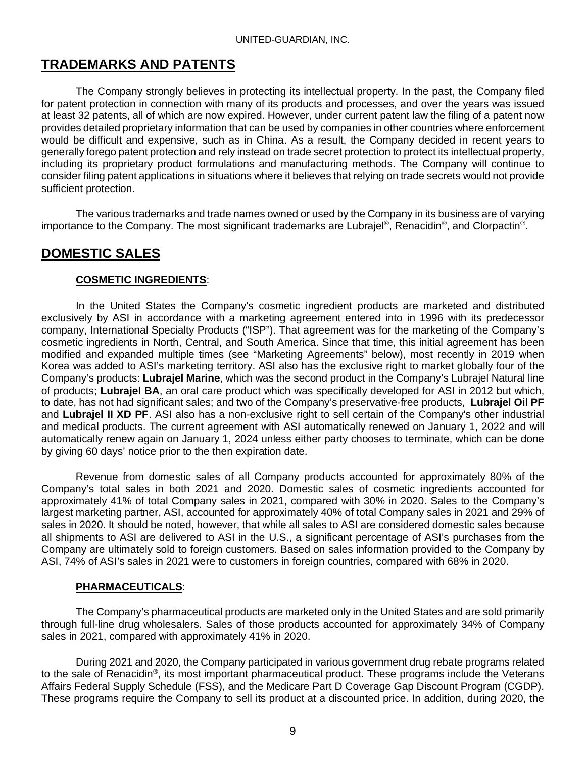# **TRADEMARKS AND PATENTS**

The Company strongly believes in protecting its intellectual property. In the past, the Company filed for patent protection in connection with many of its products and processes, and over the years was issued at least 32 patents, all of which are now expired. However, under current patent law the filing of a patent now provides detailed proprietary information that can be used by companies in other countries where enforcement would be difficult and expensive, such as in China. As a result, the Company decided in recent years to generally forego patent protection and rely instead on trade secret protection to protect its intellectual property, including its proprietary product formulations and manufacturing methods. The Company will continue to consider filing patent applications in situations where it believes that relying on trade secrets would not provide sufficient protection.

The various trademarks and trade names owned or used by the Company in its business are of varying importance to the Company. The most significant trademarks are Lubrajel®, Renacidin®, and Clorpactin®.

# **DOMESTIC SALES**

#### **COSMETIC INGREDIENTS**:

In the United States the Company's cosmetic ingredient products are marketed and distributed exclusively by ASI in accordance with a marketing agreement entered into in 1996 with its predecessor company, International Specialty Products ("ISP"). That agreement was for the marketing of the Company's cosmetic ingredients in North, Central, and South America. Since that time, this initial agreement has been modified and expanded multiple times (see "Marketing Agreements" below), most recently in 2019 when Korea was added to ASI's marketing territory. ASI also has the exclusive right to market globally four of the Company's products: **Lubrajel Marine**, which was the second product in the Company's Lubrajel Natural line of products; **Lubrajel BA**, an oral care product which was specifically developed for ASI in 2012 but which, to date, has not had significant sales; and two of the Company's preservative-free products, **Lubrajel Oil PF** and **Lubrajel II XD PF**. ASI also has a non-exclusive right to sell certain of the Company's other industrial and medical products. The current agreement with ASI automatically renewed on January 1, 2022 and will automatically renew again on January 1, 2024 unless either party chooses to terminate, which can be done by giving 60 days' notice prior to the then expiration date.

Revenue from domestic sales of all Company products accounted for approximately 80% of the Company's total sales in both 2021 and 2020. Domestic sales of cosmetic ingredients accounted for approximately 41% of total Company sales in 2021, compared with 30% in 2020. Sales to the Company's largest marketing partner, ASI, accounted for approximately 40% of total Company sales in 2021 and 29% of sales in 2020. It should be noted, however, that while all sales to ASI are considered domestic sales because all shipments to ASI are delivered to ASI in the U.S., a significant percentage of ASI's purchases from the Company are ultimately sold to foreign customers. Based on sales information provided to the Company by ASI, 74% of ASI's sales in 2021 were to customers in foreign countries, compared with 68% in 2020.

#### **PHARMACEUTICALS**:

The Company's pharmaceutical products are marketed only in the United States and are sold primarily through full-line drug wholesalers. Sales of those products accounted for approximately 34% of Company sales in 2021, compared with approximately 41% in 2020.

During 2021 and 2020, the Company participated in various government drug rebate programs related to the sale of Renacidin®, its most important pharmaceutical product. These programs include the Veterans Affairs Federal Supply Schedule (FSS), and the Medicare Part D Coverage Gap Discount Program (CGDP). These programs require the Company to sell its product at a discounted price. In addition, during 2020, the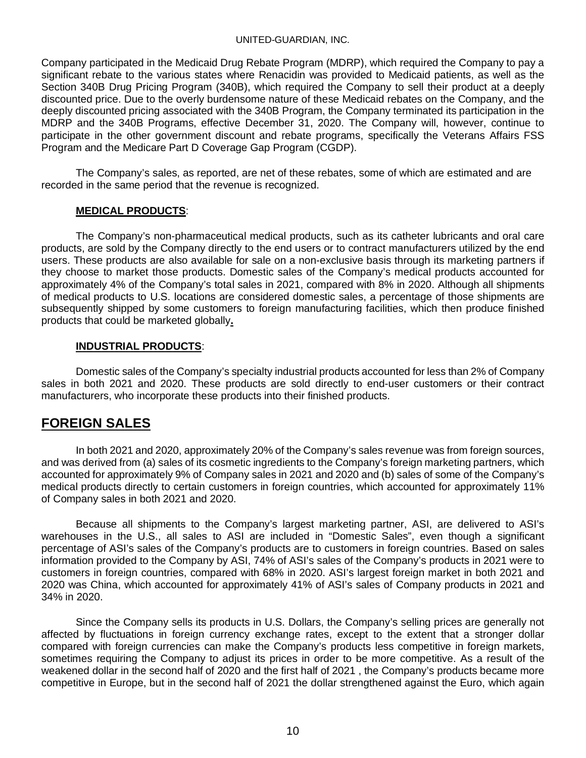Company participated in the Medicaid Drug Rebate Program (MDRP), which required the Company to pay a significant rebate to the various states where Renacidin was provided to Medicaid patients, as well as the Section 340B Drug Pricing Program (340B), which required the Company to sell their product at a deeply discounted price. Due to the overly burdensome nature of these Medicaid rebates on the Company, and the deeply discounted pricing associated with the 340B Program, the Company terminated its participation in the MDRP and the 340B Programs, effective December 31, 2020. The Company will, however, continue to participate in the other government discount and rebate programs, specifically the Veterans Affairs FSS Program and the Medicare Part D Coverage Gap Program (CGDP).

The Company's sales, as reported, are net of these rebates, some of which are estimated and are recorded in the same period that the revenue is recognized.

#### **MEDICAL PRODUCTS**:

The Company's non-pharmaceutical medical products, such as its catheter lubricants and oral care products, are sold by the Company directly to the end users or to contract manufacturers utilized by the end users. These products are also available for sale on a non-exclusive basis through its marketing partners if they choose to market those products. Domestic sales of the Company's medical products accounted for approximately 4% of the Company's total sales in 2021, compared with 8% in 2020. Although all shipments of medical products to U.S. locations are considered domestic sales, a percentage of those shipments are subsequently shipped by some customers to foreign manufacturing facilities, which then produce finished products that could be marketed globally**.**

#### **INDUSTRIAL PRODUCTS**:

Domestic sales of the Company's specialty industrial products accounted for less than 2% of Company sales in both 2021 and 2020. These products are sold directly to end-user customers or their contract manufacturers, who incorporate these products into their finished products.

### **FOREIGN SALES**

In both 2021 and 2020, approximately 20% of the Company's sales revenue was from foreign sources, and was derived from (a) sales of its cosmetic ingredients to the Company's foreign marketing partners, which accounted for approximately 9% of Company sales in 2021 and 2020 and (b) sales of some of the Company's medical products directly to certain customers in foreign countries, which accounted for approximately 11% of Company sales in both 2021 and 2020.

Because all shipments to the Company's largest marketing partner, ASI, are delivered to ASI's warehouses in the U.S., all sales to ASI are included in "Domestic Sales", even though a significant percentage of ASI's sales of the Company's products are to customers in foreign countries. Based on sales information provided to the Company by ASI, 74% of ASI's sales of the Company's products in 2021 were to customers in foreign countries, compared with 68% in 2020. ASI's largest foreign market in both 2021 and 2020 was China, which accounted for approximately 41% of ASI's sales of Company products in 2021 and 34% in 2020.

Since the Company sells its products in U.S. Dollars, the Company's selling prices are generally not affected by fluctuations in foreign currency exchange rates, except to the extent that a stronger dollar compared with foreign currencies can make the Company's products less competitive in foreign markets, sometimes requiring the Company to adjust its prices in order to be more competitive. As a result of the weakened dollar in the second half of 2020 and the first half of 2021 , the Company's products became more competitive in Europe, but in the second half of 2021 the dollar strengthened against the Euro, which again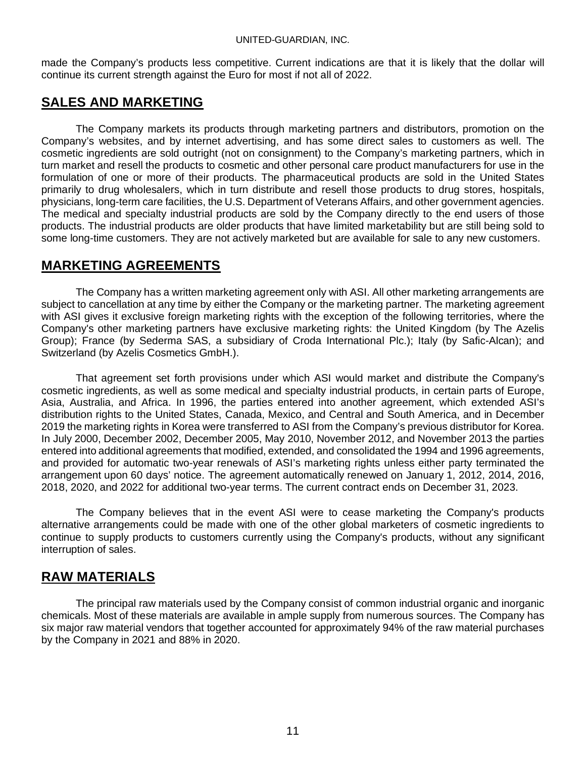made the Company's products less competitive. Current indications are that it is likely that the dollar will continue its current strength against the Euro for most if not all of 2022.

### **SALES AND MARKETING**

The Company markets its products through marketing partners and distributors, promotion on the Company's websites, and by internet advertising, and has some direct sales to customers as well. The cosmetic ingredients are sold outright (not on consignment) to the Company's marketing partners, which in turn market and resell the products to cosmetic and other personal care product manufacturers for use in the formulation of one or more of their products. The pharmaceutical products are sold in the United States primarily to drug wholesalers, which in turn distribute and resell those products to drug stores, hospitals, physicians, long-term care facilities, the U.S. Department of Veterans Affairs, and other government agencies. The medical and specialty industrial products are sold by the Company directly to the end users of those products. The industrial products are older products that have limited marketability but are still being sold to some long-time customers. They are not actively marketed but are available for sale to any new customers.

### **MARKETING AGREEMENTS**

The Company has a written marketing agreement only with ASI. All other marketing arrangements are subject to cancellation at any time by either the Company or the marketing partner. The marketing agreement with ASI gives it exclusive foreign marketing rights with the exception of the following territories, where the Company's other marketing partners have exclusive marketing rights: the United Kingdom (by The Azelis Group); France (by Sederma SAS, a subsidiary of Croda International Plc.); Italy (by Safic-Alcan); and Switzerland (by Azelis Cosmetics GmbH.).

That agreement set forth provisions under which ASI would market and distribute the Company's cosmetic ingredients, as well as some medical and specialty industrial products, in certain parts of Europe, Asia, Australia, and Africa. In 1996, the parties entered into another agreement, which extended ASI's distribution rights to the United States, Canada, Mexico, and Central and South America, and in December 2019 the marketing rights in Korea were transferred to ASI from the Company's previous distributor for Korea. In July 2000, December 2002, December 2005, May 2010, November 2012, and November 2013 the parties entered into additional agreements that modified, extended, and consolidated the 1994 and 1996 agreements, and provided for automatic two-year renewals of ASI's marketing rights unless either party terminated the arrangement upon 60 days' notice. The agreement automatically renewed on January 1, 2012, 2014, 2016, 2018, 2020, and 2022 for additional two-year terms. The current contract ends on December 31, 2023.

The Company believes that in the event ASI were to cease marketing the Company's products alternative arrangements could be made with one of the other global marketers of cosmetic ingredients to continue to supply products to customers currently using the Company's products, without any significant interruption of sales.

### **RAW MATERIALS**

The principal raw materials used by the Company consist of common industrial organic and inorganic chemicals. Most of these materials are available in ample supply from numerous sources. The Company has six major raw material vendors that together accounted for approximately 94% of the raw material purchases by the Company in 2021 and 88% in 2020.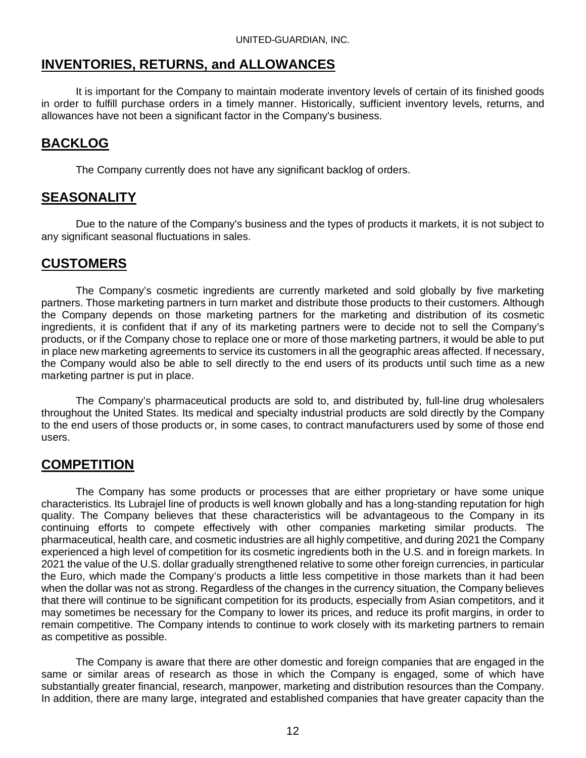# **INVENTORIES, RETURNS, and ALLOWANCES**

It is important for the Company to maintain moderate inventory levels of certain of its finished goods in order to fulfill purchase orders in a timely manner. Historically, sufficient inventory levels, returns, and allowances have not been a significant factor in the Company's business.

# **BACKLOG**

The Company currently does not have any significant backlog of orders.

# **SEASONALITY**

Due to the nature of the Company's business and the types of products it markets, it is not subject to any significant seasonal fluctuations in sales.

# **CUSTOMERS**

The Company's cosmetic ingredients are currently marketed and sold globally by five marketing partners. Those marketing partners in turn market and distribute those products to their customers. Although the Company depends on those marketing partners for the marketing and distribution of its cosmetic ingredients, it is confident that if any of its marketing partners were to decide not to sell the Company's products, or if the Company chose to replace one or more of those marketing partners, it would be able to put in place new marketing agreements to service its customers in all the geographic areas affected. If necessary, the Company would also be able to sell directly to the end users of its products until such time as a new marketing partner is put in place.

The Company's pharmaceutical products are sold to, and distributed by, full-line drug wholesalers throughout the United States. Its medical and specialty industrial products are sold directly by the Company to the end users of those products or, in some cases, to contract manufacturers used by some of those end users.

### **COMPETITION**

The Company has some products or processes that are either proprietary or have some unique characteristics. Its Lubrajel line of products is well known globally and has a long-standing reputation for high quality. The Company believes that these characteristics will be advantageous to the Company in its continuing efforts to compete effectively with other companies marketing similar products. The pharmaceutical, health care, and cosmetic industries are all highly competitive, and during 2021 the Company experienced a high level of competition for its cosmetic ingredients both in the U.S. and in foreign markets. In 2021 the value of the U.S. dollar gradually strengthened relative to some other foreign currencies, in particular the Euro, which made the Company's products a little less competitive in those markets than it had been when the dollar was not as strong. Regardless of the changes in the currency situation, the Company believes that there will continue to be significant competition for its products, especially from Asian competitors, and it may sometimes be necessary for the Company to lower its prices, and reduce its profit margins, in order to remain competitive. The Company intends to continue to work closely with its marketing partners to remain as competitive as possible.

The Company is aware that there are other domestic and foreign companies that are engaged in the same or similar areas of research as those in which the Company is engaged, some of which have substantially greater financial, research, manpower, marketing and distribution resources than the Company. In addition, there are many large, integrated and established companies that have greater capacity than the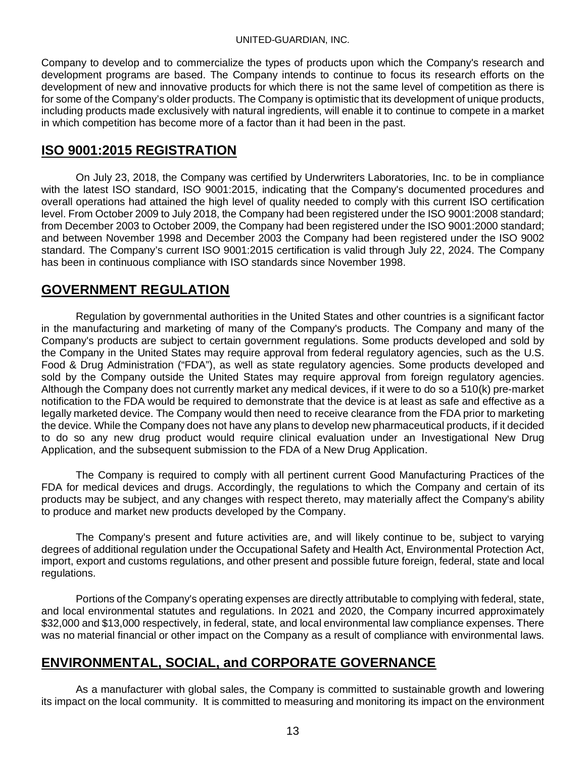Company to develop and to commercialize the types of products upon which the Company's research and development programs are based. The Company intends to continue to focus its research efforts on the development of new and innovative products for which there is not the same level of competition as there is for some of the Company's older products. The Company is optimistic that its development of unique products, including products made exclusively with natural ingredients, will enable it to continue to compete in a market in which competition has become more of a factor than it had been in the past.

### **ISO 9001:2015 REGISTRATION**

On July 23, 2018, the Company was certified by Underwriters Laboratories, Inc. to be in compliance with the latest ISO standard, ISO 9001:2015, indicating that the Company's documented procedures and overall operations had attained the high level of quality needed to comply with this current ISO certification level. From October 2009 to July 2018, the Company had been registered under the ISO 9001:2008 standard; from December 2003 to October 2009, the Company had been registered under the ISO 9001:2000 standard; and between November 1998 and December 2003 the Company had been registered under the ISO 9002 standard. The Company's current ISO 9001:2015 certification is valid through July 22, 2024. The Company has been in continuous compliance with ISO standards since November 1998.

### **GOVERNMENT REGULATION**

Regulation by governmental authorities in the United States and other countries is a significant factor in the manufacturing and marketing of many of the Company's products. The Company and many of the Company's products are subject to certain government regulations. Some products developed and sold by the Company in the United States may require approval from federal regulatory agencies, such as the U.S. Food & Drug Administration ("FDA"), as well as state regulatory agencies. Some products developed and sold by the Company outside the United States may require approval from foreign regulatory agencies. Although the Company does not currently market any medical devices, if it were to do so a 510(k) pre-market notification to the FDA would be required to demonstrate that the device is at least as safe and effective as a legally marketed device. The Company would then need to receive clearance from the FDA prior to marketing the device. While the Company does not have any plans to develop new pharmaceutical products, if it decided to do so any new drug product would require clinical evaluation under an Investigational New Drug Application, and the subsequent submission to the FDA of a New Drug Application.

The Company is required to comply with all pertinent current Good Manufacturing Practices of the FDA for medical devices and drugs. Accordingly, the regulations to which the Company and certain of its products may be subject, and any changes with respect thereto, may materially affect the Company's ability to produce and market new products developed by the Company.

The Company's present and future activities are, and will likely continue to be, subject to varying degrees of additional regulation under the Occupational Safety and Health Act, Environmental Protection Act, import, export and customs regulations, and other present and possible future foreign, federal, state and local regulations.

Portions of the Company's operating expenses are directly attributable to complying with federal, state, and local environmental statutes and regulations. In 2021 and 2020, the Company incurred approximately \$32,000 and \$13,000 respectively, in federal, state, and local environmental law compliance expenses. There was no material financial or other impact on the Company as a result of compliance with environmental laws.

### **ENVIRONMENTAL, SOCIAL, and CORPORATE GOVERNANCE**

As a manufacturer with global sales, the Company is committed to sustainable growth and lowering its impact on the local community. It is committed to measuring and monitoring its impact on the environment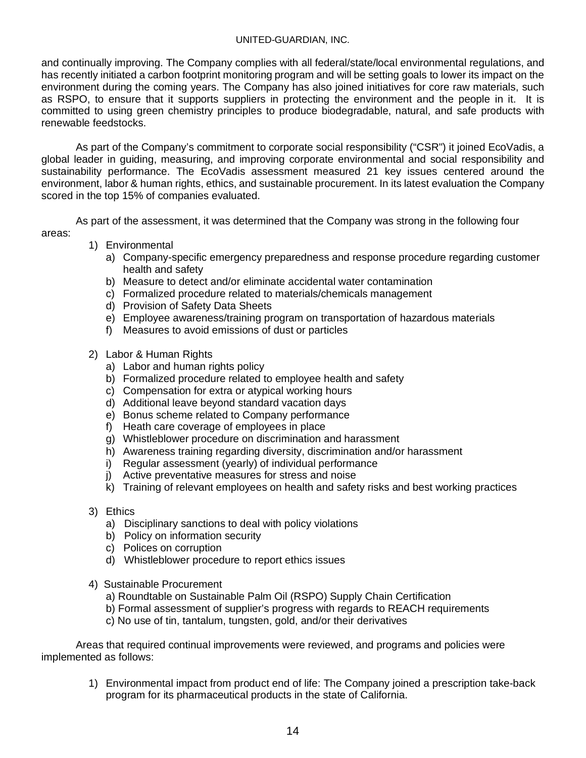and continually improving. The Company complies with all federal/state/local environmental regulations, and has recently initiated a carbon footprint monitoring program and will be setting goals to lower its impact on the environment during the coming years. The Company has also joined initiatives for core raw materials, such as RSPO, to ensure that it supports suppliers in protecting the environment and the people in it. It is committed to using green chemistry principles to produce biodegradable, natural, and safe products with renewable feedstocks.

As part of the Company's commitment to corporate social responsibility ("CSR") it joined EcoVadis, a global leader in guiding, measuring, and improving corporate environmental and social responsibility and sustainability performance. The EcoVadis assessment measured 21 key issues centered around the environment, labor & human rights, ethics, and sustainable procurement. In its latest evaluation the Company scored in the top 15% of companies evaluated.

As part of the assessment, it was determined that the Company was strong in the following four areas:

- 1) Environmental
	- a) Company-specific emergency preparedness and response procedure regarding customer health and safety
	- b) Measure to detect and/or eliminate accidental water contamination
	- c) Formalized procedure related to materials/chemicals management
	- d) Provision of Safety Data Sheets
	- e) Employee awareness/training program on transportation of hazardous materials
	- f) Measures to avoid emissions of dust or particles
- 2) Labor & Human Rights
	- a) Labor and human rights policy
	- b) Formalized procedure related to employee health and safety
	- c) Compensation for extra or atypical working hours
	- d) Additional leave beyond standard vacation days
	- e) Bonus scheme related to Company performance
	- f) Heath care coverage of employees in place
	- g) Whistleblower procedure on discrimination and harassment
	- h) Awareness training regarding diversity, discrimination and/or harassment
	- i) Regular assessment (yearly) of individual performance
	- j) Active preventative measures for stress and noise
	- k) Training of relevant employees on health and safety risks and best working practices

#### 3) Ethics

- a) Disciplinary sanctions to deal with policy violations
- b) Policy on information security
- c) Polices on corruption
- d) Whistleblower procedure to report ethics issues
- 4) Sustainable Procurement
	- a) Roundtable on Sustainable Palm Oil (RSPO) Supply Chain Certification
	- b) Formal assessment of supplier's progress with regards to REACH requirements
	- c) No use of tin, tantalum, tungsten, gold, and/or their derivatives

Areas that required continual improvements were reviewed, and programs and policies were implemented as follows:

> 1) Environmental impact from product end of life: The Company joined a prescription take-back program for its pharmaceutical products in the state of California.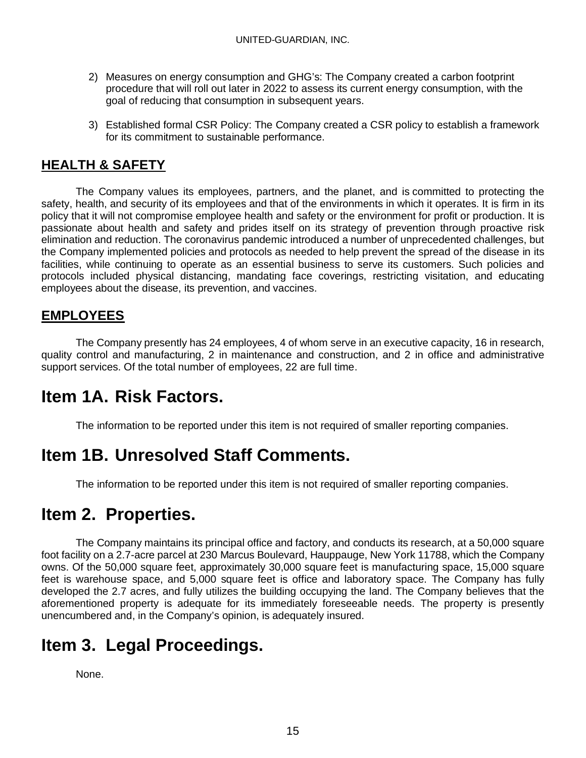- 2) Measures on energy consumption and GHG's: The Company created a carbon footprint procedure that will roll out later in 2022 to assess its current energy consumption, with the goal of reducing that consumption in subsequent years.
- 3) Established formal CSR Policy: The Company created a CSR policy to establish a framework for its commitment to sustainable performance.

# **HEALTH & SAFETY**

The Company values its employees, partners, and the planet, and is committed to protecting the safety, health, and security of its employees and that of the environments in which it operates. It is firm in its policy that it will not compromise employee health and safety or the environment for profit or production. It is passionate about health and safety and prides itself on its strategy of prevention through proactive risk elimination and reduction. The coronavirus pandemic introduced a number of unprecedented challenges, but the Company implemented policies and protocols as needed to help prevent the spread of the disease in its facilities, while continuing to operate as an essential business to serve its customers. Such policies and protocols included physical distancing, mandating face coverings, restricting visitation, and educating employees about the disease, its prevention, and vaccines.

# **EMPLOYEES**

The Company presently has 24 employees, 4 of whom serve in an executive capacity, 16 in research, quality control and manufacturing, 2 in maintenance and construction, and 2 in office and administrative support services. Of the total number of employees, 22 are full time.

# **Item 1A. Risk Factors.**

The information to be reported under this item is not required of smaller reporting companies.

# **Item 1B. Unresolved Staff Comments.**

The information to be reported under this item is not required of smaller reporting companies.

# **Item 2. Properties.**

The Company maintains its principal office and factory, and conducts its research, at a 50,000 square foot facility on a 2.7-acre parcel at 230 Marcus Boulevard, Hauppauge, New York 11788, which the Company owns. Of the 50,000 square feet, approximately 30,000 square feet is manufacturing space, 15,000 square feet is warehouse space, and 5,000 square feet is office and laboratory space. The Company has fully developed the 2.7 acres, and fully utilizes the building occupying the land. The Company believes that the aforementioned property is adequate for its immediately foreseeable needs. The property is presently unencumbered and, in the Company's opinion, is adequately insured.

# **Item 3. Legal Proceedings.**

None.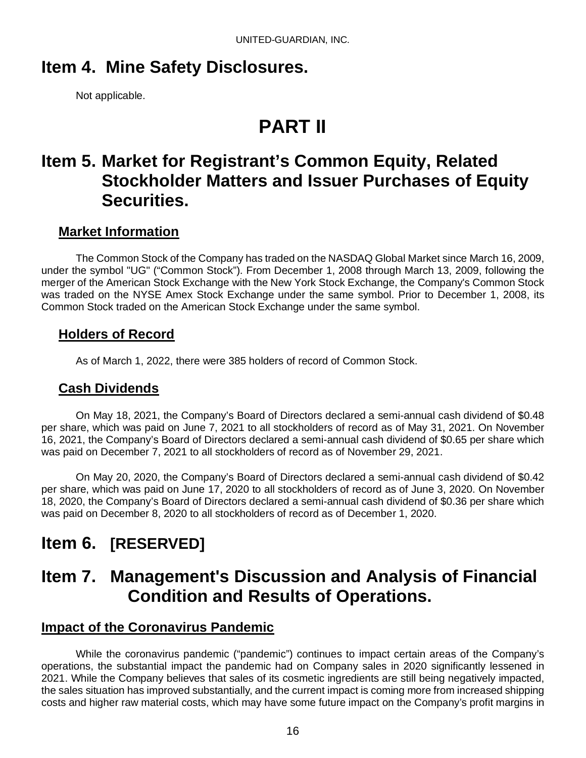# **Item 4. Mine Safety Disclosures.**

Not applicable.

# **PART II**

# **Item 5. Market for Registrant's Common Equity, Related Stockholder Matters and Issuer Purchases of Equity Securities.**

# **Market Information**

The Common Stock of the Company has traded on the NASDAQ Global Market since March 16, 2009, under the symbol "UG" ("Common Stock"). From December 1, 2008 through March 13, 2009, following the merger of the American Stock Exchange with the New York Stock Exchange, the Company's Common Stock was traded on the NYSE Amex Stock Exchange under the same symbol. Prior to December 1, 2008, its Common Stock traded on the American Stock Exchange under the same symbol.

# **Holders of Record**

As of March 1, 2022, there were 385 holders of record of Common Stock.

### **Cash Dividends**

On May 18, 2021, the Company's Board of Directors declared a semi-annual cash dividend of \$0.48 per share, which was paid on June 7, 2021 to all stockholders of record as of May 31, 2021. On November 16, 2021, the Company's Board of Directors declared a semi-annual cash dividend of \$0.65 per share which was paid on December 7, 2021 to all stockholders of record as of November 29, 2021.

On May 20, 2020, the Company's Board of Directors declared a semi-annual cash dividend of \$0.42 per share, which was paid on June 17, 2020 to all stockholders of record as of June 3, 2020. On November 18, 2020, the Company's Board of Directors declared a semi-annual cash dividend of \$0.36 per share which was paid on December 8, 2020 to all stockholders of record as of December 1, 2020.

# **Item 6. [RESERVED]**

# **Item 7. Management's Discussion and Analysis of Financial Condition and Results of Operations.**

# **Impact of the Coronavirus Pandemic**

While the coronavirus pandemic ("pandemic") continues to impact certain areas of the Company's operations, the substantial impact the pandemic had on Company sales in 2020 significantly lessened in 2021. While the Company believes that sales of its cosmetic ingredients are still being negatively impacted, the sales situation has improved substantially, and the current impact is coming more from increased shipping costs and higher raw material costs, which may have some future impact on the Company's profit margins in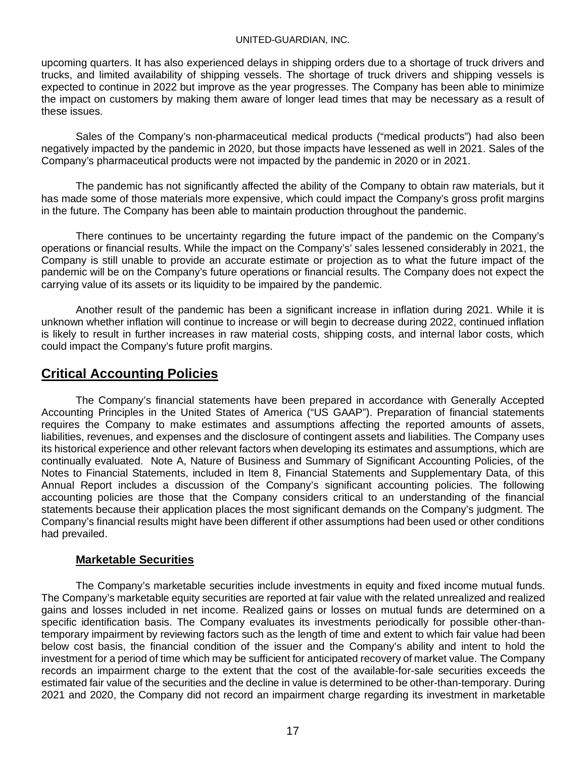upcoming quarters. It has also experienced delays in shipping orders due to a shortage of truck drivers and trucks, and limited availability of shipping vessels. The shortage of truck drivers and shipping vessels is expected to continue in 2022 but improve as the year progresses. The Company has been able to minimize the impact on customers by making them aware of longer lead times that may be necessary as a result of these issues.

Sales of the Company's non-pharmaceutical medical products ("medical products") had also been negatively impacted by the pandemic in 2020, but those impacts have lessened as well in 2021. Sales of the Company's pharmaceutical products were not impacted by the pandemic in 2020 or in 2021.

The pandemic has not significantly affected the ability of the Company to obtain raw materials, but it has made some of those materials more expensive, which could impact the Company's gross profit margins in the future. The Company has been able to maintain production throughout the pandemic.

There continues to be uncertainty regarding the future impact of the pandemic on the Company's operations or financial results. While the impact on the Company's' sales lessened considerably in 2021, the Company is still unable to provide an accurate estimate or projection as to what the future impact of the pandemic will be on the Company's future operations or financial results. The Company does not expect the carrying value of its assets or its liquidity to be impaired by the pandemic.

Another result of the pandemic has been a significant increase in inflation during 2021. While it is unknown whether inflation will continue to increase or will begin to decrease during 2022, continued inflation is likely to result in further increases in raw material costs, shipping costs, and internal labor costs, which could impact the Company's future profit margins.

# **Critical Accounting Policies**

The Company's financial statements have been prepared in accordance with Generally Accepted Accounting Principles in the United States of America ("US GAAP"). Preparation of financial statements requires the Company to make estimates and assumptions affecting the reported amounts of assets, liabilities, revenues, and expenses and the disclosure of contingent assets and liabilities. The Company uses its historical experience and other relevant factors when developing its estimates and assumptions, which are continually evaluated. Note A, Nature of Business and Summary of Significant Accounting Policies, of the Notes to Financial Statements, included in Item 8, Financial Statements and Supplementary Data, of this Annual Report includes a discussion of the Company's significant accounting policies. The following accounting policies are those that the Company considers critical to an understanding of the financial statements because their application places the most significant demands on the Company's judgment. The Company's financial results might have been different if other assumptions had been used or other conditions had prevailed.

#### **Marketable Securities**

The Company's marketable securities include investments in equity and fixed income mutual funds. The Company's marketable equity securities are reported at fair value with the related unrealized and realized gains and losses included in net income. Realized gains or losses on mutual funds are determined on a specific identification basis. The Company evaluates its investments periodically for possible other-thantemporary impairment by reviewing factors such as the length of time and extent to which fair value had been below cost basis, the financial condition of the issuer and the Company's ability and intent to hold the investment for a period of time which may be sufficient for anticipated recovery of market value. The Company records an impairment charge to the extent that the cost of the available-for-sale securities exceeds the estimated fair value of the securities and the decline in value is determined to be other-than-temporary. During 2021 and 2020, the Company did not record an impairment charge regarding its investment in marketable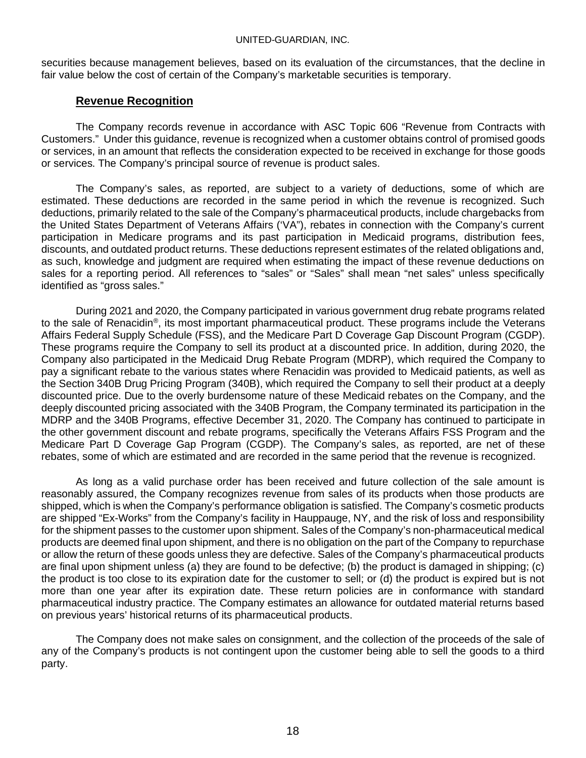securities because management believes, based on its evaluation of the circumstances, that the decline in fair value below the cost of certain of the Company's marketable securities is temporary.

#### **Revenue Recognition**

The Company records revenue in accordance with ASC Topic 606 "Revenue from Contracts with Customers." Under this guidance, revenue is recognized when a customer obtains control of promised goods or services, in an amount that reflects the consideration expected to be received in exchange for those goods or services. The Company's principal source of revenue is product sales.

The Company's sales, as reported, are subject to a variety of deductions, some of which are estimated. These deductions are recorded in the same period in which the revenue is recognized. Such deductions, primarily related to the sale of the Company's pharmaceutical products, include chargebacks from the United States Department of Veterans Affairs ('VA"), rebates in connection with the Company's current participation in Medicare programs and its past participation in Medicaid programs, distribution fees, discounts, and outdated product returns. These deductions represent estimates of the related obligations and, as such, knowledge and judgment are required when estimating the impact of these revenue deductions on sales for a reporting period. All references to "sales" or "Sales" shall mean "net sales" unless specifically identified as "gross sales."

During 2021 and 2020, the Company participated in various government drug rebate programs related to the sale of Renacidin®, its most important pharmaceutical product. These programs include the Veterans Affairs Federal Supply Schedule (FSS), and the Medicare Part D Coverage Gap Discount Program (CGDP). These programs require the Company to sell its product at a discounted price. In addition, during 2020, the Company also participated in the Medicaid Drug Rebate Program (MDRP), which required the Company to pay a significant rebate to the various states where Renacidin was provided to Medicaid patients, as well as the Section 340B Drug Pricing Program (340B), which required the Company to sell their product at a deeply discounted price. Due to the overly burdensome nature of these Medicaid rebates on the Company, and the deeply discounted pricing associated with the 340B Program, the Company terminated its participation in the MDRP and the 340B Programs, effective December 31, 2020. The Company has continued to participate in the other government discount and rebate programs, specifically the Veterans Affairs FSS Program and the Medicare Part D Coverage Gap Program (CGDP). The Company's sales, as reported, are net of these rebates, some of which are estimated and are recorded in the same period that the revenue is recognized.

As long as a valid purchase order has been received and future collection of the sale amount is reasonably assured, the Company recognizes revenue from sales of its products when those products are shipped, which is when the Company's performance obligation is satisfied. The Company's cosmetic products are shipped "Ex-Works" from the Company's facility in Hauppauge, NY, and the risk of loss and responsibility for the shipment passes to the customer upon shipment. Sales of the Company's non-pharmaceutical medical products are deemed final upon shipment, and there is no obligation on the part of the Company to repurchase or allow the return of these goods unless they are defective. Sales of the Company's pharmaceutical products are final upon shipment unless (a) they are found to be defective; (b) the product is damaged in shipping; (c) the product is too close to its expiration date for the customer to sell; or (d) the product is expired but is not more than one year after its expiration date. These return policies are in conformance with standard pharmaceutical industry practice. The Company estimates an allowance for outdated material returns based on previous years' historical returns of its pharmaceutical products.

The Company does not make sales on consignment, and the collection of the proceeds of the sale of any of the Company's products is not contingent upon the customer being able to sell the goods to a third party.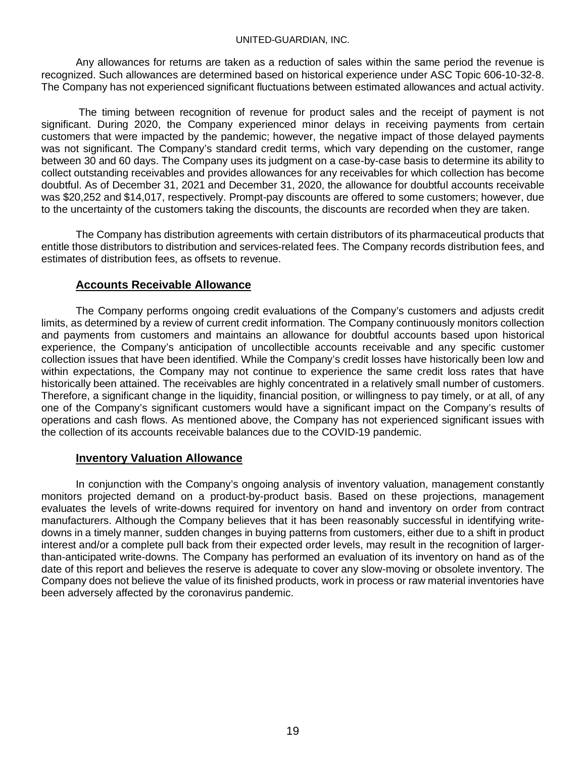Any allowances for returns are taken as a reduction of sales within the same period the revenue is recognized. Such allowances are determined based on historical experience under ASC Topic 606-10-32-8. The Company has not experienced significant fluctuations between estimated allowances and actual activity.

 The timing between recognition of revenue for product sales and the receipt of payment is not significant. During 2020, the Company experienced minor delays in receiving payments from certain customers that were impacted by the pandemic; however, the negative impact of those delayed payments was not significant. The Company's standard credit terms, which vary depending on the customer, range between 30 and 60 days. The Company uses its judgment on a case-by-case basis to determine its ability to collect outstanding receivables and provides allowances for any receivables for which collection has become doubtful. As of December 31, 2021 and December 31, 2020, the allowance for doubtful accounts receivable was \$20,252 and \$14,017, respectively. Prompt-pay discounts are offered to some customers; however, due to the uncertainty of the customers taking the discounts, the discounts are recorded when they are taken.

The Company has distribution agreements with certain distributors of its pharmaceutical products that entitle those distributors to distribution and services-related fees. The Company records distribution fees, and estimates of distribution fees, as offsets to revenue.

#### **Accounts Receivable Allowance**

The Company performs ongoing credit evaluations of the Company's customers and adjusts credit limits, as determined by a review of current credit information. The Company continuously monitors collection and payments from customers and maintains an allowance for doubtful accounts based upon historical experience, the Company's anticipation of uncollectible accounts receivable and any specific customer collection issues that have been identified. While the Company's credit losses have historically been low and within expectations, the Company may not continue to experience the same credit loss rates that have historically been attained. The receivables are highly concentrated in a relatively small number of customers. Therefore, a significant change in the liquidity, financial position, or willingness to pay timely, or at all, of any one of the Company's significant customers would have a significant impact on the Company's results of operations and cash flows. As mentioned above, the Company has not experienced significant issues with the collection of its accounts receivable balances due to the COVID-19 pandemic.

#### **Inventory Valuation Allowance**

In conjunction with the Company's ongoing analysis of inventory valuation, management constantly monitors projected demand on a product-by-product basis. Based on these projections, management evaluates the levels of write-downs required for inventory on hand and inventory on order from contract manufacturers. Although the Company believes that it has been reasonably successful in identifying writedowns in a timely manner, sudden changes in buying patterns from customers, either due to a shift in product interest and/or a complete pull back from their expected order levels, may result in the recognition of largerthan-anticipated write-downs. The Company has performed an evaluation of its inventory on hand as of the date of this report and believes the reserve is adequate to cover any slow-moving or obsolete inventory. The Company does not believe the value of its finished products, work in process or raw material inventories have been adversely affected by the coronavirus pandemic.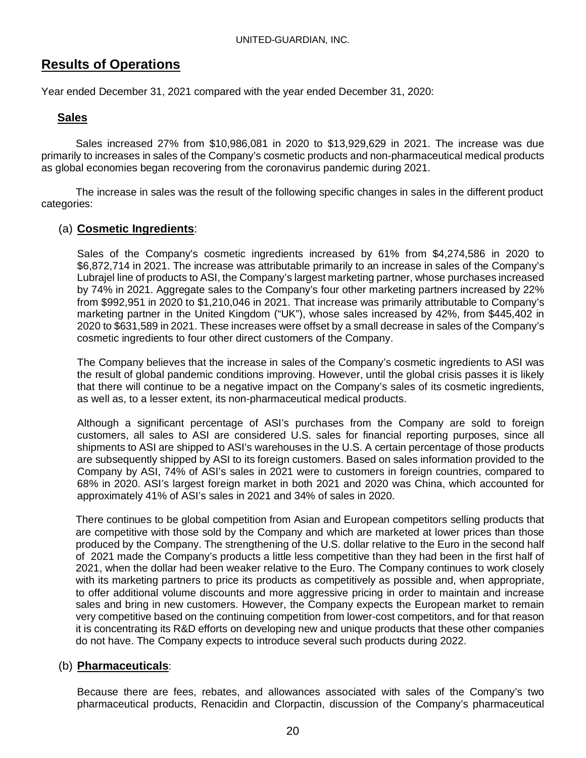# **Results of Operations**

Year ended December 31, 2021 compared with the year ended December 31, 2020:

### **Sales**

Sales increased 27% from \$10,986,081 in 2020 to \$13,929,629 in 2021. The increase was due primarily to increases in sales of the Company's cosmetic products and non-pharmaceutical medical products as global economies began recovering from the coronavirus pandemic during 2021.

The increase in sales was the result of the following specific changes in sales in the different product categories:

#### (a) **Cosmetic Ingredients**:

Sales of the Company's cosmetic ingredients increased by 61% from \$4,274,586 in 2020 to \$6,872,714 in 2021. The increase was attributable primarily to an increase in sales of the Company's Lubrajel line of products to ASI, the Company's largest marketing partner, whose purchases increased by 74% in 2021. Aggregate sales to the Company's four other marketing partners increased by 22% from \$992,951 in 2020 to \$1,210,046 in 2021. That increase was primarily attributable to Company's marketing partner in the United Kingdom ("UK"), whose sales increased by 42%, from \$445,402 in 2020 to \$631,589 in 2021. These increases were offset by a small decrease in sales of the Company's cosmetic ingredients to four other direct customers of the Company.

The Company believes that the increase in sales of the Company's cosmetic ingredients to ASI was the result of global pandemic conditions improving. However, until the global crisis passes it is likely that there will continue to be a negative impact on the Company's sales of its cosmetic ingredients, as well as, to a lesser extent, its non-pharmaceutical medical products.

Although a significant percentage of ASI's purchases from the Company are sold to foreign customers, all sales to ASI are considered U.S. sales for financial reporting purposes, since all shipments to ASI are shipped to ASI's warehouses in the U.S. A certain percentage of those products are subsequently shipped by ASI to its foreign customers. Based on sales information provided to the Company by ASI, 74% of ASI's sales in 2021 were to customers in foreign countries, compared to 68% in 2020. ASI's largest foreign market in both 2021 and 2020 was China, which accounted for approximately 41% of ASI's sales in 2021 and 34% of sales in 2020.

There continues to be global competition from Asian and European competitors selling products that are competitive with those sold by the Company and which are marketed at lower prices than those produced by the Company. The strengthening of the U.S. dollar relative to the Euro in the second half of 2021 made the Company's products a little less competitive than they had been in the first half of 2021, when the dollar had been weaker relative to the Euro. The Company continues to work closely with its marketing partners to price its products as competitively as possible and, when appropriate, to offer additional volume discounts and more aggressive pricing in order to maintain and increase sales and bring in new customers. However, the Company expects the European market to remain very competitive based on the continuing competition from lower-cost competitors, and for that reason it is concentrating its R&D efforts on developing new and unique products that these other companies do not have. The Company expects to introduce several such products during 2022.

#### (b) **Pharmaceuticals**:

Because there are fees, rebates, and allowances associated with sales of the Company's two pharmaceutical products, Renacidin and Clorpactin, discussion of the Company's pharmaceutical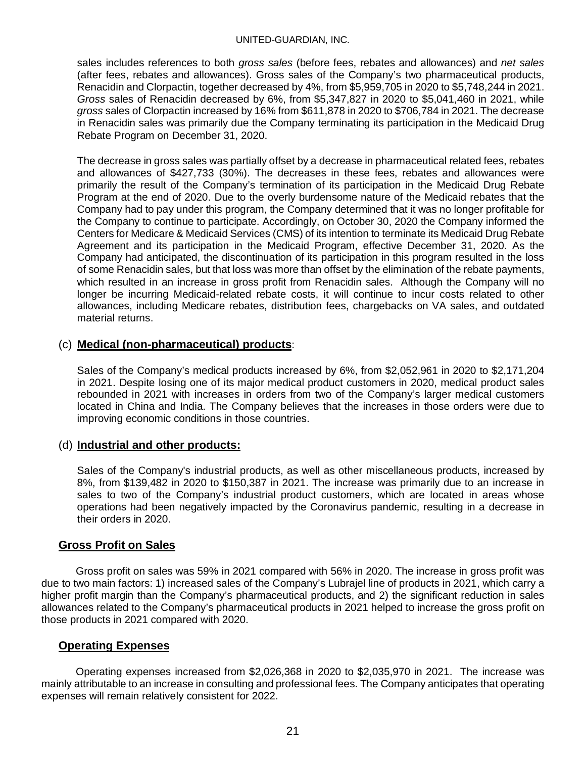sales includes references to both *gross sales* (before fees, rebates and allowances) and *net sales* (after fees, rebates and allowances). Gross sales of the Company's two pharmaceutical products, Renacidin and Clorpactin, together decreased by 4%, from \$5,959,705 in 2020 to \$5,748,244 in 2021. *Gross* sales of Renacidin decreased by 6%, from \$5,347,827 in 2020 to \$5,041,460 in 2021, while *gross* sales of Clorpactin increased by 16% from \$611,878 in 2020 to \$706,784 in 2021. The decrease in Renacidin sales was primarily due the Company terminating its participation in the Medicaid Drug Rebate Program on December 31, 2020.

The decrease in gross sales was partially offset by a decrease in pharmaceutical related fees, rebates and allowances of \$427,733 (30%). The decreases in these fees, rebates and allowances were primarily the result of the Company's termination of its participation in the Medicaid Drug Rebate Program at the end of 2020. Due to the overly burdensome nature of the Medicaid rebates that the Company had to pay under this program, the Company determined that it was no longer profitable for the Company to continue to participate. Accordingly, on October 30, 2020 the Company informed the Centers for Medicare & Medicaid Services (CMS) of its intention to terminate its Medicaid Drug Rebate Agreement and its participation in the Medicaid Program, effective December 31, 2020. As the Company had anticipated, the discontinuation of its participation in this program resulted in the loss of some Renacidin sales, but that loss was more than offset by the elimination of the rebate payments, which resulted in an increase in gross profit from Renacidin sales. Although the Company will no longer be incurring Medicaid-related rebate costs, it will continue to incur costs related to other allowances, including Medicare rebates, distribution fees, chargebacks on VA sales, and outdated material returns.

#### (c) **Medical (non-pharmaceutical) products**:

Sales of the Company's medical products increased by 6%, from \$2,052,961 in 2020 to \$2,171,204 in 2021. Despite losing one of its major medical product customers in 2020, medical product sales rebounded in 2021 with increases in orders from two of the Company's larger medical customers located in China and India. The Company believes that the increases in those orders were due to improving economic conditions in those countries.

#### (d) **Industrial and other products:**

Sales of the Company's industrial products, as well as other miscellaneous products, increased by 8%, from \$139,482 in 2020 to \$150,387 in 2021. The increase was primarily due to an increase in sales to two of the Company's industrial product customers, which are located in areas whose operations had been negatively impacted by the Coronavirus pandemic, resulting in a decrease in their orders in 2020.

#### **Gross Profit on Sales**

Gross profit on sales was 59% in 2021 compared with 56% in 2020. The increase in gross profit was due to two main factors: 1) increased sales of the Company's Lubrajel line of products in 2021, which carry a higher profit margin than the Company's pharmaceutical products, and 2) the significant reduction in sales allowances related to the Company's pharmaceutical products in 2021 helped to increase the gross profit on those products in 2021 compared with 2020.

### **Operating Expenses**

Operating expenses increased from \$2,026,368 in 2020 to \$2,035,970 in 2021. The increase was mainly attributable to an increase in consulting and professional fees. The Company anticipates that operating expenses will remain relatively consistent for 2022.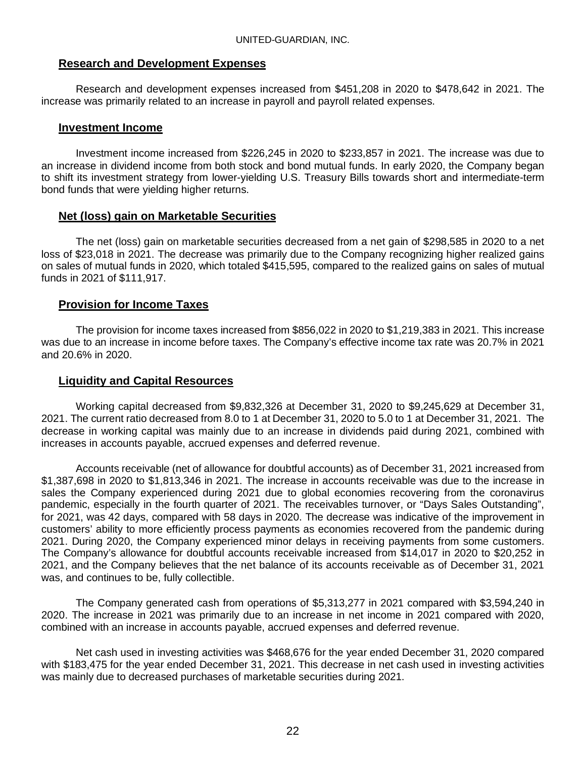#### **Research and Development Expenses**

Research and development expenses increased from \$451,208 in 2020 to \$478,642 in 2021. The increase was primarily related to an increase in payroll and payroll related expenses.

#### **Investment Income**

Investment income increased from \$226,245 in 2020 to \$233,857 in 2021. The increase was due to an increase in dividend income from both stock and bond mutual funds. In early 2020, the Company began to shift its investment strategy from lower-yielding U.S. Treasury Bills towards short and intermediate-term bond funds that were yielding higher returns.

#### **Net (loss) gain on Marketable Securities**

The net (loss) gain on marketable securities decreased from a net gain of \$298,585 in 2020 to a net loss of \$23,018 in 2021. The decrease was primarily due to the Company recognizing higher realized gains on sales of mutual funds in 2020, which totaled \$415,595, compared to the realized gains on sales of mutual funds in 2021 of \$111,917.

#### **Provision for Income Taxes**

The provision for income taxes increased from \$856,022 in 2020 to \$1,219,383 in 2021. This increase was due to an increase in income before taxes. The Company's effective income tax rate was 20.7% in 2021 and 20.6% in 2020.

#### **Liquidity and Capital Resources**

Working capital decreased from \$9,832,326 at December 31, 2020 to \$9,245,629 at December 31, 2021. The current ratio decreased from 8.0 to 1 at December 31, 2020 to 5.0 to 1 at December 31, 2021. The decrease in working capital was mainly due to an increase in dividends paid during 2021, combined with increases in accounts payable, accrued expenses and deferred revenue.

Accounts receivable (net of allowance for doubtful accounts) as of December 31, 2021 increased from \$1,387,698 in 2020 to \$1,813,346 in 2021. The increase in accounts receivable was due to the increase in sales the Company experienced during 2021 due to global economies recovering from the coronavirus pandemic, especially in the fourth quarter of 2021. The receivables turnover, or "Days Sales Outstanding", for 2021, was 42 days, compared with 58 days in 2020. The decrease was indicative of the improvement in customers' ability to more efficiently process payments as economies recovered from the pandemic during 2021. During 2020, the Company experienced minor delays in receiving payments from some customers. The Company's allowance for doubtful accounts receivable increased from \$14,017 in 2020 to \$20,252 in 2021, and the Company believes that the net balance of its accounts receivable as of December 31, 2021 was, and continues to be, fully collectible.

The Company generated cash from operations of \$5,313,277 in 2021 compared with \$3,594,240 in 2020. The increase in 2021 was primarily due to an increase in net income in 2021 compared with 2020, combined with an increase in accounts payable, accrued expenses and deferred revenue.

Net cash used in investing activities was \$468,676 for the year ended December 31, 2020 compared with \$183,475 for the year ended December 31, 2021. This decrease in net cash used in investing activities was mainly due to decreased purchases of marketable securities during 2021.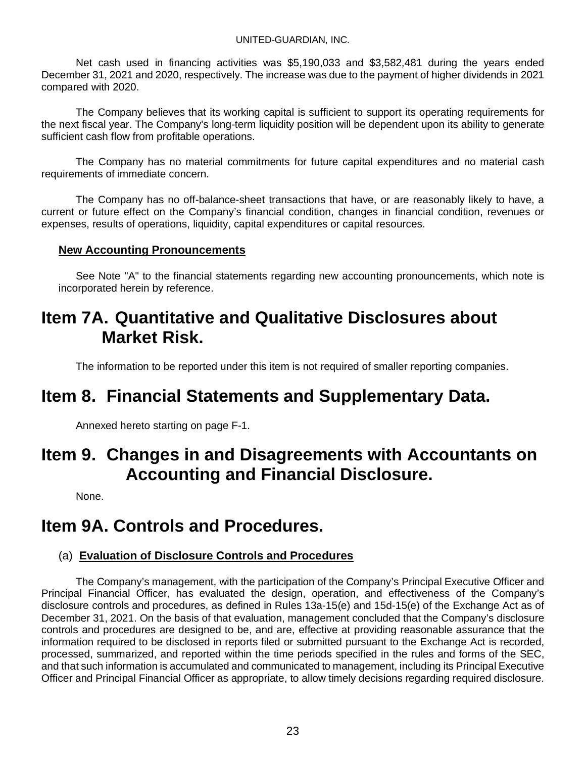Net cash used in financing activities was \$5,190,033 and \$3,582,481 during the years ended December 31, 2021 and 2020, respectively. The increase was due to the payment of higher dividends in 2021 compared with 2020.

The Company believes that its working capital is sufficient to support its operating requirements for the next fiscal year. The Company's long-term liquidity position will be dependent upon its ability to generate sufficient cash flow from profitable operations.

The Company has no material commitments for future capital expenditures and no material cash requirements of immediate concern.

The Company has no off-balance-sheet transactions that have, or are reasonably likely to have, a current or future effect on the Company's financial condition, changes in financial condition, revenues or expenses, results of operations, liquidity, capital expenditures or capital resources.

#### **New Accounting Pronouncements**

See Note "A" to the financial statements regarding new accounting pronouncements, which note is incorporated herein by reference.

# **Item 7A. Quantitative and Qualitative Disclosures about Market Risk.**

The information to be reported under this item is not required of smaller reporting companies.

# **Item 8. Financial Statements and Supplementary Data.**

Annexed hereto starting on page F-1.

# **Item 9. Changes in and Disagreements with Accountants on Accounting and Financial Disclosure.**

None.

# **Item 9A. Controls and Procedures.**

### (a) **Evaluation of Disclosure Controls and Procedures**

The Company's management, with the participation of the Company's Principal Executive Officer and Principal Financial Officer, has evaluated the design, operation, and effectiveness of the Company's disclosure controls and procedures, as defined in Rules 13a-15(e) and 15d-15(e) of the Exchange Act as of December 31, 2021. On the basis of that evaluation, management concluded that the Company's disclosure controls and procedures are designed to be, and are, effective at providing reasonable assurance that the information required to be disclosed in reports filed or submitted pursuant to the Exchange Act is recorded, processed, summarized, and reported within the time periods specified in the rules and forms of the SEC, and that such information is accumulated and communicated to management, including its Principal Executive Officer and Principal Financial Officer as appropriate, to allow timely decisions regarding required disclosure.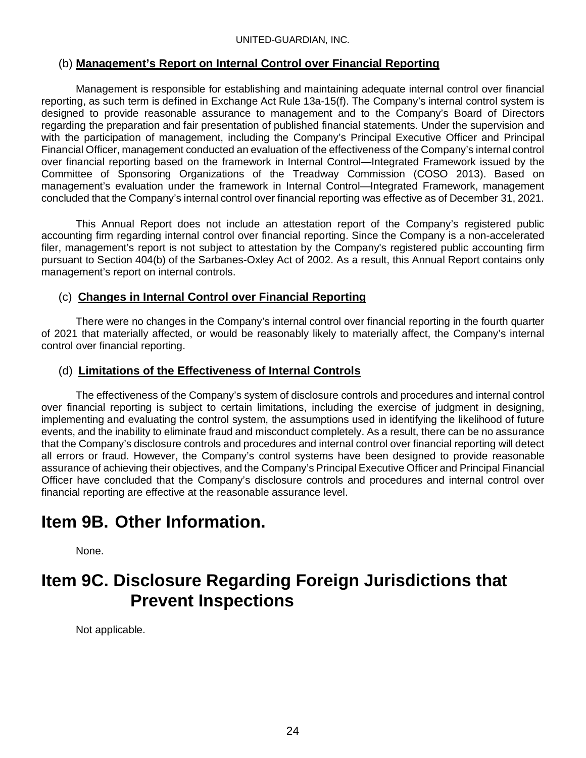#### (b) **Management's Report on Internal Control over Financial Reporting**

Management is responsible for establishing and maintaining adequate internal control over financial reporting, as such term is defined in Exchange Act Rule 13a-15(f). The Company's internal control system is designed to provide reasonable assurance to management and to the Company's Board of Directors regarding the preparation and fair presentation of published financial statements. Under the supervision and with the participation of management, including the Company's Principal Executive Officer and Principal Financial Officer, management conducted an evaluation of the effectiveness of the Company's internal control over financial reporting based on the framework in Internal Control—Integrated Framework issued by the Committee of Sponsoring Organizations of the Treadway Commission (COSO 2013). Based on management's evaluation under the framework in Internal Control—Integrated Framework, management concluded that the Company's internal control over financial reporting was effective as of December 31, 2021.

This Annual Report does not include an attestation report of the Company's registered public accounting firm regarding internal control over financial reporting. Since the Company is a non-accelerated filer, management's report is not subject to attestation by the Company's registered public accounting firm pursuant to Section 404(b) of the Sarbanes-Oxley Act of 2002. As a result, this Annual Report contains only management's report on internal controls.

### (c) **Changes in Internal Control over Financial Reporting**

There were no changes in the Company's internal control over financial reporting in the fourth quarter of 2021 that materially affected, or would be reasonably likely to materially affect, the Company's internal control over financial reporting.

### (d) **Limitations of the Effectiveness of Internal Controls**

The effectiveness of the Company's system of disclosure controls and procedures and internal control over financial reporting is subject to certain limitations, including the exercise of judgment in designing, implementing and evaluating the control system, the assumptions used in identifying the likelihood of future events, and the inability to eliminate fraud and misconduct completely. As a result, there can be no assurance that the Company's disclosure controls and procedures and internal control over financial reporting will detect all errors or fraud. However, the Company's control systems have been designed to provide reasonable assurance of achieving their objectives, and the Company's Principal Executive Officer and Principal Financial Officer have concluded that the Company's disclosure controls and procedures and internal control over financial reporting are effective at the reasonable assurance level.

# **Item 9B. Other Information.**

None.

# **Item 9C. Disclosure Regarding Foreign Jurisdictions that Prevent Inspections**

Not applicable.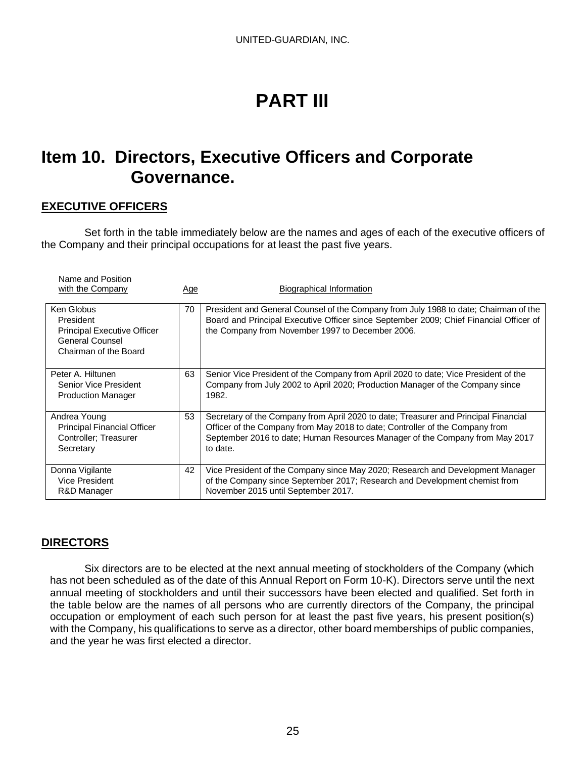# **PART III**

# **Item 10. Directors, Executive Officers and Corporate Governance.**

### **EXECUTIVE OFFICERS**

Set forth in the table immediately below are the names and ages of each of the executive officers of the Company and their principal occupations for at least the past five years.

| Name and Position<br>with the Company                                                                     | Age | <b>Biographical Information</b>                                                                                                                                                                                                                                 |
|-----------------------------------------------------------------------------------------------------------|-----|-----------------------------------------------------------------------------------------------------------------------------------------------------------------------------------------------------------------------------------------------------------------|
| Ken Globus<br>President<br><b>Principal Executive Officer</b><br>General Counsel<br>Chairman of the Board | 70  | President and General Counsel of the Company from July 1988 to date; Chairman of the<br>Board and Principal Executive Officer since September 2009; Chief Financial Officer of<br>the Company from November 1997 to December 2006.                              |
| Peter A. Hiltunen<br>Senior Vice President<br><b>Production Manager</b>                                   | 63  | Senior Vice President of the Company from April 2020 to date; Vice President of the<br>Company from July 2002 to April 2020; Production Manager of the Company since<br>1982.                                                                                   |
| Andrea Young<br><b>Principal Financial Officer</b><br>Controller; Treasurer<br>Secretary                  | 53  | Secretary of the Company from April 2020 to date; Treasurer and Principal Financial<br>Officer of the Company from May 2018 to date; Controller of the Company from<br>September 2016 to date; Human Resources Manager of the Company from May 2017<br>to date. |
| Donna Vigilante<br>Vice President<br>R&D Manager                                                          | 42  | Vice President of the Company since May 2020; Research and Development Manager<br>of the Company since September 2017; Research and Development chemist from<br>November 2015 until September 2017.                                                             |

### **DIRECTORS**

Six directors are to be elected at the next annual meeting of stockholders of the Company (which has not been scheduled as of the date of this Annual Report on Form 10-K). Directors serve until the next annual meeting of stockholders and until their successors have been elected and qualified. Set forth in the table below are the names of all persons who are currently directors of the Company, the principal occupation or employment of each such person for at least the past five years, his present position(s) with the Company, his qualifications to serve as a director, other board memberships of public companies, and the year he was first elected a director.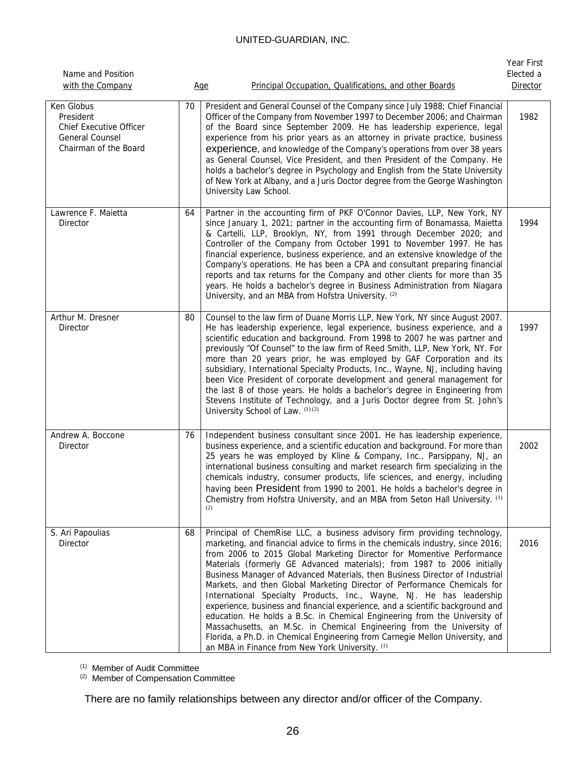| Name and Position<br>with the Company                                                                 |    | Principal Occupation, Qualifications, and other Boards<br><u>Age</u>                                                                                                                                                                                                                                                                                                                                                                                                                                                                                                                                                                                                                                                                                                                                                                                                                                                               | Year First<br>Elected a<br>Director |
|-------------------------------------------------------------------------------------------------------|----|------------------------------------------------------------------------------------------------------------------------------------------------------------------------------------------------------------------------------------------------------------------------------------------------------------------------------------------------------------------------------------------------------------------------------------------------------------------------------------------------------------------------------------------------------------------------------------------------------------------------------------------------------------------------------------------------------------------------------------------------------------------------------------------------------------------------------------------------------------------------------------------------------------------------------------|-------------------------------------|
| Ken Globus<br>President<br><b>Chief Executive Officer</b><br>General Counsel<br>Chairman of the Board | 70 | President and General Counsel of the Company since July 1988; Chief Financial<br>Officer of the Company from November 1997 to December 2006; and Chairman<br>of the Board since September 2009. He has leadership experience, legal<br>experience from his prior years as an attorney in private practice, business<br>experience, and knowledge of the Company's operations from over 38 years<br>as General Counsel, Vice President, and then President of the Company. He<br>holds a bachelor's degree in Psychology and English from the State University<br>of New York at Albany, and a Juris Doctor degree from the George Washington<br>University Law School.                                                                                                                                                                                                                                                             | 1982                                |
| Lawrence F. Maietta<br>Director                                                                       | 64 | Partner in the accounting firm of PKF O'Connor Davies, LLP, New York, NY<br>since January 1, 2021; partner in the accounting firm of Bonamassa, Maietta<br>& Cartelli, LLP, Brooklyn, NY, from 1991 through December 2020; and<br>Controller of the Company from October 1991 to November 1997. He has<br>financial experience, business experience, and an extensive knowledge of the<br>Company's operations. He has been a CPA and consultant preparing financial<br>reports and tax returns for the Company and other clients for more than 35<br>years. He holds a bachelor's degree in Business Administration from Niagara<br>University, and an MBA from Hofstra University. (2)                                                                                                                                                                                                                                           | 1994                                |
| Arthur M. Dresner<br>Director                                                                         | 80 | Counsel to the law firm of Duane Morris LLP, New York, NY since August 2007.<br>He has leadership experience, legal experience, business experience, and a<br>scientific education and background. From 1998 to 2007 he was partner and<br>previously "Of Counsel" to the law firm of Reed Smith, LLP, New York, NY. For<br>more than 20 years prior, he was employed by GAF Corporation and its<br>subsidiary, International Specialty Products, Inc., Wayne, NJ, including having<br>been Vice President of corporate development and general management for<br>the last 8 of those years. He holds a bachelor's degree in Engineering from<br>Stevens Institute of Technology, and a Juris Doctor degree from St. John's<br>University School of Law. (1)(2)                                                                                                                                                                    | 1997                                |
| Andrew A. Boccone<br>Director                                                                         | 76 | Independent business consultant since 2001. He has leadership experience,<br>business experience, and a scientific education and background. For more than<br>25 years he was employed by Kline & Company, Inc., Parsippany, NJ, an<br>international business consulting and market research firm specializing in the<br>chemicals industry, consumer products, life sciences, and energy, including<br>having been President from 1990 to 2001. He holds a bachelor's degree in<br>Chemistry from Hofstra University, and an MBA from Seton Hall University. (1)<br>(2)                                                                                                                                                                                                                                                                                                                                                           | 2002                                |
| S. Ari Papoulias<br>Director                                                                          | 68 | Principal of ChemRise LLC, a business advisory firm providing technology,<br>marketing, and financial advice to firms in the chemicals industry, since 2016;<br>from 2006 to 2015 Global Marketing Director for Momentive Performance<br>Materials (formerly GE Advanced materials); from 1987 to 2006 initially<br>Business Manager of Advanced Materials, then Business Director of Industrial<br>Markets, and then Global Marketing Director of Performance Chemicals for<br>International Specialty Products, Inc., Wayne, NJ. He has leadership<br>experience, business and financial experience, and a scientific background and<br>education. He holds a B.Sc. in Chemical Engineering from the University of<br>Massachusetts, an M.Sc. in Chemical Engineering from the University of<br>Florida, a Ph.D. in Chemical Engineering from Carnegie Mellon University, and<br>an MBA in Finance from New York University. (1) | 2016                                |

(1) Member of Audit Committee

(2) Member of Compensation Committee

There are no family relationships between any director and/or officer of the Company.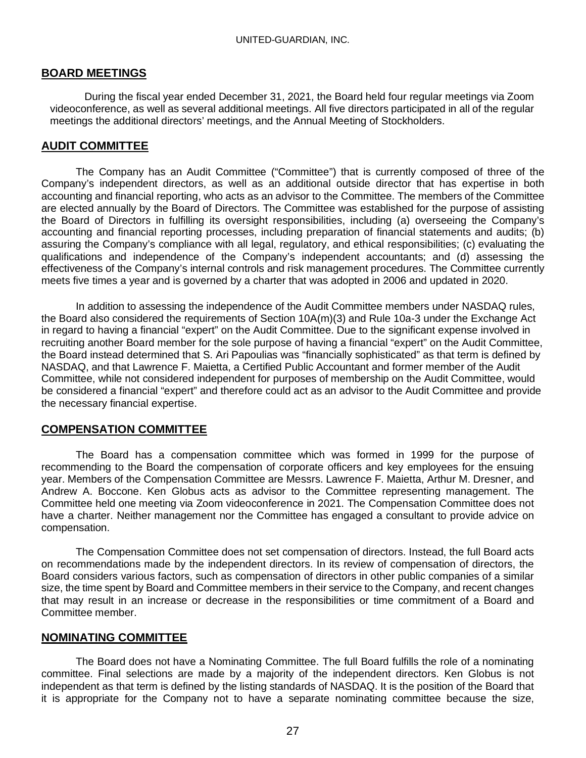#### **BOARD MEETINGS**

During the fiscal year ended December 31, 2021, the Board held four regular meetings via Zoom videoconference, as well as several additional meetings. All five directors participated in all of the regular meetings the additional directors' meetings, and the Annual Meeting of Stockholders.

#### **AUDIT COMMITTEE**

The Company has an Audit Committee ("Committee") that is currently composed of three of the Company's independent directors, as well as an additional outside director that has expertise in both accounting and financial reporting, who acts as an advisor to the Committee. The members of the Committee are elected annually by the Board of Directors. The Committee was established for the purpose of assisting the Board of Directors in fulfilling its oversight responsibilities, including (a) overseeing the Company's accounting and financial reporting processes, including preparation of financial statements and audits; (b) assuring the Company's compliance with all legal, regulatory, and ethical responsibilities; (c) evaluating the qualifications and independence of the Company's independent accountants; and (d) assessing the effectiveness of the Company's internal controls and risk management procedures. The Committee currently meets five times a year and is governed by a charter that was adopted in 2006 and updated in 2020.

In addition to assessing the independence of the Audit Committee members under NASDAQ rules, the Board also considered the requirements of Section 10A(m)(3) and Rule 10a-3 under the Exchange Act in regard to having a financial "expert" on the Audit Committee. Due to the significant expense involved in recruiting another Board member for the sole purpose of having a financial "expert" on the Audit Committee, the Board instead determined that S. Ari Papoulias was "financially sophisticated" as that term is defined by NASDAQ, and that Lawrence F. Maietta, a Certified Public Accountant and former member of the Audit Committee, while not considered independent for purposes of membership on the Audit Committee, would be considered a financial "expert" and therefore could act as an advisor to the Audit Committee and provide the necessary financial expertise.

#### **COMPENSATION COMMITTEE**

The Board has a compensation committee which was formed in 1999 for the purpose of recommending to the Board the compensation of corporate officers and key employees for the ensuing year. Members of the Compensation Committee are Messrs. Lawrence F. Maietta, Arthur M. Dresner, and Andrew A. Boccone. Ken Globus acts as advisor to the Committee representing management. The Committee held one meeting via Zoom videoconference in 2021. The Compensation Committee does not have a charter. Neither management nor the Committee has engaged a consultant to provide advice on compensation.

The Compensation Committee does not set compensation of directors. Instead, the full Board acts on recommendations made by the independent directors. In its review of compensation of directors, the Board considers various factors, such as compensation of directors in other public companies of a similar size, the time spent by Board and Committee members in their service to the Company, and recent changes that may result in an increase or decrease in the responsibilities or time commitment of a Board and Committee member.

#### **NOMINATING COMMITTEE**

The Board does not have a Nominating Committee. The full Board fulfills the role of a nominating committee. Final selections are made by a majority of the independent directors. Ken Globus is not independent as that term is defined by the listing standards of NASDAQ. It is the position of the Board that it is appropriate for the Company not to have a separate nominating committee because the size,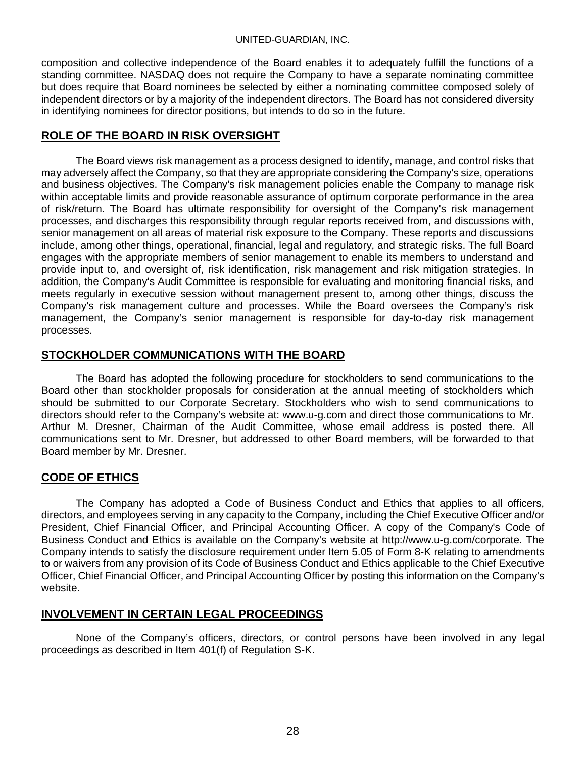composition and collective independence of the Board enables it to adequately fulfill the functions of a standing committee. NASDAQ does not require the Company to have a separate nominating committee but does require that Board nominees be selected by either a nominating committee composed solely of independent directors or by a majority of the independent directors. The Board has not considered diversity in identifying nominees for director positions, but intends to do so in the future.

### **ROLE OF THE BOARD IN RISK OVERSIGHT**

The Board views risk management as a process designed to identify, manage, and control risks that may adversely affect the Company, so that they are appropriate considering the Company's size, operations and business objectives. The Company's risk management policies enable the Company to manage risk within acceptable limits and provide reasonable assurance of optimum corporate performance in the area of risk/return. The Board has ultimate responsibility for oversight of the Company's risk management processes, and discharges this responsibility through regular reports received from, and discussions with, senior management on all areas of material risk exposure to the Company. These reports and discussions include, among other things, operational, financial, legal and regulatory, and strategic risks. The full Board engages with the appropriate members of senior management to enable its members to understand and provide input to, and oversight of, risk identification, risk management and risk mitigation strategies. In addition, the Company's Audit Committee is responsible for evaluating and monitoring financial risks, and meets regularly in executive session without management present to, among other things, discuss the Company's risk management culture and processes. While the Board oversees the Company's risk management, the Company's senior management is responsible for day-to-day risk management processes.

### **STOCKHOLDER COMMUNICATIONS WITH THE BOARD**

The Board has adopted the following procedure for stockholders to send communications to the Board other than stockholder proposals for consideration at the annual meeting of stockholders which should be submitted to our Corporate Secretary. Stockholders who wish to send communications to directors should refer to the Company's website at: www.u-g.com and direct those communications to Mr. Arthur M. Dresner, Chairman of the Audit Committee, whose email address is posted there. All communications sent to Mr. Dresner, but addressed to other Board members, will be forwarded to that Board member by Mr. Dresner.

### **CODE OF ETHICS**

The Company has adopted a Code of Business Conduct and Ethics that applies to all officers, directors, and employees serving in any capacity to the Company, including the Chief Executive Officer and/or President, Chief Financial Officer, and Principal Accounting Officer. A copy of the Company's Code of Business Conduct and Ethics is available on the Company's website at http://www.u-g.com/corporate. The Company intends to satisfy the disclosure requirement under Item 5.05 of Form 8-K relating to amendments to or waivers from any provision of its Code of Business Conduct and Ethics applicable to the Chief Executive Officer, Chief Financial Officer, and Principal Accounting Officer by posting this information on the Company's website.

### **INVOLVEMENT IN CERTAIN LEGAL PROCEEDINGS**

None of the Company's officers, directors, or control persons have been involved in any legal proceedings as described in Item 401(f) of Regulation S-K.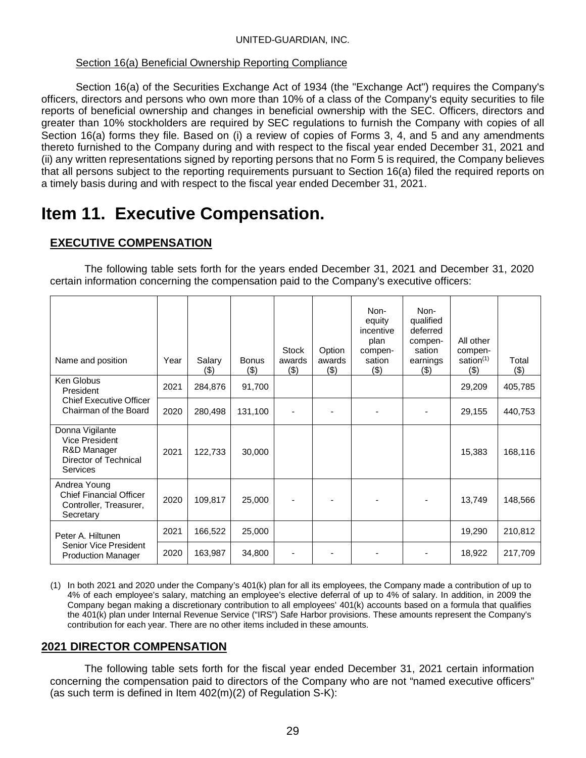#### Section 16(a) Beneficial Ownership Reporting Compliance

Section 16(a) of the Securities Exchange Act of 1934 (the "Exchange Act") requires the Company's officers, directors and persons who own more than 10% of a class of the Company's equity securities to file reports of beneficial ownership and changes in beneficial ownership with the SEC. Officers, directors and greater than 10% stockholders are required by SEC regulations to furnish the Company with copies of all Section 16(a) forms they file. Based on (i) a review of copies of Forms 3, 4, and 5 and any amendments thereto furnished to the Company during and with respect to the fiscal year ended December 31, 2021 and (ii) any written representations signed by reporting persons that no Form 5 is required, the Company believes that all persons subject to the reporting requirements pursuant to Section 16(a) filed the required reports on a timely basis during and with respect to the fiscal year ended December 31, 2021.

# **Item 11. Executive Compensation.**

#### **EXECUTIVE COMPENSATION**

The following table sets forth for the years ended December 31, 2021 and December 31, 2020 certain information concerning the compensation paid to the Company's executive officers:

| Name and position                                                                     | Year | Salary<br>$($ \$) | <b>Bonus</b><br>$($ \$) | <b>Stock</b><br>awards<br>$($ \$) | Option<br>awards<br>(3) | Non-<br>equity<br>incentive<br>plan<br>compen-<br>sation<br>$(\$)$ | Non-<br>qualified<br>deferred<br>compen-<br>sation<br>earnings<br>$($ \$) | All other<br>compen-<br>sation $(1)$<br>(3) | Total<br>(3) |
|---------------------------------------------------------------------------------------|------|-------------------|-------------------------|-----------------------------------|-------------------------|--------------------------------------------------------------------|---------------------------------------------------------------------------|---------------------------------------------|--------------|
| Ken Globus<br>President                                                               | 2021 | 284,876           | 91,700                  |                                   |                         |                                                                    |                                                                           | 29,209                                      | 405,785      |
| <b>Chief Executive Officer</b><br>Chairman of the Board                               | 2020 | 280,498           | 131,100                 |                                   |                         |                                                                    |                                                                           | 29,155                                      | 440,753      |
| Donna Vigilante<br>Vice President<br>R&D Manager<br>Director of Technical<br>Services | 2021 | 122,733           | 30,000                  |                                   |                         |                                                                    |                                                                           | 15,383                                      | 168,116      |
| Andrea Young<br><b>Chief Financial Officer</b><br>Controller, Treasurer,<br>Secretary | 2020 | 109,817           | 25,000                  |                                   |                         |                                                                    |                                                                           | 13,749                                      | 148,566      |
| Peter A. Hiltunen                                                                     | 2021 | 166,522           | 25,000                  |                                   |                         |                                                                    |                                                                           | 19,290                                      | 210,812      |
| Senior Vice President<br><b>Production Manager</b>                                    | 2020 | 163,987           | 34,800                  |                                   |                         |                                                                    |                                                                           | 18,922                                      | 217,709      |

(1) In both 2021 and 2020 under the Company's 401(k) plan for all its employees, the Company made a contribution of up to 4% of each employee's salary, matching an employee's elective deferral of up to 4% of salary. In addition, in 2009 the Company began making a discretionary contribution to all employees' 401(k) accounts based on a formula that qualifies the 401(k) plan under Internal Revenue Service ("IRS") Safe Harbor provisions. These amounts represent the Company's contribution for each year. There are no other items included in these amounts.

#### **2021 DIRECTOR COMPENSATION**

The following table sets forth for the fiscal year ended December 31, 2021 certain information concerning the compensation paid to directors of the Company who are not "named executive officers" (as such term is defined in Item 402(m)(2) of Regulation S-K):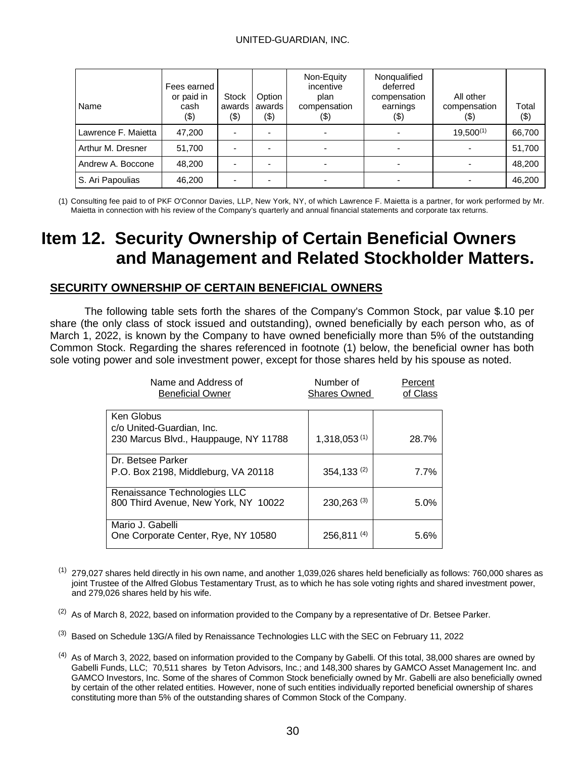| Name                | Fees earned<br>or paid in<br>cash<br>$($ \$) | Stock<br>awards<br>(3) | Option<br>awards<br>(\$) | Non-Equity<br>incentive<br>plan<br>compensation<br>(\$) | Nonqualified<br>deferred<br>compensation<br>earnings<br>$($ \$) | All other<br>compensation<br>$($ \$) | Total<br>(3) |
|---------------------|----------------------------------------------|------------------------|--------------------------|---------------------------------------------------------|-----------------------------------------------------------------|--------------------------------------|--------------|
| Lawrence F. Maietta | 47,200                                       |                        |                          |                                                         |                                                                 | $19,500^{(1)}$                       | 66,700       |
| Arthur M. Dresner   | 51,700                                       |                        |                          |                                                         |                                                                 |                                      | 51,700       |
| Andrew A. Boccone   | 48,200                                       |                        |                          |                                                         |                                                                 |                                      | 48,200       |
| S. Ari Papoulias    | 46.200                                       |                        |                          |                                                         |                                                                 |                                      | 46,200       |

(1) Consulting fee paid to of PKF O'Connor Davies, LLP, New York, NY, of which Lawrence F. Maietta is a partner, for work performed by Mr. Maietta in connection with his review of the Company's quarterly and annual financial statements and corporate tax returns.

# **Item 12. Security Ownership of Certain Beneficial Owners and Management and Related Stockholder Matters.**

#### **SECURITY OWNERSHIP OF CERTAIN BENEFICIAL OWNERS**

The following table sets forth the shares of the Company's Common Stock, par value \$.10 per share (the only class of stock issued and outstanding), owned beneficially by each person who, as of March 1, 2022, is known by the Company to have owned beneficially more than 5% of the outstanding Common Stock. Regarding the shares referenced in footnote (1) below, the beneficial owner has both sole voting power and sole investment power, except for those shares held by his spouse as noted.

| Name and Address of<br><b>Beneficial Owner</b>                                   | Number of<br><b>Shares Owned</b> | Percent<br>of Class |
|----------------------------------------------------------------------------------|----------------------------------|---------------------|
| Ken Globus<br>c/o United-Guardian, Inc.<br>230 Marcus Blvd., Hauppauge, NY 11788 | $1,318,053^{(1)}$                | 28.7%               |
| Dr. Betsee Parker<br>P.O. Box 2198, Middleburg, VA 20118                         | $354,133^{(2)}$                  | 7.7%                |
| Renaissance Technologies LLC<br>800 Third Avenue, New York, NY 10022             | $230,263^{(3)}$                  | 5.0%                |
| Mario J. Gabelli<br>One Corporate Center, Rye, NY 10580                          | $256,811^{(4)}$                  | 5.6%                |

- $(1)$  279,027 shares held directly in his own name, and another 1,039,026 shares held beneficially as follows: 760,000 shares as joint Trustee of the Alfred Globus Testamentary Trust, as to which he has sole voting rights and shared investment power, and 279,026 shares held by his wife.
- $(2)$  As of March 8, 2022, based on information provided to the Company by a representative of Dr. Betsee Parker.
- (3) Based on Schedule 13G/A filed by Renaissance Technologies LLC with the SEC on February 11, 2022
- <sup>(4)</sup> As of March 3, 2022, based on information provided to the Company by Gabelli. Of this total, 38,000 shares are owned by Gabelli Funds, LLC; 70,511 shares by Teton Advisors, Inc.; and 148,300 shares by GAMCO Asset Management Inc. and GAMCO Investors, Inc. Some of the shares of Common Stock beneficially owned by Mr. Gabelli are also beneficially owned by certain of the other related entities. However, none of such entities individually reported beneficial ownership of shares constituting more than 5% of the outstanding shares of Common Stock of the Company.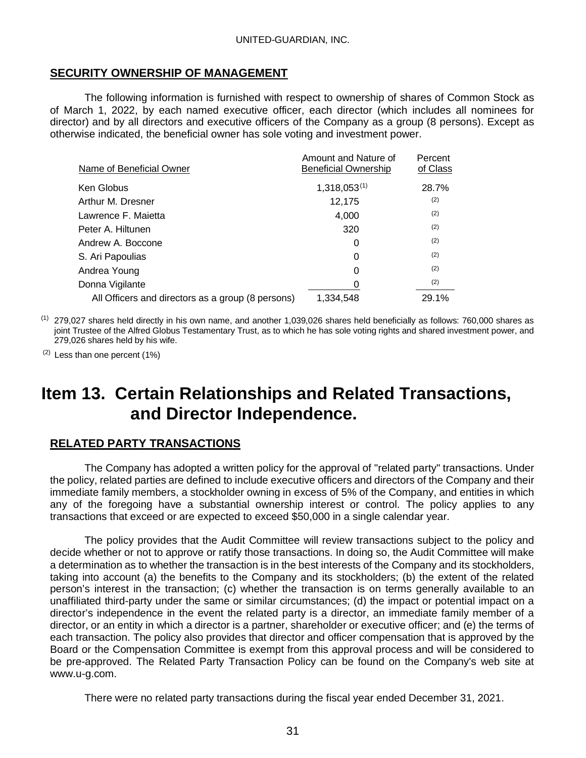#### **SECURITY OWNERSHIP OF MANAGEMENT**

The following information is furnished with respect to ownership of shares of Common Stock as of March 1, 2022, by each named executive officer, each director (which includes all nominees for director) and by all directors and executive officers of the Company as a group (8 persons). Except as otherwise indicated, the beneficial owner has sole voting and investment power.

| Name of Beneficial Owner                          | Amount and Nature of<br><b>Beneficial Ownership</b> | Percent<br>of Class |
|---------------------------------------------------|-----------------------------------------------------|---------------------|
| Ken Globus                                        | $1,318,053^{(1)}$                                   | 28.7%               |
| Arthur M. Dresner                                 | 12,175                                              | (2)                 |
| Lawrence F. Maietta                               | 4,000                                               | (2)                 |
| Peter A. Hiltunen                                 | 320                                                 | (2)                 |
| Andrew A. Boccone                                 | 0                                                   | (2)                 |
| S. Ari Papoulias                                  | 0                                                   | (2)                 |
| Andrea Young                                      | 0                                                   | (2)                 |
| Donna Vigilante                                   | 0                                                   | (2)                 |
| All Officers and directors as a group (8 persons) | 1,334,548                                           | 29.1%               |

 $(1)$  279,027 shares held directly in his own name, and another 1,039,026 shares held beneficially as follows: 760,000 shares as joint Trustee of the Alfred Globus Testamentary Trust, as to which he has sole voting rights and shared investment power, and 279,026 shares held by his wife.

 $(2)$  Less than one percent (1%)

# **Item 13. Certain Relationships and Related Transactions, and Director Independence.**

#### **RELATED PARTY TRANSACTIONS**

The Company has adopted a written policy for the approval of "related party" transactions. Under the policy, related parties are defined to include executive officers and directors of the Company and their immediate family members, a stockholder owning in excess of 5% of the Company, and entities in which any of the foregoing have a substantial ownership interest or control. The policy applies to any transactions that exceed or are expected to exceed \$50,000 in a single calendar year.

The policy provides that the Audit Committee will review transactions subject to the policy and decide whether or not to approve or ratify those transactions. In doing so, the Audit Committee will make a determination as to whether the transaction is in the best interests of the Company and its stockholders, taking into account (a) the benefits to the Company and its stockholders; (b) the extent of the related person's interest in the transaction; (c) whether the transaction is on terms generally available to an unaffiliated third-party under the same or similar circumstances; (d) the impact or potential impact on a director's independence in the event the related party is a director, an immediate family member of a director, or an entity in which a director is a partner, shareholder or executive officer; and (e) the terms of each transaction. The policy also provides that director and officer compensation that is approved by the Board or the Compensation Committee is exempt from this approval process and will be considered to be pre-approved. The Related Party Transaction Policy can be found on the Company's web site at www.u-g.com.

There were no related party transactions during the fiscal year ended December 31, 2021.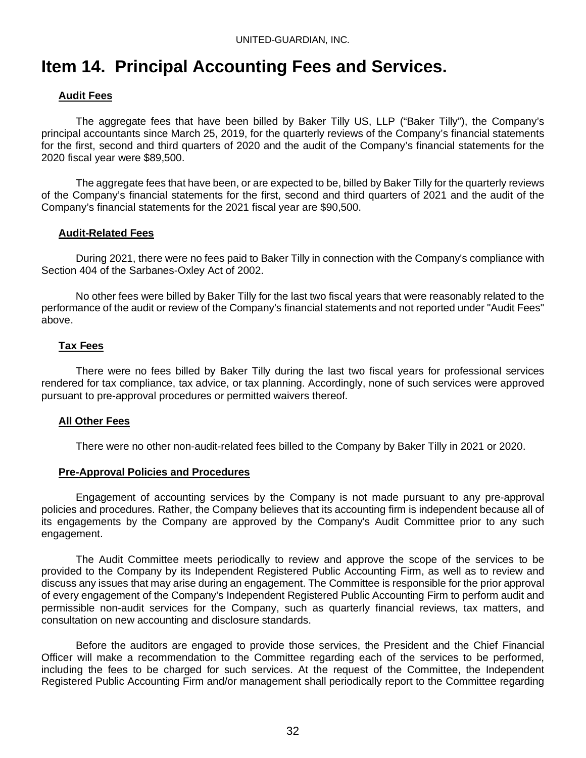# **Item 14. Principal Accounting Fees and Services.**

#### **Audit Fees**

The aggregate fees that have been billed by Baker Tilly US, LLP ("Baker Tilly"), the Company's principal accountants since March 25, 2019, for the quarterly reviews of the Company's financial statements for the first, second and third quarters of 2020 and the audit of the Company's financial statements for the 2020 fiscal year were \$89,500.

The aggregate fees that have been, or are expected to be, billed by Baker Tilly for the quarterly reviews of the Company's financial statements for the first, second and third quarters of 2021 and the audit of the Company's financial statements for the 2021 fiscal year are \$90,500.

#### **Audit-Related Fees**

During 2021, there were no fees paid to Baker Tilly in connection with the Company's compliance with Section 404 of the Sarbanes-Oxley Act of 2002.

 No other fees were billed by Baker Tilly for the last two fiscal years that were reasonably related to the performance of the audit or review of the Company's financial statements and not reported under "Audit Fees" above.

#### **Tax Fees**

There were no fees billed by Baker Tilly during the last two fiscal years for professional services rendered for tax compliance, tax advice, or tax planning. Accordingly, none of such services were approved pursuant to pre-approval procedures or permitted waivers thereof.

#### **All Other Fees**

There were no other non-audit-related fees billed to the Company by Baker Tilly in 2021 or 2020.

#### **Pre-Approval Policies and Procedures**

Engagement of accounting services by the Company is not made pursuant to any pre-approval policies and procedures. Rather, the Company believes that its accounting firm is independent because all of its engagements by the Company are approved by the Company's Audit Committee prior to any such engagement.

The Audit Committee meets periodically to review and approve the scope of the services to be provided to the Company by its Independent Registered Public Accounting Firm, as well as to review and discuss any issues that may arise during an engagement. The Committee is responsible for the prior approval of every engagement of the Company's Independent Registered Public Accounting Firm to perform audit and permissible non-audit services for the Company, such as quarterly financial reviews, tax matters, and consultation on new accounting and disclosure standards.

Before the auditors are engaged to provide those services, the President and the Chief Financial Officer will make a recommendation to the Committee regarding each of the services to be performed, including the fees to be charged for such services. At the request of the Committee, the Independent Registered Public Accounting Firm and/or management shall periodically report to the Committee regarding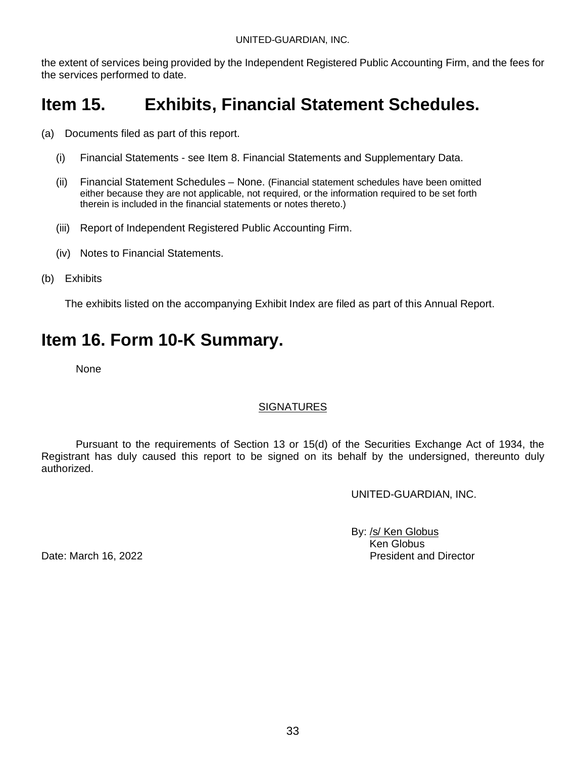the extent of services being provided by the Independent Registered Public Accounting Firm, and the fees for the services performed to date.

# **Item 15. Exhibits, Financial Statement Schedules.**

- (a) Documents filed as part of this report.
	- (i) Financial Statements see Item 8. Financial Statements and Supplementary Data.
	- (ii) Financial Statement Schedules None. (Financial statement schedules have been omitted either because they are not applicable, not required, or the information required to be set forth therein is included in the financial statements or notes thereto.)
	- (iii) Report of Independent Registered Public Accounting Firm.
	- (iv) Notes to Financial Statements.
- (b) Exhibits

The exhibits listed on the accompanying Exhibit Index are filed as part of this Annual Report.

# **Item 16. Form 10-K Summary.**

None

### **SIGNATURES**

Pursuant to the requirements of Section 13 or 15(d) of the Securities Exchange Act of 1934, the Registrant has duly caused this report to be signed on its behalf by the undersigned, thereunto duly authorized.

UNITED-GUARDIAN, INC.

By: /s/ Ken Globus Ken Globus Date: March 16, 2022 **President and Director**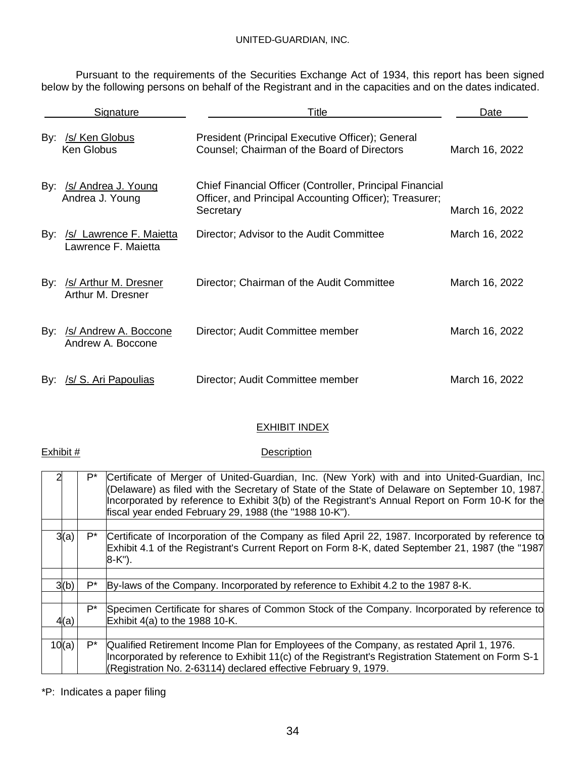Pursuant to the requirements of the Securities Exchange Act of 1934, this report has been signed below by the following persons on behalf of the Registrant and in the capacities and on the dates indicated.

|     | Signature                                      | Title                                                                                                                           | Date           |
|-----|------------------------------------------------|---------------------------------------------------------------------------------------------------------------------------------|----------------|
| By: | /s/ Ken Globus<br>Ken Globus                   | President (Principal Executive Officer); General<br>Counsel; Chairman of the Board of Directors                                 | March 16, 2022 |
| By: | <u>/s/ Andrea J. Young</u><br>Andrea J. Young  | Chief Financial Officer (Controller, Principal Financial<br>Officer, and Principal Accounting Officer); Treasurer;<br>Secretary | March 16, 2022 |
| By: | /s/ Lawrence F. Maietta<br>Lawrence F. Maietta | Director; Advisor to the Audit Committee                                                                                        | March 16, 2022 |
| By: | /s/ Arthur M. Dresner<br>Arthur M. Dresner     | Director; Chairman of the Audit Committee                                                                                       | March 16, 2022 |
| By: | /s/ Andrew A. Boccone<br>Andrew A. Boccone     | Director; Audit Committee member                                                                                                | March 16, 2022 |
| By: | /s/ S. Ari Papoulias                           | Director; Audit Committee member                                                                                                | March 16, 2022 |

#### EXHIBIT INDEX

Exhibit # Description

|       | P* | Certificate of Merger of United-Guardian, Inc. (New York) with and into United-Guardian, Inc.<br>(Delaware) as filed with the Secretary of State of the State of Delaware on September 10, 1987.<br>Incorporated by reference to Exhibit 3(b) of the Registrant's Annual Report on Form 10-K for the<br>fiscal year ended February 29, 1988 (the "1988 10-K"). |
|-------|----|----------------------------------------------------------------------------------------------------------------------------------------------------------------------------------------------------------------------------------------------------------------------------------------------------------------------------------------------------------------|
|       |    |                                                                                                                                                                                                                                                                                                                                                                |
| 3(a)  | P* | Certificate of Incorporation of the Company as filed April 22, 1987. Incorporated by reference to<br>Exhibit 4.1 of the Registrant's Current Report on Form 8-K, dated September 21, 1987 (the "1987<br>8-K").                                                                                                                                                 |
|       |    |                                                                                                                                                                                                                                                                                                                                                                |
| 3(b)  | P* | By-laws of the Company. Incorporated by reference to Exhibit 4.2 to the 1987 8-K.                                                                                                                                                                                                                                                                              |
|       |    |                                                                                                                                                                                                                                                                                                                                                                |
| 4(a)  | P* | Specimen Certificate for shares of Common Stock of the Company. Incorporated by reference to<br>Exhibit $4(a)$ to the 1988 10-K.                                                                                                                                                                                                                               |
|       |    |                                                                                                                                                                                                                                                                                                                                                                |
| 10(a) | P* | Qualified Retirement Income Plan for Employees of the Company, as restated April 1, 1976.<br>Incorporated by reference to Exhibit 11(c) of the Registrant's Registration Statement on Form S-1<br>(Registration No. 2-63114) declared effective February 9, 1979.                                                                                              |

\*P: Indicates a paper filing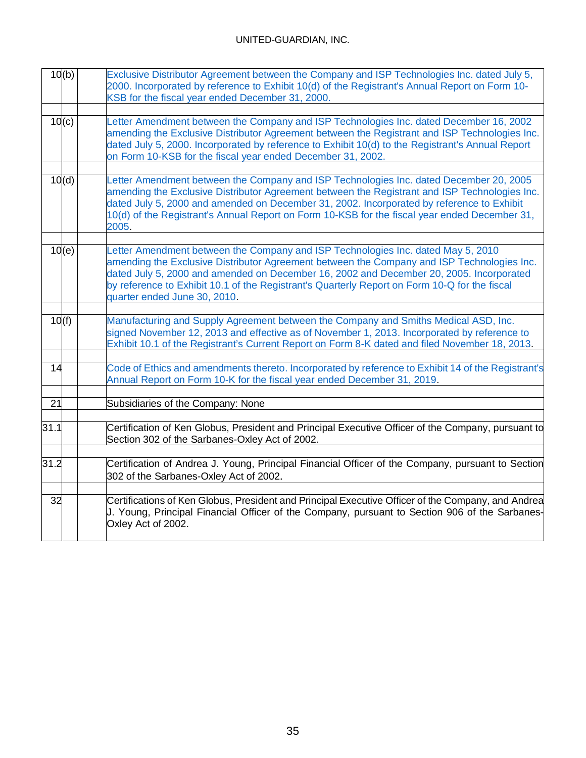| 10(b) | Exclusive Distributor Agreement between the Company and ISP Technologies Inc. dated July 5,<br>2000. Incorporated by reference to Exhibit 10(d) of the Registrant's Annual Report on Form 10-<br>KSB for the fiscal year ended December 31, 2000.                                                                                                                                                          |
|-------|------------------------------------------------------------------------------------------------------------------------------------------------------------------------------------------------------------------------------------------------------------------------------------------------------------------------------------------------------------------------------------------------------------|
| 10(c) | Letter Amendment between the Company and ISP Technologies Inc. dated December 16, 2002<br>amending the Exclusive Distributor Agreement between the Registrant and ISP Technologies Inc.<br>dated July 5, 2000. Incorporated by reference to Exhibit 10(d) to the Registrant's Annual Report<br>on Form 10-KSB for the fiscal year ended December 31, 2002.                                                 |
| 10(d) | Letter Amendment between the Company and ISP Technologies Inc. dated December 20, 2005<br>amending the Exclusive Distributor Agreement between the Registrant and ISP Technologies Inc.<br>dated July 5, 2000 and amended on December 31, 2002. Incorporated by reference to Exhibit<br>10(d) of the Registrant's Annual Report on Form 10-KSB for the fiscal year ended December 31,<br>2005.             |
| 10(e) | Letter Amendment between the Company and ISP Technologies Inc. dated May 5, 2010<br>amending the Exclusive Distributor Agreement between the Company and ISP Technologies Inc.<br>dated July 5, 2000 and amended on December 16, 2002 and December 20, 2005. Incorporated<br>by reference to Exhibit 10.1 of the Registrant's Quarterly Report on Form 10-Q for the fiscal<br>quarter ended June 30, 2010. |
| 10(f) | Manufacturing and Supply Agreement between the Company and Smiths Medical ASD, Inc.<br>signed November 12, 2013 and effective as of November 1, 2013. Incorporated by reference to<br>Exhibit 10.1 of the Registrant's Current Report on Form 8-K dated and filed November 18, 2013.                                                                                                                       |
| 14    | Code of Ethics and amendments thereto. Incorporated by reference to Exhibit 14 of the Registrant's<br>Annual Report on Form 10-K for the fiscal year ended December 31, 2019.                                                                                                                                                                                                                              |
| 21    | Subsidiaries of the Company: None                                                                                                                                                                                                                                                                                                                                                                          |
| 31.1  | Certification of Ken Globus, President and Principal Executive Officer of the Company, pursuant to<br>Section 302 of the Sarbanes-Oxley Act of 2002.                                                                                                                                                                                                                                                       |
| 31.2  | Certification of Andrea J. Young, Principal Financial Officer of the Company, pursuant to Section<br>302 of the Sarbanes-Oxley Act of 2002.                                                                                                                                                                                                                                                                |
| 32    | Certifications of Ken Globus, President and Principal Executive Officer of the Company, and Andrea<br>J. Young, Principal Financial Officer of the Company, pursuant to Section 906 of the Sarbanes-<br>Oxley Act of 2002.                                                                                                                                                                                 |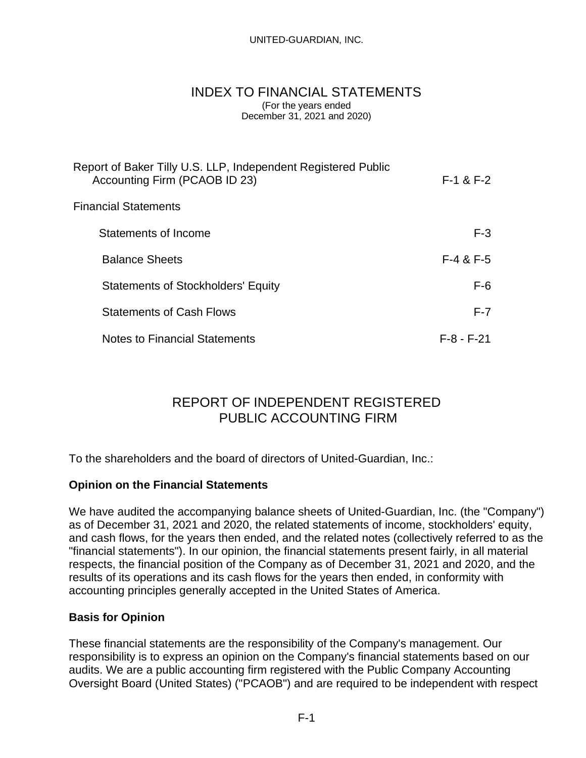#### INDEX TO FINANCIAL STATEMENTS (For the years ended December 31, 2021 and 2020)

| Report of Baker Tilly U.S. LLP, Independent Registered Public<br>Accounting Firm (PCAOB ID 23) | $F-1 & 8F-2$ |
|------------------------------------------------------------------------------------------------|--------------|
| Financial Statements                                                                           |              |
| Statements of Income                                                                           | $F-3$        |
| <b>Balance Sheets</b>                                                                          | $F-4 & F-5$  |
| <b>Statements of Stockholders' Equity</b>                                                      | $F-6$        |
| <b>Statements of Cash Flows</b>                                                                | $F-7$        |
| <b>Notes to Financial Statements</b>                                                           | $F-8 - F-21$ |

# REPORT OF INDEPENDENT REGISTERED PUBLIC ACCOUNTING FIRM

To the shareholders and the board of directors of United-Guardian, Inc.:

### **Opinion on the Financial Statements**

We have audited the accompanying balance sheets of United-Guardian, Inc. (the "Company") as of December 31, 2021 and 2020, the related statements of income, stockholders' equity, and cash flows, for the years then ended, and the related notes (collectively referred to as the "financial statements"). In our opinion, the financial statements present fairly, in all material respects, the financial position of the Company as of December 31, 2021 and 2020, and the results of its operations and its cash flows for the years then ended, in conformity with accounting principles generally accepted in the United States of America.

#### **Basis for Opinion**

These financial statements are the responsibility of the Company's management. Our responsibility is to express an opinion on the Company's financial statements based on our audits. We are a public accounting firm registered with the Public Company Accounting Oversight Board (United States) ("PCAOB") and are required to be independent with respect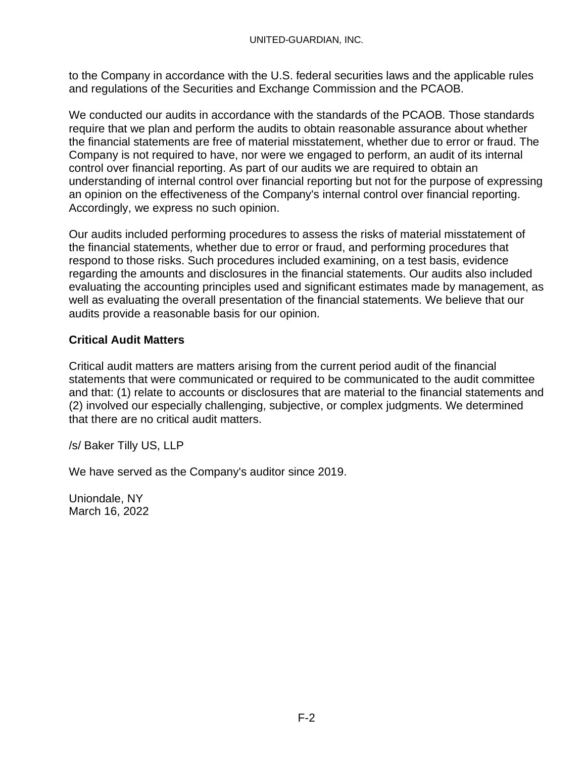to the Company in accordance with the U.S. federal securities laws and the applicable rules and regulations of the Securities and Exchange Commission and the PCAOB.

We conducted our audits in accordance with the standards of the PCAOB. Those standards require that we plan and perform the audits to obtain reasonable assurance about whether the financial statements are free of material misstatement, whether due to error or fraud. The Company is not required to have, nor were we engaged to perform, an audit of its internal control over financial reporting. As part of our audits we are required to obtain an understanding of internal control over financial reporting but not for the purpose of expressing an opinion on the effectiveness of the Company's internal control over financial reporting. Accordingly, we express no such opinion.

Our audits included performing procedures to assess the risks of material misstatement of the financial statements, whether due to error or fraud, and performing procedures that respond to those risks. Such procedures included examining, on a test basis, evidence regarding the amounts and disclosures in the financial statements. Our audits also included evaluating the accounting principles used and significant estimates made by management, as well as evaluating the overall presentation of the financial statements. We believe that our audits provide a reasonable basis for our opinion.

### **Critical Audit Matters**

Critical audit matters are matters arising from the current period audit of the financial statements that were communicated or required to be communicated to the audit committee and that: (1) relate to accounts or disclosures that are material to the financial statements and (2) involved our especially challenging, subjective, or complex judgments. We determined that there are no critical audit matters.

/s/ Baker Tilly US, LLP

We have served as the Company's auditor since 2019.

Uniondale, NY March 16, 2022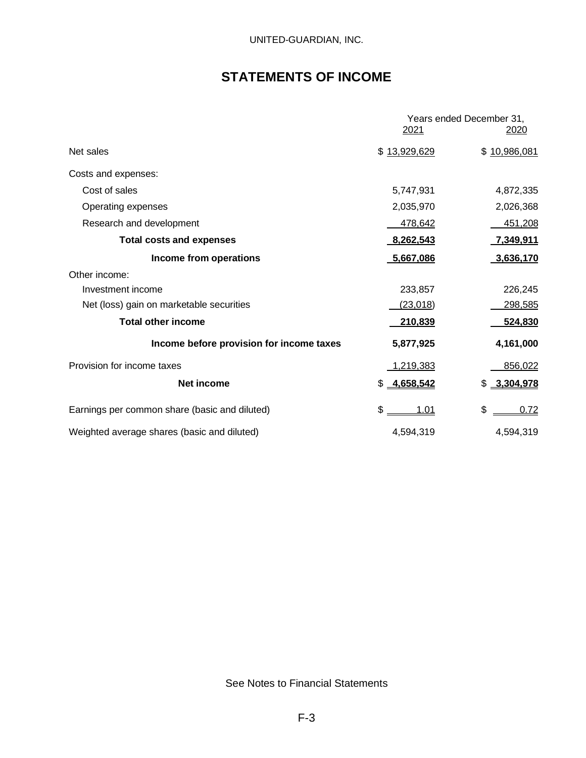# **STATEMENTS OF INCOME**

|                                               | 2021              | Years ended December 31,<br>2020 |  |
|-----------------------------------------------|-------------------|----------------------------------|--|
| Net sales                                     | \$13,929,629      | \$10,986,081                     |  |
| Costs and expenses:                           |                   |                                  |  |
| Cost of sales                                 | 5,747,931         | 4,872,335                        |  |
| Operating expenses                            | 2,035,970         | 2,026,368                        |  |
| Research and development                      | 478,642           | 451,208                          |  |
| <b>Total costs and expenses</b>               | 8,262,543         | 7,349,911                        |  |
| Income from operations                        | 5,667,086         | 3,636,170                        |  |
| Other income:                                 |                   |                                  |  |
| Investment income                             | 233,857           | 226,245                          |  |
| Net (loss) gain on marketable securities      | (23,018)          | 298,585                          |  |
| <b>Total other income</b>                     | 210,839           | 524,830                          |  |
| Income before provision for income taxes      | 5,877,925         | 4,161,000                        |  |
| Provision for income taxes                    | 1,219,383         | 856,022                          |  |
| <b>Net income</b>                             | \$4,658,542       | \$3,304,978                      |  |
| Earnings per common share (basic and diluted) | \$<br><u>1.01</u> | \$<br>0.72                       |  |
| Weighted average shares (basic and diluted)   | 4,594,319         | 4,594,319                        |  |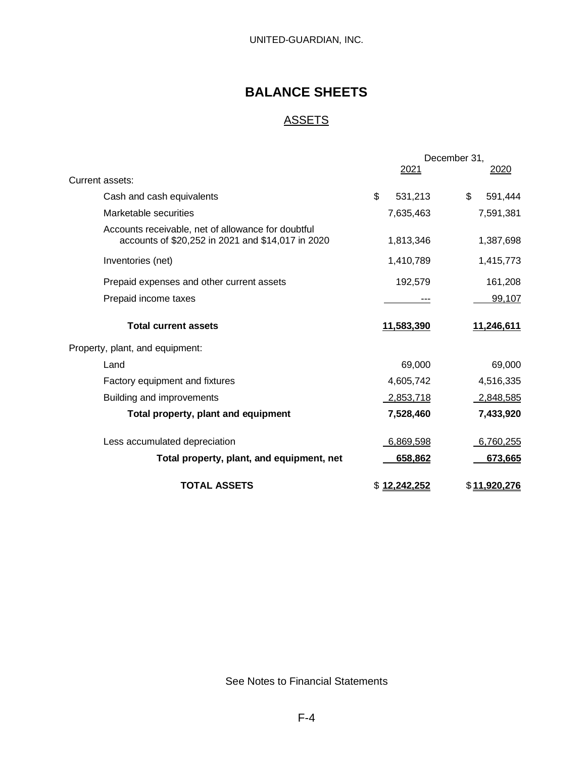# **BALANCE SHEETS**

# **ASSETS**

|                                                                                                         | December 31,  |               |
|---------------------------------------------------------------------------------------------------------|---------------|---------------|
|                                                                                                         | 2021          | 2020          |
| Current assets:                                                                                         |               |               |
| Cash and cash equivalents                                                                               | \$<br>531,213 | \$<br>591,444 |
| Marketable securities                                                                                   | 7,635,463     | 7,591,381     |
| Accounts receivable, net of allowance for doubtful<br>accounts of \$20,252 in 2021 and \$14,017 in 2020 | 1,813,346     | 1,387,698     |
| Inventories (net)                                                                                       | 1,410,789     | 1,415,773     |
| Prepaid expenses and other current assets                                                               | 192,579       | 161,208       |
| Prepaid income taxes                                                                                    |               | 99,107        |
| <b>Total current assets</b>                                                                             | 11,583,390    | 11,246,611    |
| Property, plant, and equipment:                                                                         |               |               |
| Land                                                                                                    | 69,000        | 69,000        |
| Factory equipment and fixtures                                                                          | 4,605,742     | 4,516,335     |
| Building and improvements                                                                               | 2,853,718     | 2,848,585     |
| Total property, plant and equipment                                                                     | 7,528,460     | 7,433,920     |
| Less accumulated depreciation                                                                           | 6,869,598     | 6,760,255     |
| Total property, plant, and equipment, net                                                               | 658,862       | 673,665       |
| <b>TOTAL ASSETS</b>                                                                                     | \$12.242.252  | \$11,920,276  |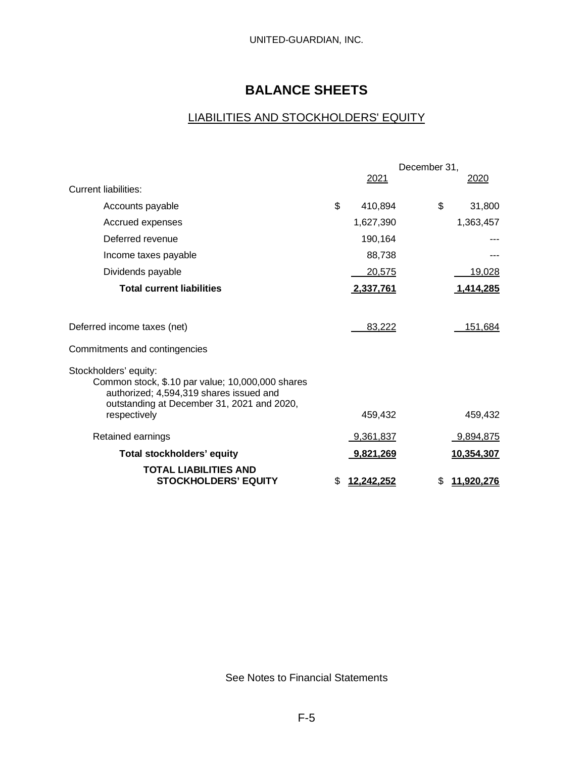# **BALANCE SHEETS**

# LIABILITIES AND STOCKHOLDERS' EQUITY

|                                                                                                                                                                                    | December 31, |                   |    |            |
|------------------------------------------------------------------------------------------------------------------------------------------------------------------------------------|--------------|-------------------|----|------------|
| <b>Current liabilities:</b>                                                                                                                                                        |              | 2021              |    | 2020       |
|                                                                                                                                                                                    |              |                   |    |            |
| Accounts payable                                                                                                                                                                   | \$           | 410,894           | \$ | 31,800     |
| Accrued expenses                                                                                                                                                                   |              | 1,627,390         |    | 1,363,457  |
| Deferred revenue                                                                                                                                                                   |              | 190,164           |    |            |
| Income taxes payable                                                                                                                                                               |              | 88,738            |    |            |
| Dividends payable                                                                                                                                                                  |              | 20,575            |    | 19,028     |
| <b>Total current liabilities</b>                                                                                                                                                   |              | 2,337,761         |    | 1,414,285  |
| Deferred income taxes (net)                                                                                                                                                        |              | 83,222            |    | 151,684    |
| Commitments and contingencies                                                                                                                                                      |              |                   |    |            |
| Stockholders' equity:<br>Common stock, \$.10 par value; 10,000,000 shares<br>authorized; 4,594,319 shares issued and<br>outstanding at December 31, 2021 and 2020,<br>respectively |              | 459,432           |    | 459,432    |
| Retained earnings                                                                                                                                                                  |              | 9,361,837         |    | 9,894,875  |
| Total stockholders' equity                                                                                                                                                         |              | 9,821,269         |    | 10,354,307 |
| TOTAL LIABILITIES AND<br><b>STOCKHOLDERS' EQUITY</b>                                                                                                                               | \$           | <u>12,242,252</u> | \$ | 11,920,276 |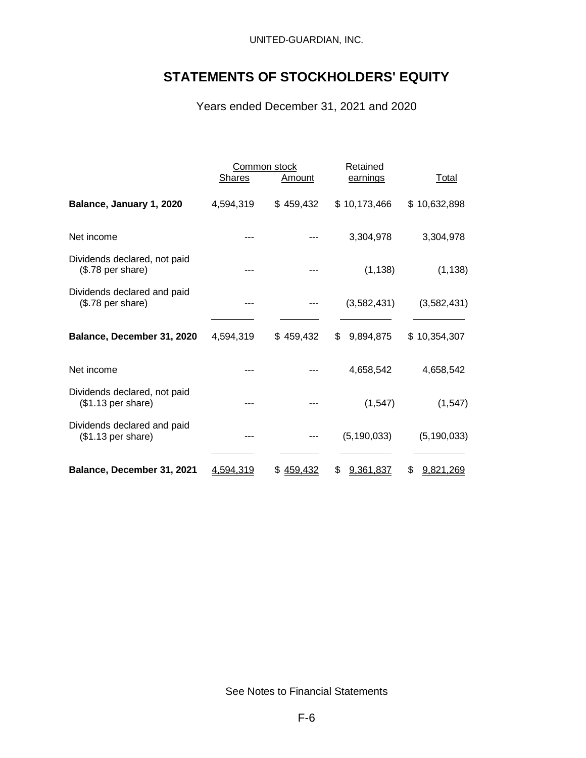# **STATEMENTS OF STOCKHOLDERS' EQUITY**

Years ended December 31, 2021 and 2020

|                                                    | Common stock  |           | Retained        |                 |
|----------------------------------------------------|---------------|-----------|-----------------|-----------------|
|                                                    | <b>Shares</b> | Amount    | earnings        | Total           |
| Balance, January 1, 2020                           | 4,594,319     | \$459,432 | \$10,173,466    | \$10,632,898    |
| Net income                                         |               |           | 3,304,978       | 3,304,978       |
| Dividends declared, not paid<br>$($.78$ per share) |               |           | (1, 138)        | (1, 138)        |
| Dividends declared and paid<br>$($.78$ per share)  |               |           | (3,582,431)     | (3,582,431)     |
| Balance, December 31, 2020                         | 4,594,319     | \$459,432 | 9,894,875<br>\$ | \$10,354,307    |
| Net income                                         |               |           | 4,658,542       | 4,658,542       |
| Dividends declared, not paid<br>(\$1.13 per share) |               |           | (1, 547)        | (1, 547)        |
| Dividends declared and paid<br>(\$1.13 per share)  |               |           | (5, 190, 033)   | (5, 190, 033)   |
|                                                    |               |           |                 |                 |
| Balance, December 31, 2021                         | 4,594,319     | 459,432   | \$<br>9,361,837 | 9.821,269<br>Ж, |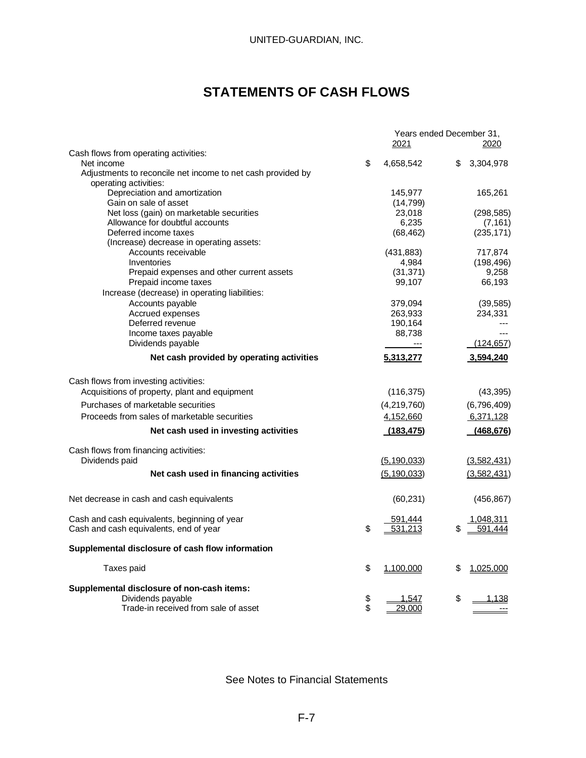# **STATEMENTS OF CASH FLOWS**

|                                                                                      |    |               | Years ended December 31, |             |
|--------------------------------------------------------------------------------------|----|---------------|--------------------------|-------------|
|                                                                                      |    | 2021          |                          | 2020        |
| Cash flows from operating activities:                                                |    |               |                          |             |
| Net income                                                                           | \$ | 4,658,542     | \$                       | 3,304,978   |
| Adjustments to reconcile net income to net cash provided by<br>operating activities: |    |               |                          |             |
| Depreciation and amortization                                                        |    | 145,977       |                          | 165,261     |
| Gain on sale of asset                                                                |    | (14, 799)     |                          |             |
| Net loss (gain) on marketable securities                                             |    | 23,018        |                          | (298, 585)  |
| Allowance for doubtful accounts                                                      |    | 6,235         |                          | (7, 161)    |
| Deferred income taxes                                                                |    | (68, 462)     |                          | (235, 171)  |
| (Increase) decrease in operating assets:                                             |    |               |                          |             |
| Accounts receivable                                                                  |    | (431, 883)    |                          | 717,874     |
| Inventories                                                                          |    | 4,984         |                          | (198, 496)  |
| Prepaid expenses and other current assets                                            |    | (31, 371)     |                          | 9,258       |
| Prepaid income taxes                                                                 |    | 99,107        |                          | 66,193      |
| Increase (decrease) in operating liabilities:                                        |    |               |                          |             |
| Accounts payable                                                                     |    | 379,094       |                          | (39, 585)   |
| Accrued expenses                                                                     |    | 263,933       |                          | 234,331     |
| Deferred revenue                                                                     |    | 190,164       |                          |             |
| Income taxes payable                                                                 |    | 88,738        |                          |             |
| Dividends payable                                                                    |    | ---           |                          | (124, 657)  |
| Net cash provided by operating activities                                            |    | 5,313,277     |                          | 3,594,240   |
| Cash flows from investing activities:                                                |    |               |                          |             |
| Acquisitions of property, plant and equipment                                        |    | (116, 375)    |                          | (43, 395)   |
| Purchases of marketable securities                                                   |    | (4,219,760)   |                          | (6,796,409) |
| Proceeds from sales of marketable securities                                         |    | 4,152,660     |                          | 6,371,128   |
| Net cash used in investing activities                                                |    | (183, 475)    |                          | (468, 676)  |
| Cash flows from financing activities:                                                |    |               |                          |             |
| Dividends paid                                                                       |    | (5, 190, 033) |                          | (3,582,431) |
| Net cash used in financing activities                                                |    | (5, 190, 033) |                          | (3,582,431) |
| Net decrease in cash and cash equivalents                                            |    | (60, 231)     |                          | (456, 867)  |
| Cash and cash equivalents, beginning of year                                         |    | 591,444       |                          | 1,048,311   |
| Cash and cash equivalents, end of year                                               | \$ | 531,213       | \$                       | 591,444     |
| Supplemental disclosure of cash flow information                                     |    |               |                          |             |
| Taxes paid                                                                           | \$ | 1,100,000     | S                        | 1,025,000   |
| Supplemental disclosure of non-cash items:                                           |    |               |                          |             |
| Dividends payable                                                                    | \$ | 1.547         | \$                       | 1.138       |
| Trade-in received from sale of asset                                                 | Ś. | 29.000        |                          | $---$       |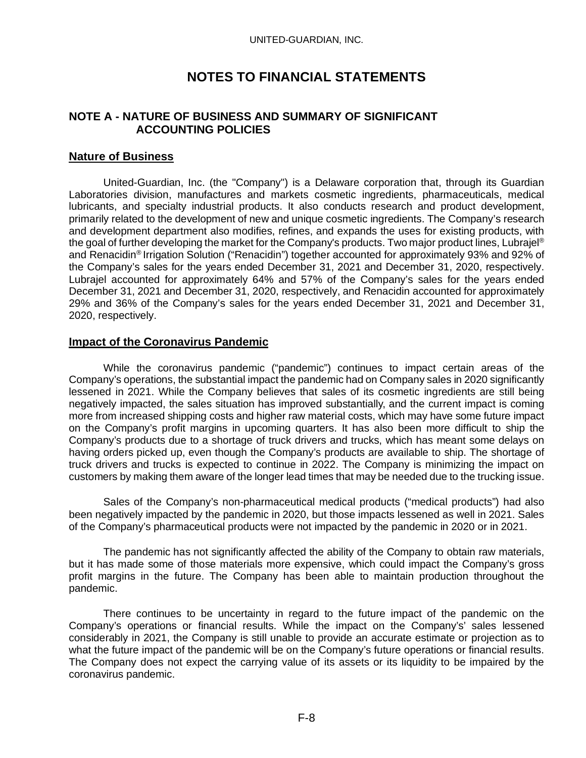# **NOTES TO FINANCIAL STATEMENTS**

### **NOTE A - NATURE OF BUSINESS AND SUMMARY OF SIGNIFICANT ACCOUNTING POLICIES**

#### **Nature of Business**

United-Guardian, Inc. (the "Company") is a Delaware corporation that, through its Guardian Laboratories division, manufactures and markets cosmetic ingredients, pharmaceuticals, medical lubricants, and specialty industrial products. It also conducts research and product development, primarily related to the development of new and unique cosmetic ingredients. The Company's research and development department also modifies, refines, and expands the uses for existing products, with the goal of further developing the market for the Company's products. Two major product lines, Lubrajel® and Renacidin<sup>®</sup> Irrigation Solution ("Renacidin") together accounted for approximately 93% and 92% of the Company's sales for the years ended December 31, 2021 and December 31, 2020, respectively. Lubrajel accounted for approximately 64% and 57% of the Company's sales for the years ended December 31, 2021 and December 31, 2020, respectively, and Renacidin accounted for approximately 29% and 36% of the Company's sales for the years ended December 31, 2021 and December 31, 2020, respectively.

#### **Impact of the Coronavirus Pandemic**

While the coronavirus pandemic ("pandemic") continues to impact certain areas of the Company's operations, the substantial impact the pandemic had on Company sales in 2020 significantly lessened in 2021. While the Company believes that sales of its cosmetic ingredients are still being negatively impacted, the sales situation has improved substantially, and the current impact is coming more from increased shipping costs and higher raw material costs, which may have some future impact on the Company's profit margins in upcoming quarters. It has also been more difficult to ship the Company's products due to a shortage of truck drivers and trucks, which has meant some delays on having orders picked up, even though the Company's products are available to ship. The shortage of truck drivers and trucks is expected to continue in 2022. The Company is minimizing the impact on customers by making them aware of the longer lead times that may be needed due to the trucking issue.

Sales of the Company's non-pharmaceutical medical products ("medical products") had also been negatively impacted by the pandemic in 2020, but those impacts lessened as well in 2021. Sales of the Company's pharmaceutical products were not impacted by the pandemic in 2020 or in 2021.

The pandemic has not significantly affected the ability of the Company to obtain raw materials, but it has made some of those materials more expensive, which could impact the Company's gross profit margins in the future. The Company has been able to maintain production throughout the pandemic.

There continues to be uncertainty in regard to the future impact of the pandemic on the Company's operations or financial results. While the impact on the Company's' sales lessened considerably in 2021, the Company is still unable to provide an accurate estimate or projection as to what the future impact of the pandemic will be on the Company's future operations or financial results. The Company does not expect the carrying value of its assets or its liquidity to be impaired by the coronavirus pandemic.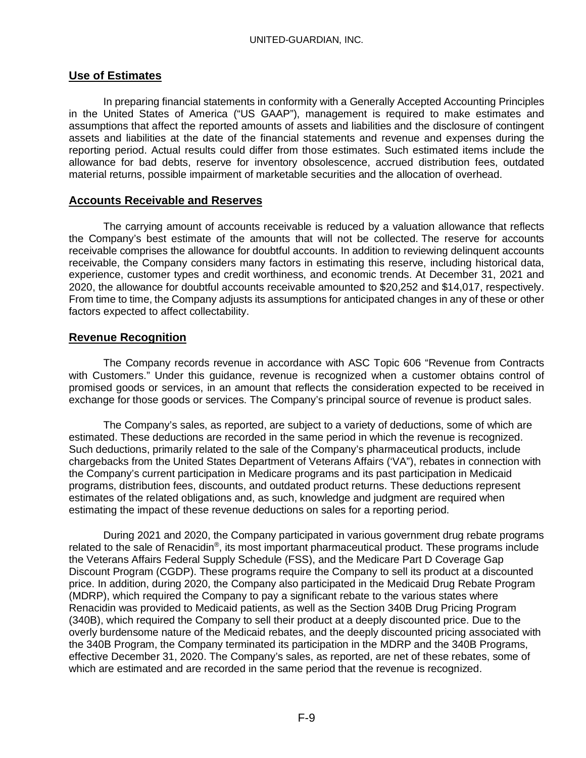#### **Use of Estimates**

In preparing financial statements in conformity with a Generally Accepted Accounting Principles in the United States of America ("US GAAP"), management is required to make estimates and assumptions that affect the reported amounts of assets and liabilities and the disclosure of contingent assets and liabilities at the date of the financial statements and revenue and expenses during the reporting period. Actual results could differ from those estimates. Such estimated items include the allowance for bad debts, reserve for inventory obsolescence, accrued distribution fees, outdated material returns, possible impairment of marketable securities and the allocation of overhead.

#### **Accounts Receivable and Reserves**

The carrying amount of accounts receivable is reduced by a valuation allowance that reflects the Company's best estimate of the amounts that will not be collected. The reserve for accounts receivable comprises the allowance for doubtful accounts. In addition to reviewing delinquent accounts receivable, the Company considers many factors in estimating this reserve, including historical data, experience, customer types and credit worthiness, and economic trends. At December 31, 2021 and 2020, the allowance for doubtful accounts receivable amounted to \$20,252 and \$14,017, respectively. From time to time, the Company adjusts its assumptions for anticipated changes in any of these or other factors expected to affect collectability.

#### **Revenue Recognition**

The Company records revenue in accordance with ASC Topic 606 "Revenue from Contracts with Customers." Under this guidance, revenue is recognized when a customer obtains control of promised goods or services, in an amount that reflects the consideration expected to be received in exchange for those goods or services. The Company's principal source of revenue is product sales.

The Company's sales, as reported, are subject to a variety of deductions, some of which are estimated. These deductions are recorded in the same period in which the revenue is recognized. Such deductions, primarily related to the sale of the Company's pharmaceutical products, include chargebacks from the United States Department of Veterans Affairs ('VA"), rebates in connection with the Company's current participation in Medicare programs and its past participation in Medicaid programs, distribution fees, discounts, and outdated product returns. These deductions represent estimates of the related obligations and, as such, knowledge and judgment are required when estimating the impact of these revenue deductions on sales for a reporting period.

During 2021 and 2020, the Company participated in various government drug rebate programs related to the sale of Renacidin®, its most important pharmaceutical product. These programs include the Veterans Affairs Federal Supply Schedule (FSS), and the Medicare Part D Coverage Gap Discount Program (CGDP). These programs require the Company to sell its product at a discounted price. In addition, during 2020, the Company also participated in the Medicaid Drug Rebate Program (MDRP), which required the Company to pay a significant rebate to the various states where Renacidin was provided to Medicaid patients, as well as the Section 340B Drug Pricing Program (340B), which required the Company to sell their product at a deeply discounted price. Due to the overly burdensome nature of the Medicaid rebates, and the deeply discounted pricing associated with the 340B Program, the Company terminated its participation in the MDRP and the 340B Programs, effective December 31, 2020. The Company's sales, as reported, are net of these rebates, some of which are estimated and are recorded in the same period that the revenue is recognized.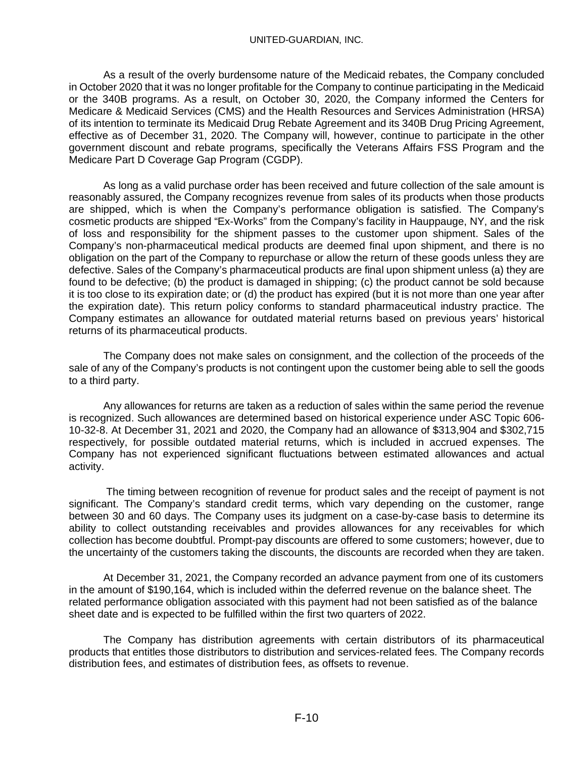As a result of the overly burdensome nature of the Medicaid rebates, the Company concluded in October 2020 that it was no longer profitable for the Company to continue participating in the Medicaid or the 340B programs. As a result, on October 30, 2020, the Company informed the Centers for Medicare & Medicaid Services (CMS) and the Health Resources and Services Administration (HRSA) of its intention to terminate its Medicaid Drug Rebate Agreement and its 340B Drug Pricing Agreement, effective as of December 31, 2020. The Company will, however, continue to participate in the other government discount and rebate programs, specifically the Veterans Affairs FSS Program and the Medicare Part D Coverage Gap Program (CGDP).

As long as a valid purchase order has been received and future collection of the sale amount is reasonably assured, the Company recognizes revenue from sales of its products when those products are shipped, which is when the Company's performance obligation is satisfied. The Company's cosmetic products are shipped "Ex-Works" from the Company's facility in Hauppauge, NY, and the risk of loss and responsibility for the shipment passes to the customer upon shipment. Sales of the Company's non-pharmaceutical medical products are deemed final upon shipment, and there is no obligation on the part of the Company to repurchase or allow the return of these goods unless they are defective. Sales of the Company's pharmaceutical products are final upon shipment unless (a) they are found to be defective; (b) the product is damaged in shipping; (c) the product cannot be sold because it is too close to its expiration date; or (d) the product has expired (but it is not more than one year after the expiration date). This return policy conforms to standard pharmaceutical industry practice. The Company estimates an allowance for outdated material returns based on previous years' historical returns of its pharmaceutical products.

The Company does not make sales on consignment, and the collection of the proceeds of the sale of any of the Company's products is not contingent upon the customer being able to sell the goods to a third party.

Any allowances for returns are taken as a reduction of sales within the same period the revenue is recognized. Such allowances are determined based on historical experience under ASC Topic 606- 10-32-8. At December 31, 2021 and 2020, the Company had an allowance of \$313,904 and \$302,715 respectively, for possible outdated material returns, which is included in accrued expenses. The Company has not experienced significant fluctuations between estimated allowances and actual activity.

 The timing between recognition of revenue for product sales and the receipt of payment is not significant. The Company's standard credit terms, which vary depending on the customer, range between 30 and 60 days. The Company uses its judgment on a case-by-case basis to determine its ability to collect outstanding receivables and provides allowances for any receivables for which collection has become doubtful. Prompt-pay discounts are offered to some customers; however, due to the uncertainty of the customers taking the discounts, the discounts are recorded when they are taken.

At December 31, 2021, the Company recorded an advance payment from one of its customers in the amount of \$190,164, which is included within the deferred revenue on the balance sheet. The related performance obligation associated with this payment had not been satisfied as of the balance sheet date and is expected to be fulfilled within the first two quarters of 2022.

The Company has distribution agreements with certain distributors of its pharmaceutical products that entitles those distributors to distribution and services-related fees. The Company records distribution fees, and estimates of distribution fees, as offsets to revenue.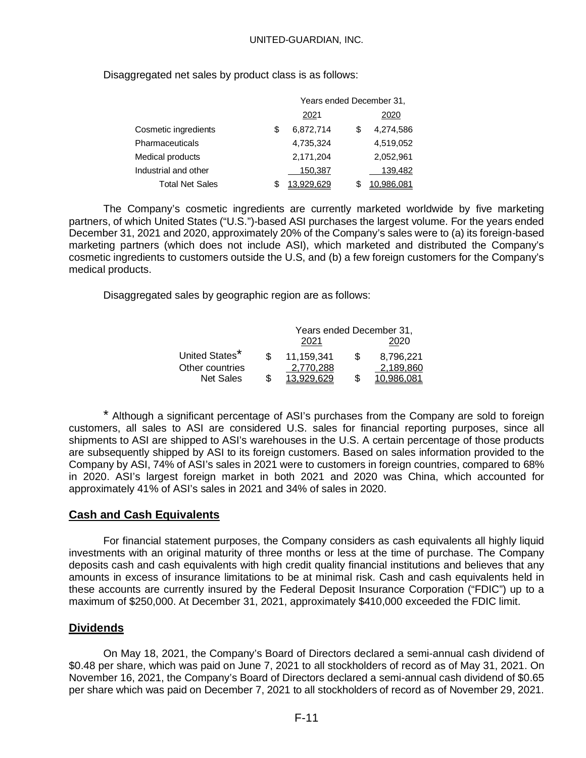Disaggregated net sales by product class is as follows:

|                        | Years ended December 31, |            |    |            |
|------------------------|--------------------------|------------|----|------------|
|                        |                          | 2021       |    | 2020       |
| Cosmetic ingredients   | \$                       | 6,872,714  | \$ | 4,274,586  |
| Pharmaceuticals        |                          | 4,735,324  |    | 4,519,052  |
| Medical products       |                          | 2,171,204  |    | 2,052,961  |
| Industrial and other   |                          | 150,387    |    | 139,482    |
| <b>Total Net Sales</b> |                          | 13.929.629 |    | 10.986.081 |

The Company's cosmetic ingredients are currently marketed worldwide by five marketing partners, of which United States ("U.S.")-based ASI purchases the largest volume. For the years ended December 31, 2021 and 2020, approximately 20% of the Company's sales were to (a) its foreign-based marketing partners (which does not include ASI), which marketed and distributed the Company's cosmetic ingredients to customers outside the U.S, and (b) a few foreign customers for the Company's medical products.

Disaggregated sales by geographic region are as follows:

|                            | Years ended December 31, |      |            |  |
|----------------------------|--------------------------|------|------------|--|
|                            | 2021                     | 2020 |            |  |
| United States <sup>*</sup> | 11,159,341               | S    | 8.796.221  |  |
| Other countries            | 2.770.288                |      | 2,189,860  |  |
| <b>Net Sales</b>           | 13.929.629               | S    | 10.986.081 |  |

\* Although a significant percentage of ASI's purchases from the Company are sold to foreign customers, all sales to ASI are considered U.S. sales for financial reporting purposes, since all shipments to ASI are shipped to ASI's warehouses in the U.S. A certain percentage of those products are subsequently shipped by ASI to its foreign customers. Based on sales information provided to the Company by ASI, 74% of ASI's sales in 2021 were to customers in foreign countries, compared to 68% in 2020. ASI's largest foreign market in both 2021 and 2020 was China, which accounted for approximately 41% of ASI's sales in 2021 and 34% of sales in 2020.

#### **Cash and Cash Equivalents**

For financial statement purposes, the Company considers as cash equivalents all highly liquid investments with an original maturity of three months or less at the time of purchase. The Company deposits cash and cash equivalents with high credit quality financial institutions and believes that any amounts in excess of insurance limitations to be at minimal risk. Cash and cash equivalents held in these accounts are currently insured by the Federal Deposit Insurance Corporation ("FDIC") up to a maximum of \$250,000. At December 31, 2021, approximately \$410,000 exceeded the FDIC limit.

#### **Dividends**

On May 18, 2021, the Company's Board of Directors declared a semi-annual cash dividend of \$0.48 per share, which was paid on June 7, 2021 to all stockholders of record as of May 31, 2021. On November 16, 2021, the Company's Board of Directors declared a semi-annual cash dividend of \$0.65 per share which was paid on December 7, 2021 to all stockholders of record as of November 29, 2021.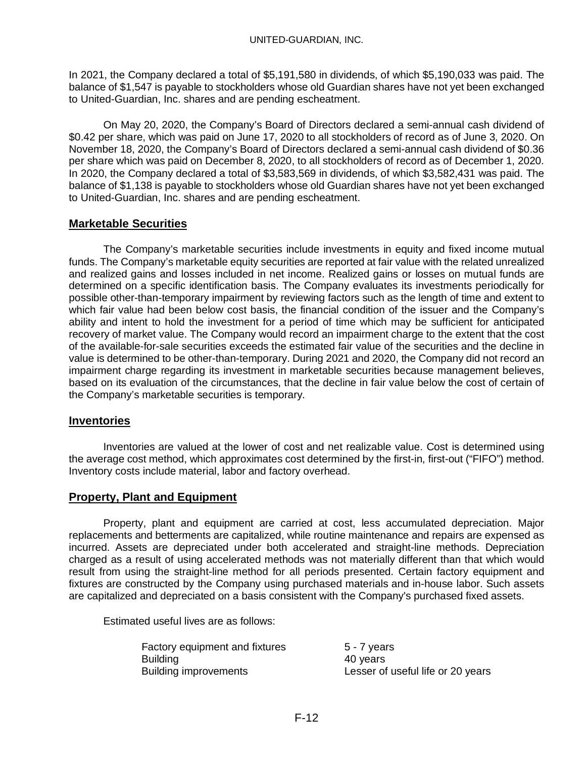In 2021, the Company declared a total of \$5,191,580 in dividends, of which \$5,190,033 was paid. The balance of \$1,547 is payable to stockholders whose old Guardian shares have not yet been exchanged to United-Guardian, Inc. shares and are pending escheatment.

On May 20, 2020, the Company's Board of Directors declared a semi-annual cash dividend of \$0.42 per share, which was paid on June 17, 2020 to all stockholders of record as of June 3, 2020. On November 18, 2020, the Company's Board of Directors declared a semi-annual cash dividend of \$0.36 per share which was paid on December 8, 2020, to all stockholders of record as of December 1, 2020. In 2020, the Company declared a total of \$3,583,569 in dividends, of which \$3,582,431 was paid. The balance of \$1,138 is payable to stockholders whose old Guardian shares have not yet been exchanged to United-Guardian, Inc. shares and are pending escheatment.

#### **Marketable Securities**

The Company's marketable securities include investments in equity and fixed income mutual funds. The Company's marketable equity securities are reported at fair value with the related unrealized and realized gains and losses included in net income. Realized gains or losses on mutual funds are determined on a specific identification basis. The Company evaluates its investments periodically for possible other-than-temporary impairment by reviewing factors such as the length of time and extent to which fair value had been below cost basis, the financial condition of the issuer and the Company's ability and intent to hold the investment for a period of time which may be sufficient for anticipated recovery of market value. The Company would record an impairment charge to the extent that the cost of the available-for-sale securities exceeds the estimated fair value of the securities and the decline in value is determined to be other-than-temporary. During 2021 and 2020, the Company did not record an impairment charge regarding its investment in marketable securities because management believes, based on its evaluation of the circumstances, that the decline in fair value below the cost of certain of the Company's marketable securities is temporary.

#### **Inventories**

Inventories are valued at the lower of cost and net realizable value. Cost is determined using the average cost method, which approximates cost determined by the first-in, first-out ("FIFO") method. Inventory costs include material, labor and factory overhead.

#### **Property, Plant and Equipment**

Property, plant and equipment are carried at cost, less accumulated depreciation. Major replacements and betterments are capitalized, while routine maintenance and repairs are expensed as incurred. Assets are depreciated under both accelerated and straight-line methods. Depreciation charged as a result of using accelerated methods was not materially different than that which would result from using the straight-line method for all periods presented. Certain factory equipment and fixtures are constructed by the Company using purchased materials and in-house labor. Such assets are capitalized and depreciated on a basis consistent with the Company's purchased fixed assets.

Estimated useful lives are as follows:

| Factory equipment and fixtures | 5 - 7 years                       |
|--------------------------------|-----------------------------------|
| <b>Building</b>                | 40 vears                          |
| <b>Building improvements</b>   | Lesser of useful life or 20 years |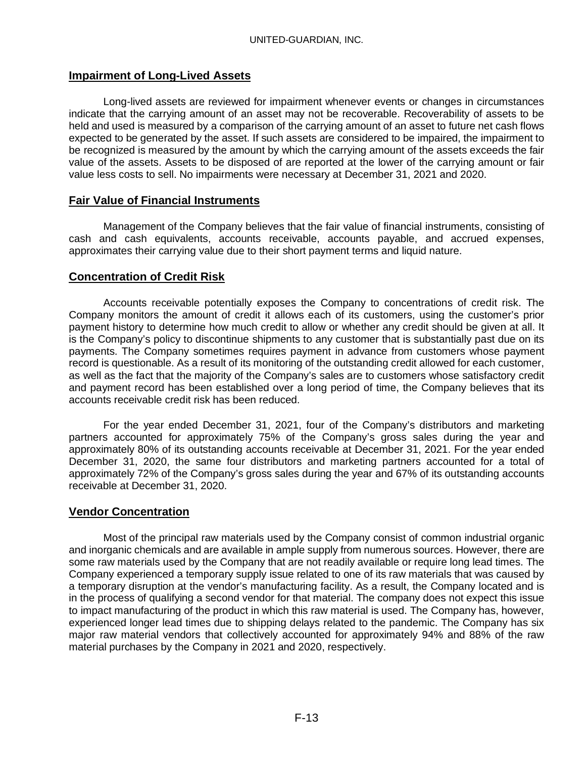#### **Impairment of Long-Lived Assets**

Long-lived assets are reviewed for impairment whenever events or changes in circumstances indicate that the carrying amount of an asset may not be recoverable. Recoverability of assets to be held and used is measured by a comparison of the carrying amount of an asset to future net cash flows expected to be generated by the asset. If such assets are considered to be impaired, the impairment to be recognized is measured by the amount by which the carrying amount of the assets exceeds the fair value of the assets. Assets to be disposed of are reported at the lower of the carrying amount or fair value less costs to sell. No impairments were necessary at December 31, 2021 and 2020.

#### **Fair Value of Financial Instruments**

Management of the Company believes that the fair value of financial instruments, consisting of cash and cash equivalents, accounts receivable, accounts payable, and accrued expenses, approximates their carrying value due to their short payment terms and liquid nature.

#### **Concentration of Credit Risk**

Accounts receivable potentially exposes the Company to concentrations of credit risk. The Company monitors the amount of credit it allows each of its customers, using the customer's prior payment history to determine how much credit to allow or whether any credit should be given at all. It is the Company's policy to discontinue shipments to any customer that is substantially past due on its payments. The Company sometimes requires payment in advance from customers whose payment record is questionable. As a result of its monitoring of the outstanding credit allowed for each customer, as well as the fact that the majority of the Company's sales are to customers whose satisfactory credit and payment record has been established over a long period of time, the Company believes that its accounts receivable credit risk has been reduced.

For the year ended December 31, 2021, four of the Company's distributors and marketing partners accounted for approximately 75% of the Company's gross sales during the year and approximately 80% of its outstanding accounts receivable at December 31, 2021. For the year ended December 31, 2020, the same four distributors and marketing partners accounted for a total of approximately 72% of the Company's gross sales during the year and 67% of its outstanding accounts receivable at December 31, 2020.

#### **Vendor Concentration**

Most of the principal raw materials used by the Company consist of common industrial organic and inorganic chemicals and are available in ample supply from numerous sources. However, there are some raw materials used by the Company that are not readily available or require long lead times. The Company experienced a temporary supply issue related to one of its raw materials that was caused by a temporary disruption at the vendor's manufacturing facility. As a result, the Company located and is in the process of qualifying a second vendor for that material. The company does not expect this issue to impact manufacturing of the product in which this raw material is used. The Company has, however, experienced longer lead times due to shipping delays related to the pandemic. The Company has six major raw material vendors that collectively accounted for approximately 94% and 88% of the raw material purchases by the Company in 2021 and 2020, respectively.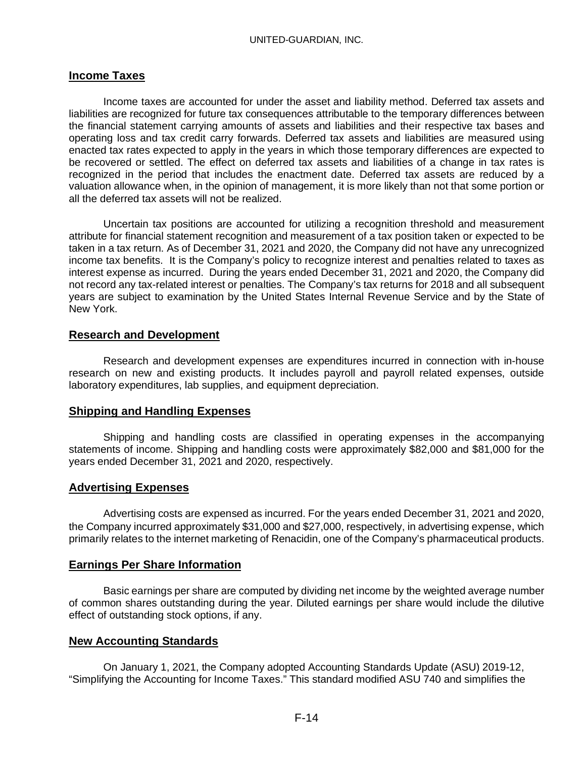#### **Income Taxes**

Income taxes are accounted for under the asset and liability method. Deferred tax assets and liabilities are recognized for future tax consequences attributable to the temporary differences between the financial statement carrying amounts of assets and liabilities and their respective tax bases and operating loss and tax credit carry forwards. Deferred tax assets and liabilities are measured using enacted tax rates expected to apply in the years in which those temporary differences are expected to be recovered or settled. The effect on deferred tax assets and liabilities of a change in tax rates is recognized in the period that includes the enactment date. Deferred tax assets are reduced by a valuation allowance when, in the opinion of management, it is more likely than not that some portion or all the deferred tax assets will not be realized.

Uncertain tax positions are accounted for utilizing a recognition threshold and measurement attribute for financial statement recognition and measurement of a tax position taken or expected to be taken in a tax return. As of December 31, 2021 and 2020, the Company did not have any unrecognized income tax benefits. It is the Company's policy to recognize interest and penalties related to taxes as interest expense as incurred. During the years ended December 31, 2021 and 2020, the Company did not record any tax-related interest or penalties. The Company's tax returns for 2018 and all subsequent years are subject to examination by the United States Internal Revenue Service and by the State of New York.

#### **Research and Development**

Research and development expenses are expenditures incurred in connection with in-house research on new and existing products. It includes payroll and payroll related expenses, outside laboratory expenditures, lab supplies, and equipment depreciation.

#### **Shipping and Handling Expenses**

Shipping and handling costs are classified in operating expenses in the accompanying statements of income. Shipping and handling costs were approximately \$82,000 and \$81,000 for the years ended December 31, 2021 and 2020, respectively.

#### **Advertising Expenses**

Advertising costs are expensed as incurred. For the years ended December 31, 2021 and 2020, the Company incurred approximately \$31,000 and \$27,000, respectively, in advertising expense, which primarily relates to the internet marketing of Renacidin, one of the Company's pharmaceutical products.

#### **Earnings Per Share Information**

Basic earnings per share are computed by dividing net income by the weighted average number of common shares outstanding during the year. Diluted earnings per share would include the dilutive effect of outstanding stock options, if any.

#### **New Accounting Standards**

On January 1, 2021, the Company adopted Accounting Standards Update (ASU) 2019-12, "Simplifying the Accounting for Income Taxes." This standard modified ASU 740 and simplifies the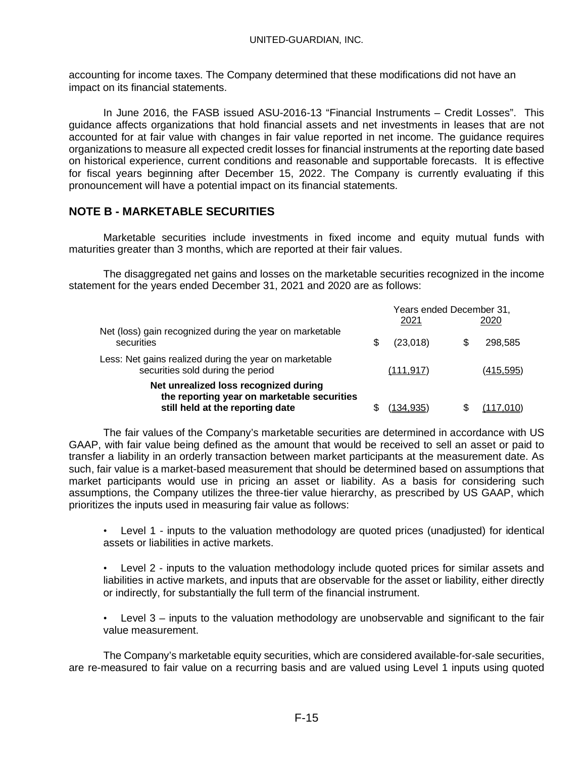accounting for income taxes. The Company determined that these modifications did not have an impact on its financial statements.

In June 2016, the FASB issued ASU-2016-13 "Financial Instruments – Credit Losses". This guidance affects organizations that hold financial assets and net investments in leases that are not accounted for at fair value with changes in fair value reported in net income. The guidance requires organizations to measure all expected credit losses for financial instruments at the reporting date based on historical experience, current conditions and reasonable and supportable forecasts. It is effective for fiscal years beginning after December 15, 2022. The Company is currently evaluating if this pronouncement will have a potential impact on its financial statements.

#### **NOTE B - MARKETABLE SECURITIES**

Marketable securities include investments in fixed income and equity mutual funds with maturities greater than 3 months, which are reported at their fair values.

The disaggregated net gains and losses on the marketable securities recognized in the income statement for the years ended December 31, 2021 and 2020 are as follows:

|                                                                                                                          | Years ended December 31, |            |  |           |  |
|--------------------------------------------------------------------------------------------------------------------------|--------------------------|------------|--|-----------|--|
|                                                                                                                          |                          | 2021       |  | 2020      |  |
| Net (loss) gain recognized during the year on marketable<br>securities                                                   | \$                       | (23,018)   |  | 298,585   |  |
| Less: Net gains realized during the year on marketable<br>securities sold during the period                              |                          | (111, 917) |  | (415,595) |  |
| Net unrealized loss recognized during<br>the reporting year on marketable securities<br>still held at the reporting date |                          |            |  |           |  |
|                                                                                                                          |                          |            |  |           |  |

The fair values of the Company's marketable securities are determined in accordance with US GAAP, with fair value being defined as the amount that would be received to sell an asset or paid to transfer a liability in an orderly transaction between market participants at the measurement date. As such, fair value is a market-based measurement that should be determined based on assumptions that market participants would use in pricing an asset or liability. As a basis for considering such assumptions, the Company utilizes the three-tier value hierarchy, as prescribed by US GAAP, which prioritizes the inputs used in measuring fair value as follows:

• Level 1 - inputs to the valuation methodology are quoted prices (unadjusted) for identical assets or liabilities in active markets.

- Level 2 inputs to the valuation methodology include quoted prices for similar assets and liabilities in active markets, and inputs that are observable for the asset or liability, either directly or indirectly, for substantially the full term of the financial instrument.
- Level 3 inputs to the valuation methodology are unobservable and significant to the fair value measurement.

The Company's marketable equity securities, which are considered available-for-sale securities, are re-measured to fair value on a recurring basis and are valued using Level 1 inputs using quoted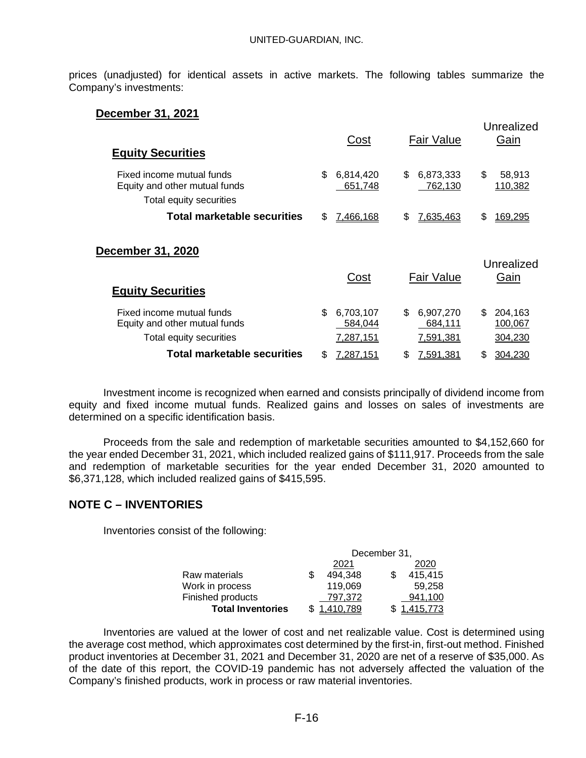prices (unadjusted) for identical assets in active markets. The following tables summarize the Company's investments:

#### **December 31, 2021**

| <b>Equity Securities</b>                                                              | Cost                                    | <b>Fair Value</b>                       | Unrealized<br>Gain                   |
|---------------------------------------------------------------------------------------|-----------------------------------------|-----------------------------------------|--------------------------------------|
| Fixed income mutual funds<br>Equity and other mutual funds<br>Total equity securities | \$<br>6,814,420<br>651,748              | \$<br>6,873,333<br>762,130              | \$<br>58,913<br>110,382              |
| <b>Total marketable securities</b>                                                    | \$<br>7,466,168                         | \$<br><u>7.635.463</u>                  | \$<br>169.295                        |
| <b>December 31, 2020</b>                                                              |                                         |                                         | Unrealized                           |
| <b>Equity Securities</b>                                                              | Cost                                    | <b>Fair Value</b>                       | Gain                                 |
| Fixed income mutual funds<br>Equity and other mutual funds<br>Total equity securities | \$<br>6,703,107<br>584,044<br>7,287,151 | \$<br>6,907,270<br>684,111<br>7,591,381 | \$.<br>204,163<br>100,067<br>304,230 |
| <b>Total marketable securities</b>                                                    | \$<br>7.287.151                         | \$<br><u>7.591.381</u>                  | \$<br>304.230                        |

Investment income is recognized when earned and consists principally of dividend income from equity and fixed income mutual funds. Realized gains and losses on sales of investments are determined on a specific identification basis.

Proceeds from the sale and redemption of marketable securities amounted to \$4,152,660 for the year ended December 31, 2021, which included realized gains of \$111,917. Proceeds from the sale and redemption of marketable securities for the year ended December 31, 2020 amounted to \$6,371,128, which included realized gains of \$415,595.

#### **NOTE C – INVENTORIES**

Inventories consist of the following:

|                          | December 31, |         |      |         |
|--------------------------|--------------|---------|------|---------|
|                          |              | 2021    | 2020 |         |
| Raw materials            |              | 494,348 |      | 415,415 |
| Work in process          |              | 119,069 |      | 59,258  |
| Finished products        |              | 797.372 |      | 941.100 |
| <b>Total Inventories</b> |              | 10.789  |      | 15.773  |

Inventories are valued at the lower of cost and net realizable value. Cost is determined using the average cost method, which approximates cost determined by the first-in, first-out method. Finished product inventories at December 31, 2021 and December 31, 2020 are net of a reserve of \$35,000. As of the date of this report, the COVID-19 pandemic has not adversely affected the valuation of the Company's finished products, work in process or raw material inventories.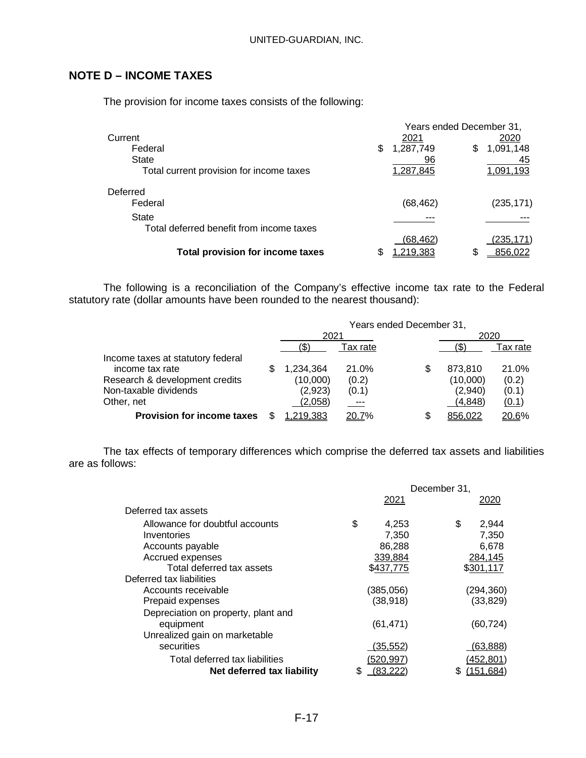### **NOTE D – INCOME TAXES**

The provision for income taxes consists of the following:

|                                          |     | Years ended December 31, |                |  |  |
|------------------------------------------|-----|--------------------------|----------------|--|--|
| Current                                  |     | 2021                     | 2020           |  |  |
| Federal                                  | \$. | 1,287,749                | 1,091,148<br>S |  |  |
| <b>State</b>                             |     | 96                       | 45             |  |  |
| Total current provision for income taxes |     | 1,287,845                | 1,091,193      |  |  |
| Deferred                                 |     |                          |                |  |  |
| Federal                                  |     | (68, 462)                | (235, 171)     |  |  |
| <b>State</b>                             |     |                          |                |  |  |
| Total deferred benefit from income taxes |     |                          |                |  |  |
|                                          |     | (68,462)                 | (235, 171)     |  |  |
| <b>Total provision for income taxes</b>  |     | :19.383                  | 856.           |  |  |

The following is a reconciliation of the Company's effective income tax rate to the Federal statutory rate (dollar amounts have been rounded to the nearest thousand):

|                                   | Years ended December 31, |          |    |          |          |
|-----------------------------------|--------------------------|----------|----|----------|----------|
|                                   | 2021                     |          |    | 2020     |          |
|                                   |                          | Tax rate |    |          | Tax rate |
| Income taxes at statutory federal |                          |          |    |          |          |
| income tax rate                   | 1,234,364                | 21.0%    | \$ | 873,810  | 21.0%    |
| Research & development credits    | (10,000)                 | (0.2)    |    | (10,000) | (0.2)    |
| Non-taxable dividends             | (2,923)                  | (0.1)    |    | (2,940)  | (0.1)    |
| Other, net                        | (2,058)                  |          |    | (4,848)  | (0.1)    |
| <b>Provision for income taxes</b> | 219,383                  | 20.7%    | \$ | 856.022  | 20.6%    |

The tax effects of temporary differences which comprise the deferred tax assets and liabilities are as follows:

|                                     | December 31, |           |    |            |
|-------------------------------------|--------------|-----------|----|------------|
| Deferred tax assets                 |              | 2021      |    | 2020       |
|                                     |              |           |    |            |
| Allowance for doubtful accounts     | \$           | 4,253     | \$ | 2,944      |
| Inventories                         |              | 7,350     |    | 7,350      |
| Accounts payable                    |              | 86,288    |    | 6,678      |
| Accrued expenses                    |              | 339,884   |    | 284,145    |
| Total deferred tax assets           |              | \$437,775 |    | \$301,117  |
| Deferred tax liabilities            |              |           |    |            |
| Accounts receivable                 | (385,056)    |           |    | (294, 360) |
| Prepaid expenses                    |              | (38, 918) |    | (33, 829)  |
| Depreciation on property, plant and |              |           |    |            |
| equipment                           |              | (61, 471) |    | (60, 724)  |
| Unrealized gain on marketable       |              |           |    |            |
| securities                          |              | (35, 552) |    | (63, 888)  |
| Total deferred tax liabilities      | (520,997)    |           |    | (452,801)  |
| Net deferred tax liability          |              | (83, 222) | S  | (151, 684) |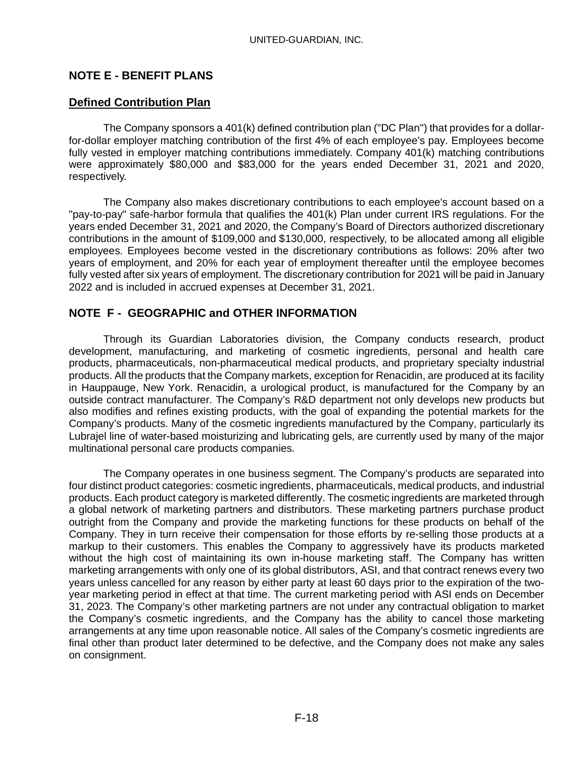#### **NOTE E - BENEFIT PLANS**

#### **Defined Contribution Plan**

The Company sponsors a 401(k) defined contribution plan ("DC Plan") that provides for a dollarfor-dollar employer matching contribution of the first 4% of each employee's pay. Employees become fully vested in employer matching contributions immediately. Company 401(k) matching contributions were approximately \$80,000 and \$83,000 for the years ended December 31, 2021 and 2020, respectively.

The Company also makes discretionary contributions to each employee's account based on a "pay-to-pay" safe-harbor formula that qualifies the 401(k) Plan under current IRS regulations. For the years ended December 31, 2021 and 2020, the Company's Board of Directors authorized discretionary contributions in the amount of \$109,000 and \$130,000, respectively, to be allocated among all eligible employees. Employees become vested in the discretionary contributions as follows: 20% after two years of employment, and 20% for each year of employment thereafter until the employee becomes fully vested after six years of employment. The discretionary contribution for 2021 will be paid in January 2022 and is included in accrued expenses at December 31, 2021.

#### **NOTE F - GEOGRAPHIC and OTHER INFORMATION**

Through its Guardian Laboratories division, the Company conducts research, product development, manufacturing, and marketing of cosmetic ingredients, personal and health care products, pharmaceuticals, non-pharmaceutical medical products, and proprietary specialty industrial products. All the products that the Company markets, exception for Renacidin, are produced at its facility in Hauppauge, New York. Renacidin, a urological product, is manufactured for the Company by an outside contract manufacturer. The Company's R&D department not only develops new products but also modifies and refines existing products, with the goal of expanding the potential markets for the Company's products. Many of the cosmetic ingredients manufactured by the Company, particularly its Lubrajel line of water-based moisturizing and lubricating gels, are currently used by many of the major multinational personal care products companies.

The Company operates in one business segment. The Company's products are separated into four distinct product categories: cosmetic ingredients, pharmaceuticals, medical products, and industrial products. Each product category is marketed differently. The cosmetic ingredients are marketed through a global network of marketing partners and distributors. These marketing partners purchase product outright from the Company and provide the marketing functions for these products on behalf of the Company. They in turn receive their compensation for those efforts by re-selling those products at a markup to their customers. This enables the Company to aggressively have its products marketed without the high cost of maintaining its own in-house marketing staff. The Company has written marketing arrangements with only one of its global distributors, ASI, and that contract renews every two years unless cancelled for any reason by either party at least 60 days prior to the expiration of the twoyear marketing period in effect at that time. The current marketing period with ASI ends on December 31, 2023. The Company's other marketing partners are not under any contractual obligation to market the Company's cosmetic ingredients, and the Company has the ability to cancel those marketing arrangements at any time upon reasonable notice. All sales of the Company's cosmetic ingredients are final other than product later determined to be defective, and the Company does not make any sales on consignment.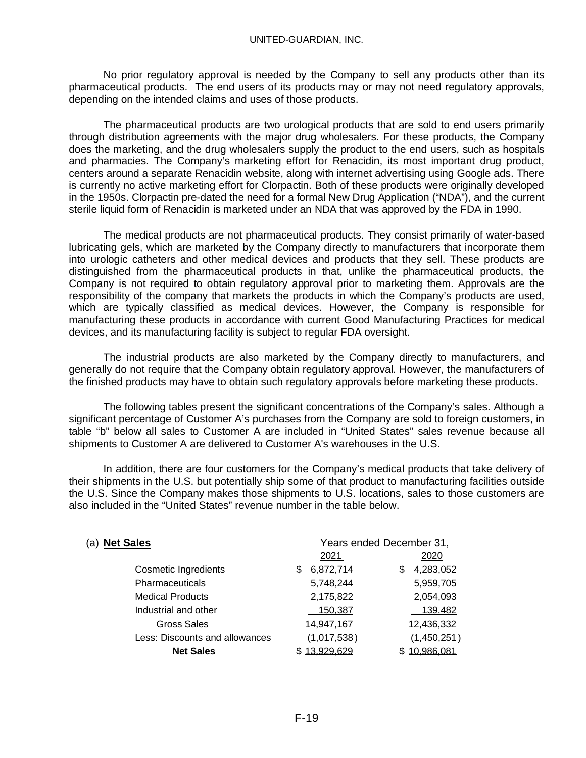No prior regulatory approval is needed by the Company to sell any products other than its pharmaceutical products. The end users of its products may or may not need regulatory approvals, depending on the intended claims and uses of those products.

The pharmaceutical products are two urological products that are sold to end users primarily through distribution agreements with the major drug wholesalers. For these products, the Company does the marketing, and the drug wholesalers supply the product to the end users, such as hospitals and pharmacies. The Company's marketing effort for Renacidin, its most important drug product, centers around a separate Renacidin website, along with internet advertising using Google ads. There is currently no active marketing effort for Clorpactin. Both of these products were originally developed in the 1950s. Clorpactin pre-dated the need for a formal New Drug Application ("NDA"), and the current sterile liquid form of Renacidin is marketed under an NDA that was approved by the FDA in 1990.

The medical products are not pharmaceutical products. They consist primarily of water-based lubricating gels, which are marketed by the Company directly to manufacturers that incorporate them into urologic catheters and other medical devices and products that they sell. These products are distinguished from the pharmaceutical products in that, unlike the pharmaceutical products, the Company is not required to obtain regulatory approval prior to marketing them. Approvals are the responsibility of the company that markets the products in which the Company's products are used, which are typically classified as medical devices. However, the Company is responsible for manufacturing these products in accordance with current Good Manufacturing Practices for medical devices, and its manufacturing facility is subject to regular FDA oversight.

The industrial products are also marketed by the Company directly to manufacturers, and generally do not require that the Company obtain regulatory approval. However, the manufacturers of the finished products may have to obtain such regulatory approvals before marketing these products.

The following tables present the significant concentrations of the Company's sales. Although a significant percentage of Customer A's purchases from the Company are sold to foreign customers, in table "b" below all sales to Customer A are included in "United States" sales revenue because all shipments to Customer A are delivered to Customer A's warehouses in the U.S.

In addition, there are four customers for the Company's medical products that take delivery of their shipments in the U.S. but potentially ship some of that product to manufacturing facilities outside the U.S. Since the Company makes those shipments to U.S. locations, sales to those customers are also included in the "United States" revenue number in the table below.

| Years ended December 31, |                 |  |
|--------------------------|-----------------|--|
| 2021                     | 2020            |  |
| 6,872,714<br>\$          | 4,283,052<br>£. |  |
| 5,748,244                | 5,959,705       |  |
| 2,175,822                | 2,054,093       |  |
| 150,387                  | 139,482         |  |
| 14,947,167               | 12,436,332      |  |
| (1,017,538)              | (1,450,251)     |  |
| 13,929,629               | 10,986,081      |  |
|                          |                 |  |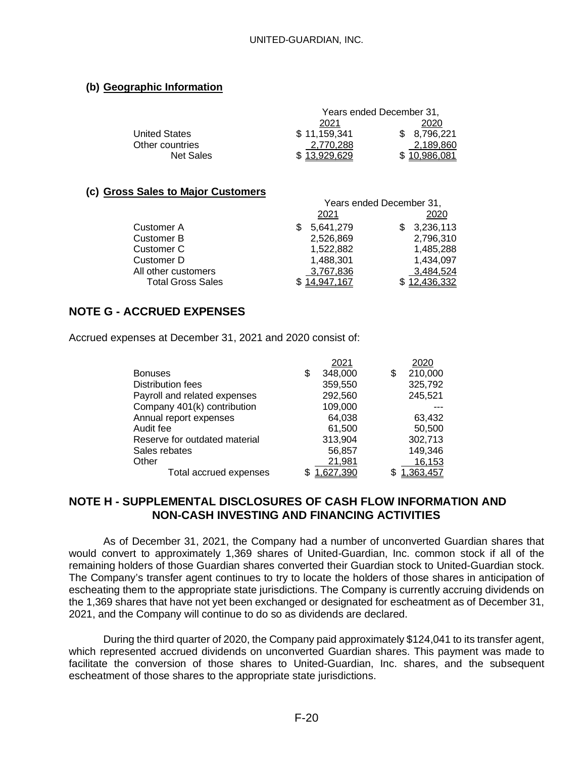#### **(b) Geographic Information**

|                      | Years ended December 31, |  |              |  |
|----------------------|--------------------------|--|--------------|--|
|                      | 2021                     |  | 2020         |  |
| <b>United States</b> | \$11.159.341             |  | 8.796.221    |  |
| Other countries      | 2.770.288                |  | 2.189.860    |  |
| <b>Net Sales</b>     | \$13,929,629             |  | \$10.986.081 |  |

#### **(c) Gross Sales to Major Customers**

|                          | Years ended December 31, |           |  |              |
|--------------------------|--------------------------|-----------|--|--------------|
|                          |                          | 2021      |  | 2020         |
| Customer A               |                          | 5,641,279 |  | 3,236,113    |
| <b>Customer B</b>        |                          | 2,526,869 |  | 2,796,310    |
| Customer C               |                          | 1,522,882 |  | 1,485,288    |
| Customer D               |                          | 1,488,301 |  | 1,434,097    |
| All other customers      |                          | 3,767,836 |  | 3,484,524    |
| <b>Total Gross Sales</b> |                          |           |  | \$12,436,332 |

#### **NOTE G - ACCRUED EXPENSES**

Accrued expenses at December 31, 2021 and 2020 consist of:

|                               | 2021          | 2020          |
|-------------------------------|---------------|---------------|
| <b>Bonuses</b>                | \$<br>348,000 | \$<br>210,000 |
| Distribution fees             | 359,550       | 325,792       |
| Payroll and related expenses  | 292,560       | 245,521       |
| Company 401(k) contribution   | 109,000       |               |
| Annual report expenses        | 64,038        | 63,432        |
| Audit fee                     | 61,500        | 50,500        |
| Reserve for outdated material | 313,904       | 302,713       |
| Sales rebates                 | 56,857        | 149,346       |
| Other                         | 21,981        | 16,153        |
| Total accrued expenses        | .627.390      | 1.363.457     |

#### **NOTE H - SUPPLEMENTAL DISCLOSURES OF CASH FLOW INFORMATION AND NON-CASH INVESTING AND FINANCING ACTIVITIES**

As of December 31, 2021, the Company had a number of unconverted Guardian shares that would convert to approximately 1,369 shares of United-Guardian, Inc. common stock if all of the remaining holders of those Guardian shares converted their Guardian stock to United-Guardian stock. The Company's transfer agent continues to try to locate the holders of those shares in anticipation of escheating them to the appropriate state jurisdictions. The Company is currently accruing dividends on the 1,369 shares that have not yet been exchanged or designated for escheatment as of December 31, 2021, and the Company will continue to do so as dividends are declared.

During the third quarter of 2020, the Company paid approximately \$124,041 to its transfer agent, which represented accrued dividends on unconverted Guardian shares. This payment was made to facilitate the conversion of those shares to United-Guardian, Inc. shares, and the subsequent escheatment of those shares to the appropriate state jurisdictions.